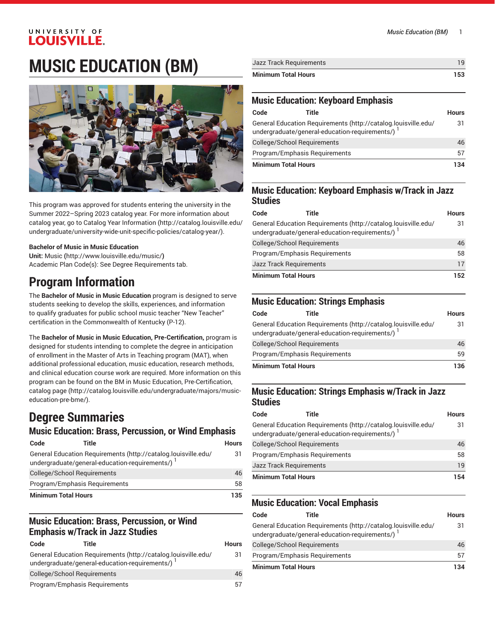## **MUSIC EDUCATION (BM)**



This program was approved for students entering the university in the Summer 2022–Spring 2023 catalog year. For more information about catalog year, go to Catalog Year [Information](http://catalog.louisville.edu/undergraduate/university-wide-unit-specific-policies/catalog-year/) ([http://catalog.louisville.edu/](http://catalog.louisville.edu/undergraduate/university-wide-unit-specific-policies/catalog-year/) [undergraduate/university-wide-unit-specific-policies/catalog-year/](http://catalog.louisville.edu/undergraduate/university-wide-unit-specific-policies/catalog-year/)).

#### **Bachelor of Music in Music Education**

**Unit:** [Music](http://www.louisville.edu/music/) **(**<http://www.louisville.edu/music/>**)** Academic Plan Code(s): See Degree Requirements tab.

## **Program Information**

The **Bachelor of Music in Music Education** program is designed to serve students seeking to develop the skills, experiences, and information to qualify graduates for public school music teacher "New Teacher" certification in the Commonwealth of Kentucky (P-12).

The **Bachelor of Music in Music Education, Pre-Certification,** program is designed for students intending to complete the degree in anticipation of enrollment in the Master of Arts in Teaching program (MAT), when additional professional education, music education, research methods, and clinical education course work are required. More information on this program can be found on the BM in Music Education, [Pre-Certification,](http://catalog.louisville.edu/undergraduate/majors/music-education-pre-bme/) [catalog page \(http://catalog.louisville.edu/undergraduate/majors/music](http://catalog.louisville.edu/undergraduate/majors/music-education-pre-bme/)[education-pre-bme/\)](http://catalog.louisville.edu/undergraduate/majors/music-education-pre-bme/).

## **Degree Summaries**

## **Music Education: Brass, Percussion, or Wind Emphasis**

| Code                          | Title                                                                                                              | <b>Hours</b> |
|-------------------------------|--------------------------------------------------------------------------------------------------------------------|--------------|
|                               | General Education Requirements (http://catalog.louisville.edu/<br>undergraduate/general-education-requirements/) 1 | 31           |
|                               | <b>College/School Requirements</b>                                                                                 | 46           |
| Program/Emphasis Requirements |                                                                                                                    | 58           |
| <b>Minimum Total Hours</b>    |                                                                                                                    | 135          |

### **Music Education: Brass, Percussion, or Wind Emphasis w/Track in Jazz Studies**

| Code                          | Title                                                                                                              | <b>Hours</b> |
|-------------------------------|--------------------------------------------------------------------------------------------------------------------|--------------|
|                               | General Education Requirements (http://catalog.louisville.edu/<br>undergraduate/general-education-requirements/) 1 | 31           |
| College/School Requirements   |                                                                                                                    | 46           |
| Program/Emphasis Reguirements |                                                                                                                    | 57           |

| Jazz Track Requirements    |     |
|----------------------------|-----|
| <b>Minimum Total Hours</b> | 153 |

#### **Music Education: Keyboard Emphasis**

| Code                        | Title                                                                                                              | <b>Hours</b> |
|-----------------------------|--------------------------------------------------------------------------------------------------------------------|--------------|
|                             | General Education Requirements (http://catalog.louisville.edu/<br>undergraduate/general-education-requirements/) 1 | 31           |
| College/School Requirements |                                                                                                                    | 46           |
|                             | Program/Emphasis Requirements                                                                                      | 57           |
| <b>Minimum Total Hours</b>  |                                                                                                                    | 134          |

#### **Music Education: Keyboard Emphasis w/Track in Jazz Studies**

| Code                           | Title                                                                                                              | <b>Hours</b> |
|--------------------------------|--------------------------------------------------------------------------------------------------------------------|--------------|
|                                | General Education Requirements (http://catalog.louisville.edu/<br>undergraduate/general-education-requirements/) 1 | 31           |
| College/School Requirements    |                                                                                                                    | 46           |
| Program/Emphasis Requirements  |                                                                                                                    | 58           |
| <b>Jazz Track Requirements</b> |                                                                                                                    | 17           |
| <b>Minimum Total Hours</b>     |                                                                                                                    | 152          |

## **Music Education: Strings Emphasis**

| Code                       | Title                                                                                                              | <b>Hours</b> |
|----------------------------|--------------------------------------------------------------------------------------------------------------------|--------------|
|                            | General Education Requirements (http://catalog.louisville.edu/<br>undergraduate/general-education-requirements/) 1 | 31           |
|                            | College/School Requirements                                                                                        | 46           |
|                            | Program/Emphasis Requirements                                                                                      | 59           |
| <b>Minimum Total Hours</b> |                                                                                                                    | 136          |

#### **Music Education: Strings Emphasis w/Track in Jazz Studies**

| Code                           | Title                                                                                                              | <b>Hours</b> |
|--------------------------------|--------------------------------------------------------------------------------------------------------------------|--------------|
|                                | General Education Requirements (http://catalog.louisville.edu/<br>undergraduate/general-education-requirements/) 1 | 31           |
| College/School Requirements    |                                                                                                                    | 46           |
| Program/Emphasis Requirements  |                                                                                                                    | 58           |
| <b>Jazz Track Requirements</b> |                                                                                                                    | 19           |
| <b>Minimum Total Hours</b>     |                                                                                                                    | 154          |

### **Music Education: Vocal Emphasis**

| Code                       | Title                                                                                                              | <b>Hours</b> |
|----------------------------|--------------------------------------------------------------------------------------------------------------------|--------------|
|                            | General Education Requirements (http://catalog.louisville.edu/<br>undergraduate/general-education-requirements/) 1 | 31           |
|                            | College/School Requirements                                                                                        | 46           |
|                            | Program/Emphasis Requirements                                                                                      | 57           |
| <b>Minimum Total Hours</b> |                                                                                                                    | 134          |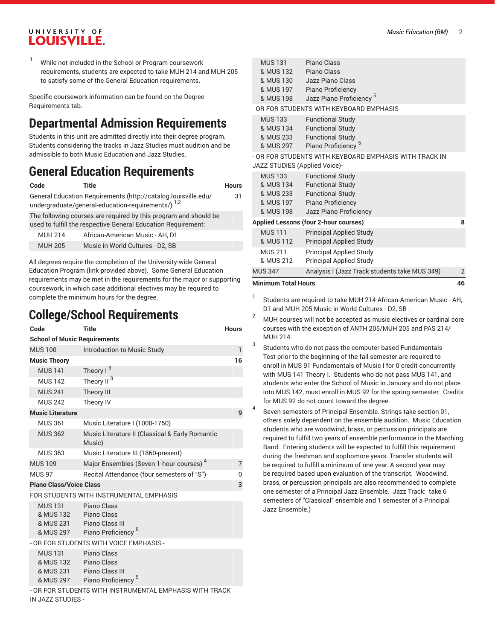While not included in the School or Program coursework requirements, students are expected to take MUH 214 and MUH 205 to satisfy some of the General Education requirements.

Specific coursework information can be found on the Degree Requirements tab.

## **Departmental Admission Requirements**

Students in this unit are admitted directly into their degree program. Students considering the tracks in Jazz Studies must audition and be admissible to both Music Education and Jazz Studies.

## **General Education Requirements**

| Code           | Title                                                                                                                             | <b>Hours</b> |
|----------------|-----------------------------------------------------------------------------------------------------------------------------------|--------------|
|                | General Education Requirements (http://catalog.louisville.edu/<br>undergraduate/general-education-requirements/) 1,2              | 31           |
|                | The following courses are required by this program and should be<br>used to fulfill the respective General Education Requirement: |              |
| <b>MUH 214</b> | African-American Music - AH, D1                                                                                                   |              |
| <b>MUH 205</b> | Music in World Cultures - D2, SB                                                                                                  |              |
|                |                                                                                                                                   |              |

All degrees require the completion of the University-wide General Education Program (link provided above). Some General Education requirements may be met in the requirements for the major or supporting coursework, in which case additional electives may be required to complete the minimum hours for the degree.

## **College/School Requirements**

IN JAZZ STUDIES -

| Code                                                  | <b>Title</b>                                                                                                                               | <b>Hours</b>   |
|-------------------------------------------------------|--------------------------------------------------------------------------------------------------------------------------------------------|----------------|
| <b>School of Music Requirements</b>                   |                                                                                                                                            |                |
| <b>MUS 100</b>                                        | Introduction to Music Study                                                                                                                | $\mathbf{1}$   |
| <b>Music Theory</b>                                   |                                                                                                                                            | 16             |
| <b>MUS 141</b>                                        | Theory $1^3$                                                                                                                               |                |
| <b>MUS 142</b>                                        | Theory II <sup>3</sup>                                                                                                                     |                |
| <b>MUS 241</b>                                        | <b>Theory III</b>                                                                                                                          |                |
| <b>MUS 242</b>                                        | Theory IV                                                                                                                                  |                |
| <b>Music Literature</b>                               |                                                                                                                                            | 9              |
| <b>MUS 361</b>                                        | Music Literature I (1000-1750)                                                                                                             |                |
| <b>MUS 362</b>                                        | Music Literature II (Classical & Early Romantic<br>Music)                                                                                  |                |
| <b>MUS 363</b>                                        | Music Literature III (1860-present)                                                                                                        |                |
| <b>MUS 109</b>                                        | Major Ensembles (Seven 1-hour courses) <sup>4</sup>                                                                                        | $\overline{7}$ |
| <b>MUS 97</b>                                         | Recital Attendance (four semesters of "S")                                                                                                 | 0              |
| <b>Piano Class/Voice Class</b>                        |                                                                                                                                            | 3              |
|                                                       | FOR STUDENTS WITH INSTRUMENTAL EMPHASIS                                                                                                    |                |
| <b>MUS 131</b><br>& MUS 132<br>& MUS 231<br>& MUS 297 | Piano Class<br>Piano Class<br>Piano Class III<br>Piano Proficiency <sup>5</sup>                                                            |                |
|                                                       | - OR FOR STUDENTS WITH VOICE EMPHASIS -                                                                                                    |                |
| <b>MUS 131</b><br>& MUS 132<br>& MUS 231<br>& MUS 297 | Piano Class<br>Piano Class<br>Piano Class III<br>Piano Proficiency <sup>5</sup><br>- OR FOR STUDENTS WITH INSTRUMENTAL EMPHASIS WITH TRACK |                |

MUS 131 & MUS 132 & MUS 130 & MUS 197 & MUS 198 Piano Class Piano Class Jazz Piano Class Piano Proficiency Jazz Piano Proficiency 5 OR FOR STUDENTS WITH KEYBOARD EMPHASIS MUS 133 Functional Study

& MUS 134 Functional Study

| & MUS 233 | <b>Functional Study</b> |
|-----------|-------------------------|
| & MUS 297 | Piano Proficiency       |

#### - OR FOR STUDENTS WITH KEYBOARD EMPHASIS WITH TRACK IN

5

JAZZ STUDIES (Applied Voice)-

4

| Minimum Total Hours                   |                                                                  |   |
|---------------------------------------|------------------------------------------------------------------|---|
| <b>MUS 347</b>                        | Analysis I (Jazz Track students take MUS 349)                    | 2 |
| <b>MUS 211</b><br>& MUS 212           | <b>Principal Applied Study</b><br><b>Principal Applied Study</b> |   |
| <b>MUS111</b><br>& MUS 112            | <b>Principal Applied Study</b><br><b>Principal Applied Study</b> |   |
| Applied Lessons (four 2-hour courses) |                                                                  | 8 |
| & MUS 197<br>& MUS 198                | Piano Proficiency<br>Jazz Piano Proficiency                      |   |
| & MUS 233                             | <b>Functional Study</b>                                          |   |
| & MUS 134                             | <b>Functional Study</b>                                          |   |
| <b>MUS 133</b>                        | <b>Functional Study</b>                                          |   |
|                                       |                                                                  |   |

- 1 Students are required to take MUH 214 African-American Music - AH, D1 and MUH 205 Music in World Cultures - D2, SB .
- <sup>2</sup> MUH courses will not be accepted as music electives or cardinal core courses with the exception of ANTH 205/MUH 205 and PAS 214/ MUH 214. 3
	- Students who do not pass the computer-based Fundamentals Test prior to the beginning of the fall semester are required to enroll in MUS 91 Fundamentals of Music I for 0 credit concurrently with MUS 141 Theory I. Students who do not pass MUS 141, and students who enter the School of Music in January and do not place into MUS 142, must enroll in MUS 92 for the spring semester. Credits for MUS 92 do not count toward the degree.
	- Seven semesters of Principal Ensemble. Strings take section 01, others solely dependent on the ensemble audition. Music Education students who are woodwind, brass, or percussion principals are required to fulfill two years of ensemble performance in the Marching Band. Entering students will be expected to fulfill this requirement during the freshman and sophomore years. Transfer students will be required to fulfill a minimum of one year. A second year may be required based upon evaluation of the transcript. Woodwind, brass, or percussion principals are also recommended to complete one semester of a Principal Jazz Ensemble. Jazz Track: take 6 semesters of "Classical" ensemble and 1 semester of a Principal Jazz Ensemble.)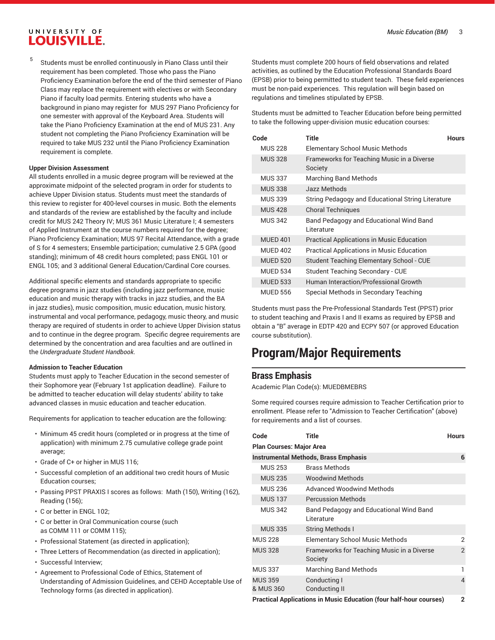5 Students must be enrolled continuously in Piano Class until their requirement has been completed. Those who pass the Piano Proficiency Examination before the end of the third semester of Piano Class may replace the requirement with electives or with Secondary Piano if faculty load permits. Entering students who have a background in piano may register for MUS 297 Piano Proficiency for one semester with approval of the Keyboard Area. Students will take the Piano Proficiency Examination at the end of MUS 231. Any student not completing the Piano Proficiency Examination will be required to take MUS 232 until the Piano Proficiency Examination requirement is complete.

#### **Upper Division Assessment**

All students enrolled in a music degree program will be reviewed at the approximate midpoint of the selected program in order for students to achieve Upper Division status. Students must meet the standards of this review to register for 400-level courses in music. Both the elements and standards of the review are established by the faculty and include credit for MUS 242 Theory IV; MUS 361 Music Literature I; 4 semesters of Applied Instrument at the course numbers required for the degree; Piano Proficiency Examination; MUS 97 Recital Attendance, with a grade of S for 4 semesters; Ensemble participation; cumulative 2.5 GPA (good standing); minimum of 48 credit hours completed; pass ENGL 101 or ENGL 105; and 3 additional General Education/Cardinal Core courses.

Additional specific elements and standards appropriate to specific degree programs in jazz studies (including jazz performance, music education and music therapy with tracks in jazz studies, and the BA in jazz studies), music composition, music education, music history, instrumental and vocal performance, pedagogy, music theory, and music therapy are required of students in order to achieve Upper Division status and to continue in the degree program. Specific degree requirements are determined by the concentration and area faculties and are outlined in the *Undergraduate Student Handbook*.

#### **Admission to Teacher Education**

Students must apply to Teacher Education in the second semester of their Sophomore year (February 1st application deadline). Failure to be admitted to teacher education will delay students' ability to take advanced classes in music education and teacher education.

Requirements for application to teacher education are the following:

- Minimum 45 credit hours (completed or in progress at the time of application) with minimum 2.75 cumulative college grade point average;
- Grade of C+ or higher in MUS 116;
- Successful completion of an additional two credit hours of Music Education courses;
- Passing PPST PRAXIS I scores as follows: Math (150), Writing (162), Reading (156);
- C or better in ENGL 102;
- C or better in Oral Communication course (such as COMM 111 or COMM 115);
- Professional Statement (as directed in application);
- Three Letters of Recommendation (as directed in application);
- Successful Interview;
- Agreement to Professional Code of Ethics, Statement of Understanding of Admission Guidelines, and CEHD Acceptable Use of Technology forms (as directed in application).

Students must complete 200 hours of field observations and related activities, as outlined by the Education Professional Standards Board (EPSB) prior to being permitted to student teach. These field experiences must be non-paid experiences. This regulation will begin based on regulations and timelines stipulated by EPSB.

Students must be admitted to Teacher Education before being permitted to take the following upper-division music education courses:

| Code            | Title                                                  | <b>Hours</b> |
|-----------------|--------------------------------------------------------|--------------|
| <b>MUS 228</b>  | <b>Elementary School Music Methods</b>                 |              |
| <b>MUS 328</b>  | Frameworks for Teaching Music in a Diverse<br>Society  |              |
| <b>MUS 337</b>  | <b>Marching Band Methods</b>                           |              |
| <b>MUS 338</b>  | Jazz Methods                                           |              |
| <b>MUS 339</b>  | String Pedagogy and Educational String Literature      |              |
| <b>MUS 428</b>  | <b>Choral Techniques</b>                               |              |
| <b>MUS 342</b>  | Band Pedagogy and Educational Wind Band<br>I iterature |              |
| <b>MUED 401</b> | <b>Practical Applications in Music Education</b>       |              |
| <b>MUED 402</b> | <b>Practical Applications in Music Education</b>       |              |
| <b>MUED 520</b> | Student Teaching Elementary School - CUE               |              |
| <b>MUED 534</b> | Student Teaching Secondary - CUE                       |              |
| <b>MUED 533</b> | Human Interaction/Professional Growth                  |              |
| <b>MUED 556</b> | Special Methods in Secondary Teaching                  |              |

Students must pass the Pre-Professional Standards Test (PPST) prior to student teaching and Praxis I and II exams as required by EPSB and obtain a "B" average in EDTP 420 and ECPY 507 (or approved Education course substitution).

## **Program/Major Requirements**

#### **Brass Emphasis**

Academic Plan Code(s): MUEDBMEBRS

Some required courses require admission to Teacher Certification prior to enrollment. Please refer to "Admission to Teacher Certification" (above) for requirements and a list of courses.

| Code                            | <b>Title</b>                                          | <b>Hours</b>            |  |  |
|---------------------------------|-------------------------------------------------------|-------------------------|--|--|
| <b>Plan Courses: Major Area</b> |                                                       |                         |  |  |
|                                 | <b>Instrumental Methods, Brass Emphasis</b>           | 6                       |  |  |
| <b>MUS 253</b>                  | <b>Brass Methods</b>                                  |                         |  |  |
| <b>MUS 235</b>                  | <b>Woodwind Methods</b>                               |                         |  |  |
| <b>MUS 236</b>                  | <b>Advanced Woodwind Methods</b>                      |                         |  |  |
| <b>MUS 137</b>                  | <b>Percussion Methods</b>                             |                         |  |  |
| <b>MUS 342</b>                  | Band Pedagogy and Educational Wind Band<br>Literature |                         |  |  |
| <b>MUS 335</b>                  | <b>String Methods I</b>                               |                         |  |  |
| <b>MUS 228</b>                  | <b>Elementary School Music Methods</b>                | 2                       |  |  |
| <b>MUS 328</b>                  | Frameworks for Teaching Music in a Diverse<br>Society | $\overline{2}$          |  |  |
| <b>MUS 337</b>                  | Marching Band Methods                                 | 1                       |  |  |
| <b>MUS 359</b><br>& MUS 360     | Conducting I<br>Conducting II                         | $\overline{\mathbf{A}}$ |  |  |
|                                 |                                                       |                         |  |  |

**Practical Applications in Music Education (four half-hour courses) 2**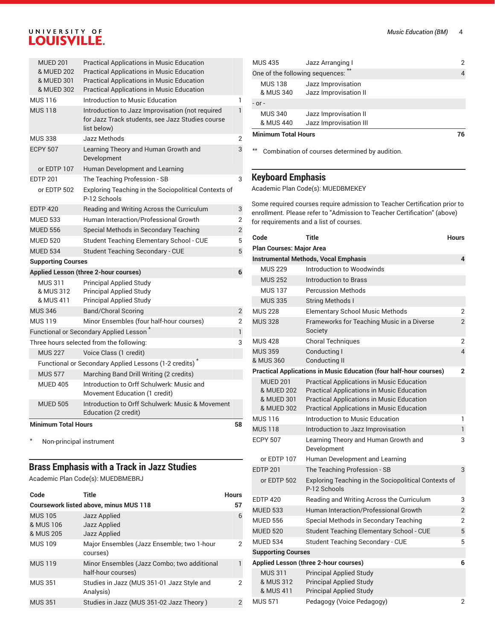| <b>MUED 201</b><br>& MUED 202<br>& MUED 301<br>& MUED 302 | <b>Practical Applications in Music Education</b><br><b>Practical Applications in Music Education</b><br><b>Practical Applications in Music Education</b><br><b>Practical Applications in Music Education</b> |                | MUS <sub>43</sub><br>One of<br><b>MUS</b><br>& MI |
|-----------------------------------------------------------|--------------------------------------------------------------------------------------------------------------------------------------------------------------------------------------------------------------|----------------|---------------------------------------------------|
| <b>MUS 116</b>                                            | Introduction to Music Education                                                                                                                                                                              | ı              | $-$ or $-$                                        |
| <b>MUS 118</b>                                            | Introduction to Jazz Improvisation (not required<br>for Jazz Track students, see Jazz Studies course<br>list below)                                                                                          | 1              | <b>MUS</b><br>& MI                                |
| <b>MUS 338</b>                                            | Jazz Methods                                                                                                                                                                                                 | 2              | Minimu                                            |
| <b>ECPY 507</b>                                           | Learning Theory and Human Growth and<br>Development                                                                                                                                                          | 3              | $\star\star$<br>Cor                               |
| or EDTP 107                                               | Human Development and Learning                                                                                                                                                                               |                |                                                   |
| <b>EDTP 201</b>                                           | The Teaching Profession - SB                                                                                                                                                                                 | 3              | <b>Keybo</b>                                      |
| or EDTP 502                                               | Exploring Teaching in the Sociopolitical Contexts of<br>P-12 Schools                                                                                                                                         |                | Acaden                                            |
| <b>EDTP 420</b>                                           | Reading and Writing Across the Curriculum                                                                                                                                                                    | 3              | Some re<br>enrollm                                |
| <b>MUED 533</b>                                           | Human Interaction/Professional Growth                                                                                                                                                                        | 2              | for requ                                          |
| <b>MUED 556</b>                                           | Special Methods in Secondary Teaching                                                                                                                                                                        | $\overline{2}$ |                                                   |
| <b>MUED 520</b>                                           | Student Teaching Elementary School - CUE                                                                                                                                                                     | 5              | Code                                              |
| <b>MUED 534</b>                                           | Student Teaching Secondary - CUE                                                                                                                                                                             | 5              | Plan Co                                           |
| <b>Supporting Courses</b>                                 |                                                                                                                                                                                                              |                | Instrun                                           |
|                                                           | <b>Applied Lesson (three 2-hour courses)</b>                                                                                                                                                                 | 6              | <b>MUS</b>                                        |
| <b>MUS 311</b>                                            | <b>Principal Applied Study</b>                                                                                                                                                                               |                | <b>MUS</b>                                        |
| & MUS 312                                                 | <b>Principal Applied Study</b>                                                                                                                                                                               |                | <b>MUS</b>                                        |
| & MUS 411                                                 | <b>Principal Applied Study</b>                                                                                                                                                                               |                | <b>MUS</b>                                        |
| <b>MUS 346</b>                                            | <b>Band/Choral Scoring</b>                                                                                                                                                                                   | 2              | <b>MUS 22</b>                                     |
| <b>MUS 119</b>                                            | Minor Ensembles (four half-hour courses)                                                                                                                                                                     | $\overline{2}$ | MUS <sub>32</sub>                                 |
|                                                           | Functional or Secondary Applied Lesson                                                                                                                                                                       | $\mathbf{1}$   |                                                   |

|                                          | <b>Minimum Total Hours</b> |                                                                            | 58 |
|------------------------------------------|----------------------------|----------------------------------------------------------------------------|----|
|                                          | <b>MUED 505</b>            | Introduction to Orff Schulwerk: Music & Movement<br>Education (2 credit)   |    |
|                                          | <b>MUED 405</b>            | Introduction to Orff Schulwerk: Music and<br>Movement Education (1 credit) |    |
|                                          | <b>MUS 577</b>             | Marching Band Drill Writing (2 credits)                                    |    |
|                                          |                            | Functional or Secondary Applied Lessons (1-2 credits)                      |    |
|                                          | <b>MUS 227</b>             | Voice Class (1 credit)                                                     |    |
| Three hours selected from the following: |                            |                                                                            | 3  |
| Functional or Secondary Applied Lesson   |                            |                                                                            |    |

\* Non-principal instrument

### **Brass Emphasis with a Track in Jazz Studies**

Academic Plan Code(s): MUEDBMEBRJ

| Code                                     | Title                                                             | <b>Hours</b>  |
|------------------------------------------|-------------------------------------------------------------------|---------------|
|                                          | <b>Coursework listed above, minus MUS 118</b>                     | 57            |
| <b>MUS 105</b><br>& MUS 106<br>& MUS 205 | Jazz Applied<br>Jazz Applied<br>Jazz Applied                      | 6             |
| <b>MUS 109</b>                           | Major Ensembles (Jazz Ensemble; two 1-hour<br>courses)            | 2             |
| <b>MUS 119</b>                           | Minor Ensembles (Jazz Combo; two additional<br>half-hour courses) |               |
| <b>MUS 351</b>                           | Studies in Jazz (MUS 351-01 Jazz Style and<br>Analysis)           | 2             |
| <b>MUS 351</b>                           | Studies in Jazz (MUS 351-02 Jazz Theory)                          | $\mathcal{P}$ |

| <b>Minimum Total Hours</b>      |                                             | 76                       |
|---------------------------------|---------------------------------------------|--------------------------|
| & MUS 440                       | Jazz Improvisation III                      |                          |
| <b>MUS 340</b>                  | Jazz Improvisation II                       |                          |
| $-$ or $-$                      |                                             |                          |
| <b>MUS 138</b><br>& MUS 340     | Jazz Improvisation<br>Jazz Improvisation II |                          |
| One of the following sequences: | $*$                                         | $\overline{\mathcal{A}}$ |
| <b>MUS 435</b>                  | Jazz Arranging I                            | 2                        |

 $m$  hination of courses determined by audition.

#### **Keyboard Emphasis**

nic Plan Code(s): MUEDBMEKEY

equired courses require admission to Teacher Certification prior to ent. Please refer to "Admission to Teacher Certification" (above) iirements and a list of courses.

| Code                                                      | Title                                                                                                                                                                                                        | Hours          |  |
|-----------------------------------------------------------|--------------------------------------------------------------------------------------------------------------------------------------------------------------------------------------------------------------|----------------|--|
| <b>Plan Courses: Major Area</b>                           |                                                                                                                                                                                                              |                |  |
| <b>Instrumental Methods, Vocal Emphasis</b>               |                                                                                                                                                                                                              |                |  |
| <b>MUS 229</b>                                            | Introduction to Woodwinds                                                                                                                                                                                    |                |  |
| <b>MUS 252</b>                                            | Introduction to Brass                                                                                                                                                                                        |                |  |
| <b>MUS 137</b>                                            | <b>Percussion Methods</b>                                                                                                                                                                                    |                |  |
| <b>MUS 335</b>                                            | <b>String Methods I</b>                                                                                                                                                                                      |                |  |
| <b>MUS 228</b>                                            | <b>Elementary School Music Methods</b>                                                                                                                                                                       | 2              |  |
| <b>MUS 328</b>                                            | Frameworks for Teaching Music in a Diverse<br>Society                                                                                                                                                        | $\overline{2}$ |  |
| <b>MUS 428</b>                                            | <b>Choral Techniques</b>                                                                                                                                                                                     | $\overline{2}$ |  |
| <b>MUS 359</b><br>& MUS 360                               | Conducting I<br><b>Conducting II</b>                                                                                                                                                                         | $\overline{4}$ |  |
|                                                           | <b>Practical Applications in Music Education (four half-hour courses)</b>                                                                                                                                    | $\overline{2}$ |  |
| <b>MUED 201</b><br>& MUED 202<br>& MUED 301<br>& MUED 302 | <b>Practical Applications in Music Education</b><br><b>Practical Applications in Music Education</b><br><b>Practical Applications in Music Education</b><br><b>Practical Applications in Music Education</b> |                |  |
| <b>MUS 116</b>                                            | Introduction to Music Education                                                                                                                                                                              | 1              |  |
| <b>MUS 118</b>                                            | Introduction to Jazz Improvisation                                                                                                                                                                           | $\mathbf{1}$   |  |
| <b>ECPY 507</b>                                           | Learning Theory and Human Growth and<br>Development                                                                                                                                                          | 3              |  |
| or EDTP 107                                               | Human Development and Learning                                                                                                                                                                               |                |  |
| <b>EDTP 201</b>                                           | The Teaching Profession - SB                                                                                                                                                                                 | 3              |  |
| or EDTP 502                                               | Exploring Teaching in the Sociopolitical Contexts of<br>P-12 Schools                                                                                                                                         |                |  |
| <b>EDTP 420</b>                                           | Reading and Writing Across the Curriculum                                                                                                                                                                    | 3              |  |
| <b>MUED 533</b>                                           | Human Interaction/Professional Growth                                                                                                                                                                        | $\overline{2}$ |  |
| <b>MUED 556</b>                                           | Special Methods in Secondary Teaching                                                                                                                                                                        | 2              |  |
| <b>MUED 520</b>                                           | Student Teaching Elementary School - CUE                                                                                                                                                                     | 5              |  |
| <b>MUED 534</b>                                           | <b>Student Teaching Secondary - CUE</b>                                                                                                                                                                      | 5              |  |
| <b>Supporting Courses</b>                                 |                                                                                                                                                                                                              |                |  |
|                                                           | Applied Lesson (three 2-hour courses)                                                                                                                                                                        | 6              |  |
| <b>MUS 311</b><br>& MUS 312<br>& MUS 411                  | <b>Principal Applied Study</b><br><b>Principal Applied Study</b><br><b>Principal Applied Study</b>                                                                                                           |                |  |
| <b>MUS 571</b>                                            | Pedagogy (Voice Pedagogy)                                                                                                                                                                                    | 2              |  |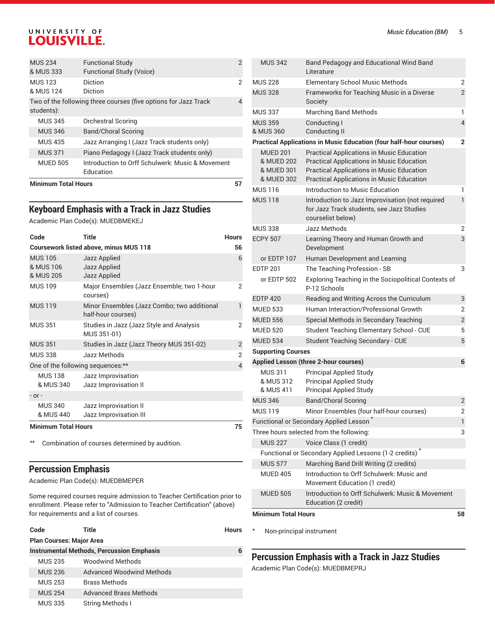| <b>Minimum Total Hours</b>  |                                                                 | 57 |
|-----------------------------|-----------------------------------------------------------------|----|
| <b>MUED 505</b>             | Introduction to Orff Schulwerk: Music & Movement<br>Education   |    |
| <b>MUS 371</b>              | Piano Pedagogy I (Jazz Track students only)                     |    |
| <b>MUS 435</b>              | Jazz Arranging I (Jazz Track students only)                     |    |
| <b>MUS 346</b>              | <b>Band/Choral Scoring</b>                                      |    |
| <b>MUS 345</b>              | <b>Orchestral Scoring</b>                                       |    |
| students):                  | Two of the following three courses (five options for Jazz Track | 4  |
| <b>MUS 123</b><br>& MUS 124 | <b>Diction</b><br>Diction                                       | 2  |
| <b>MUS 234</b><br>& MUS 333 | <b>Functional Study</b><br><b>Functional Study (Voice)</b>      | 2  |

#### **Keyboard Emphasis with a Track in Jazz Studies**

Academic Plan Code(s): MUEDBMEKEJ

| Code                                     | Title                                                             | <b>Hours</b>   |
|------------------------------------------|-------------------------------------------------------------------|----------------|
|                                          | <b>Coursework listed above, minus MUS 118</b>                     | 56             |
| <b>MUS 105</b><br>& MUS 106<br>& MUS 205 | Jazz Applied<br>Jazz Applied<br>Jazz Applied                      | 6              |
| <b>MUS 109</b>                           | Major Ensembles (Jazz Ensemble; two 1-hour<br>courses)            | 2              |
| <b>MUS 119</b>                           | Minor Ensembles (Jazz Combo; two additional<br>half-hour courses) | 1              |
| <b>MUS 351</b>                           | Studies in Jazz (Jazz Style and Analysis<br>MUS 351-01)           | 2              |
| <b>MUS 351</b>                           | Studies in Jazz (Jazz Theory MUS 351-02)                          | $\overline{2}$ |
| <b>MUS 338</b>                           | Jazz Methods                                                      | $\overline{2}$ |
| One of the following sequences:**        |                                                                   | 4              |
| <b>MUS 138</b><br>& MUS 340              | Jazz Improvisation<br>Jazz Improvisation II                       |                |
| $-$ or $-$                               |                                                                   |                |
| <b>MUS 340</b><br>& MUS 440              | Jazz Improvisation II<br>Jazz Improvisation III                   |                |
| <b>Minimum Total Hours</b>               |                                                                   |                |

\*\* Combination of courses determined by audition.

#### **Percussion Emphasis**

Academic Plan Code(s): MUEDBMEPER

Some required courses require admission to Teacher Certification prior to enrollment. Please refer to "Admission to Teacher Certification" (above) for requirements and a list of courses.

|                                                  | Code                            | Title                            | Hours |
|--------------------------------------------------|---------------------------------|----------------------------------|-------|
|                                                  | <b>Plan Courses: Major Area</b> |                                  |       |
| <b>Instrumental Methods, Percussion Emphasis</b> |                                 |                                  |       |
|                                                  | <b>MUS 235</b>                  | <b>Woodwind Methods</b>          |       |
|                                                  | <b>MUS 236</b>                  | <b>Advanced Woodwind Methods</b> |       |
|                                                  | <b>MUS 253</b>                  | <b>Brass Methods</b>             |       |
|                                                  | <b>MUS 254</b>                  | <b>Advanced Brass Methods</b>    |       |
|                                                  | <b>MUS 335</b>                  | <b>String Methods I</b>          |       |

| <b>MUS 342</b>                                            | Band Pedagogy and Educational Wind Band<br>Literature                                                                                                                                          |                |
|-----------------------------------------------------------|------------------------------------------------------------------------------------------------------------------------------------------------------------------------------------------------|----------------|
| <b>MUS 228</b>                                            | <b>Elementary School Music Methods</b>                                                                                                                                                         | 2              |
| <b>MUS 328</b>                                            | Frameworks for Teaching Music in a Diverse<br>Society                                                                                                                                          | $\overline{2}$ |
| <b>MUS 337</b>                                            | <b>Marching Band Methods</b>                                                                                                                                                                   | 1              |
| <b>MUS 359</b><br>& MUS 360                               | Conducting I<br>Conducting II                                                                                                                                                                  | $\overline{4}$ |
|                                                           | <b>Practical Applications in Music Education (four half-hour courses)</b>                                                                                                                      | 2              |
| <b>MUED 201</b><br>& MUED 202<br>& MUED 301<br>& MUED 302 | <b>Practical Applications in Music Education</b><br><b>Practical Applications in Music Education</b><br>Practical Applications in Music Education<br>Practical Applications in Music Education |                |
| <b>MUS 116</b>                                            | Introduction to Music Education                                                                                                                                                                | 1              |
| <b>MUS 118</b>                                            | Introduction to Jazz Improvisation (not required<br>for Jazz Track students, see Jazz Studies<br>courselist below)                                                                             | $\mathbf{1}$   |
| <b>MUS 338</b>                                            | Jazz Methods                                                                                                                                                                                   | 2              |
| <b>ECPY 507</b>                                           | Learning Theory and Human Growth and<br>Development                                                                                                                                            | 3              |
| or EDTP 107                                               | Human Development and Learning                                                                                                                                                                 |                |
| <b>EDTP 201</b>                                           | The Teaching Profession - SB                                                                                                                                                                   | 3              |
| or EDTP 502                                               | Exploring Teaching in the Sociopolitical Contexts of<br>P-12 Schools                                                                                                                           |                |
| <b>EDTP 420</b>                                           | Reading and Writing Across the Curriculum                                                                                                                                                      | 3              |
| <b>MUED 533</b>                                           | Human Interaction/Professional Growth                                                                                                                                                          | 2              |
| <b>MUED 556</b>                                           | Special Methods in Secondary Teaching                                                                                                                                                          | $\overline{2}$ |
| <b>MUED 520</b>                                           | Student Teaching Elementary School - CUE                                                                                                                                                       | 5              |
| <b>MUED 534</b>                                           | <b>Student Teaching Secondary - CUE</b>                                                                                                                                                        | 5              |
| <b>Supporting Courses</b>                                 |                                                                                                                                                                                                |                |
|                                                           | <b>Applied Lesson (three 2-hour courses)</b>                                                                                                                                                   | 6              |
| <b>MUS 311</b><br>& MUS 312<br>& MUS 411                  | <b>Principal Applied Study</b><br><b>Principal Applied Study</b><br><b>Principal Applied Study</b>                                                                                             |                |
| <b>MUS 346</b>                                            | <b>Band/Choral Scoring</b>                                                                                                                                                                     | $\overline{2}$ |
| <b>MUS 119</b>                                            | Minor Ensembles (four half-hour courses)                                                                                                                                                       | 2              |
|                                                           | Functional or Secondary Applied Lesson <sup>^</sup>                                                                                                                                            | 1              |
|                                                           | Three hours selected from the following:                                                                                                                                                       | 3              |
| <b>MUS 227</b>                                            | Voice Class (1 credit)                                                                                                                                                                         |                |
|                                                           | Functional or Secondary Applied Lessons (1-2 credits) <sup>*</sup>                                                                                                                             |                |
| <b>MUS 577</b>                                            | Marching Band Drill Writing (2 credits)                                                                                                                                                        |                |
| <b>MUED 405</b>                                           | Introduction to Orff Schulwerk: Music and<br>Movement Education (1 credit)                                                                                                                     |                |
| <b>MUED 505</b>                                           | Introduction to Orff Schulwerk: Music & Movement<br>Education (2 credit)                                                                                                                       |                |
| <b>Minimum Total Hours</b>                                |                                                                                                                                                                                                | 58             |

\* Non-principal instrument

**Percussion Emphasis with a Track in Jazz Studies**

Academic Plan Code(s): MUEDBMEPRJ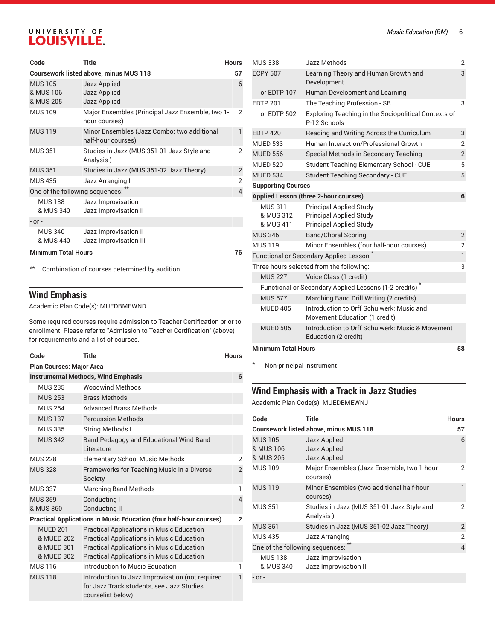| Code                                     | Title                                                             | <b>Hours</b>   |
|------------------------------------------|-------------------------------------------------------------------|----------------|
|                                          | <b>Coursework listed above, minus MUS 118</b>                     | 57             |
| <b>MUS 105</b><br>& MUS 106<br>& MUS 205 | Jazz Applied<br><b>Jazz Applied</b><br><b>Jazz Applied</b>        | 6              |
| <b>MUS 109</b>                           | Major Ensembles (Principal Jazz Ensemble, two 1-<br>hour courses) | 2              |
| <b>MUS 119</b>                           | Minor Ensembles (Jazz Combo; two additional<br>half-hour courses) | 1              |
| <b>MUS 351</b>                           | Studies in Jazz (MUS 351-01 Jazz Style and<br>Analysis)           | 2              |
| <b>MUS 351</b>                           | Studies in Jazz (MUS 351-02 Jazz Theory)                          | $\overline{2}$ |
| <b>MUS 435</b>                           | Jazz Arranging I                                                  | $\overline{2}$ |
| One of the following sequences:          |                                                                   | $\overline{4}$ |
| <b>MUS 138</b><br>& MUS 340              | Jazz Improvisation<br>Jazz Improvisation II                       |                |
| $-$ or $-$                               |                                                                   |                |
| <b>MUS 340</b><br>& MUS 440              | Jazz Improvisation II<br>Jazz Improvisation III                   |                |
| <b>Minimum Total Hours</b>               |                                                                   | 76             |

\*\* Combination of courses determined by audition.

## **Wind Emphasis**

Academic Plan Code(s): MUEDBMEWND

Some required courses require admission to Teacher Certification prior to enrollment. Please refer to "Admission to Teacher Certification" (above) for requirements and a list of courses.

| Code                                                      | Title                                                                                                                                                                                                        | <b>Hours</b>   |
|-----------------------------------------------------------|--------------------------------------------------------------------------------------------------------------------------------------------------------------------------------------------------------------|----------------|
| <b>Plan Courses: Major Area</b>                           |                                                                                                                                                                                                              |                |
|                                                           | <b>Instrumental Methods, Wind Emphasis</b>                                                                                                                                                                   | 6              |
| <b>MUS 235</b>                                            | <b>Woodwind Methods</b>                                                                                                                                                                                      |                |
| <b>MUS 253</b>                                            | <b>Brass Methods</b>                                                                                                                                                                                         |                |
| <b>MUS 254</b>                                            | Advanced Brass Methods                                                                                                                                                                                       |                |
| <b>MUS 137</b>                                            | <b>Percussion Methods</b>                                                                                                                                                                                    |                |
| <b>MUS 335</b>                                            | <b>String Methods I</b>                                                                                                                                                                                      |                |
| <b>MUS 342</b>                                            | Band Pedagogy and Educational Wind Band<br>Literature                                                                                                                                                        |                |
| <b>MUS 228</b>                                            | <b>Elementary School Music Methods</b>                                                                                                                                                                       | $\overline{2}$ |
| <b>MUS 328</b>                                            | Frameworks for Teaching Music in a Diverse<br>Society                                                                                                                                                        | $\overline{2}$ |
| <b>MUS 337</b>                                            | <b>Marching Band Methods</b>                                                                                                                                                                                 | 1              |
| <b>MUS 359</b><br>& MUS 360                               | Conducting I<br><b>Conducting II</b>                                                                                                                                                                         | 4              |
|                                                           | <b>Practical Applications in Music Education (four half-hour courses)</b>                                                                                                                                    | $\mathbf{2}$   |
| <b>MUED 201</b><br>& MUED 202<br>& MUED 301<br>& MUED 302 | <b>Practical Applications in Music Education</b><br><b>Practical Applications in Music Education</b><br><b>Practical Applications in Music Education</b><br><b>Practical Applications in Music Education</b> |                |
| <b>MUS 116</b>                                            | Introduction to Music Education                                                                                                                                                                              | 1              |
| <b>MUS 118</b>                                            | Introduction to Jazz Improvisation (not required<br>for Jazz Track students, see Jazz Studies<br>courselist below)                                                                                           |                |

| <b>MUS 338</b>             | Jazz Methods                                                               | 2              |
|----------------------------|----------------------------------------------------------------------------|----------------|
| <b>ECPY 507</b>            | Learning Theory and Human Growth and<br>Development                        | 3              |
| or EDTP 107                | Human Development and Learning                                             |                |
| <b>EDTP 201</b>            | The Teaching Profession - SB                                               | 3              |
| or EDTP 502                | Exploring Teaching in the Sociopolitical Contexts of<br>P-12 Schools       |                |
| <b>EDTP 420</b>            | Reading and Writing Across the Curriculum                                  | 3              |
| <b>MUED 533</b>            | Human Interaction/Professional Growth                                      | 2              |
| <b>MUED 556</b>            | Special Methods in Secondary Teaching                                      | $\overline{2}$ |
| <b>MUED 520</b>            | Student Teaching Elementary School - CUE                                   | 5              |
| <b>MUED 534</b>            | <b>Student Teaching Secondary - CUE</b>                                    | 5              |
| <b>Supporting Courses</b>  |                                                                            |                |
|                            | <b>Applied Lesson (three 2-hour courses)</b>                               | 6              |
| <b>MUS 311</b>             | <b>Principal Applied Study</b>                                             |                |
| & MUS 312                  | <b>Principal Applied Study</b>                                             |                |
| & MUS 411                  | <b>Principal Applied Study</b>                                             |                |
| <b>MUS 346</b>             | <b>Band/Choral Scoring</b>                                                 | $\overline{2}$ |
| <b>MUS 119</b>             | Minor Ensembles (four half-hour courses)                                   | $\overline{2}$ |
|                            | Functional or Secondary Applied Lesson                                     | $\mathbf{1}$   |
|                            | Three hours selected from the following:                                   | 3              |
| <b>MUS 227</b>             | Voice Class (1 credit)                                                     |                |
|                            | Functional or Secondary Applied Lessons (1-2 credits)                      |                |
| <b>MUS 577</b>             | Marching Band Drill Writing (2 credits)                                    |                |
| <b>MUFD 405</b>            | Introduction to Orff Schulwerk: Music and<br>Movement Education (1 credit) |                |
| <b>MUED 505</b>            | Introduction to Orff Schulwerk: Music & Movement<br>Education (2 credit)   |                |
| <b>Minimum Total Hours</b> |                                                                            | 58             |

\* Non-principal instrument

### **Wind Emphasis with a Track in Jazz Studies**

Academic Plan Code(s): MUEDBMEWNJ

| Code                                     | Title                                                   | <b>Hours</b>   |
|------------------------------------------|---------------------------------------------------------|----------------|
|                                          | <b>Coursework listed above, minus MUS 118</b>           | 57             |
| <b>MUS 105</b><br>& MUS 106<br>& MUS 205 | Jazz Applied<br>Jazz Applied<br>Jazz Applied            | 6              |
| <b>MUS 109</b>                           | Major Ensembles (Jazz Ensemble, two 1-hour<br>courses)  | 2              |
| <b>MUS 119</b>                           | Minor Ensembles (two additional half-hour<br>courses)   | 1              |
| <b>MUS 351</b>                           | Studies in Jazz (MUS 351-01 Jazz Style and<br>Analysis) | 2              |
| <b>MUS 351</b>                           | Studies in Jazz (MUS 351-02 Jazz Theory)                | $\overline{2}$ |
| <b>MUS 435</b>                           | Jazz Arranging I                                        | $\overline{2}$ |
| One of the following sequences:          |                                                         | 4              |
| <b>MUS 138</b><br>& MUS 340              | Jazz Improvisation<br>Jazz Improvisation II             |                |
| - or -                                   |                                                         |                |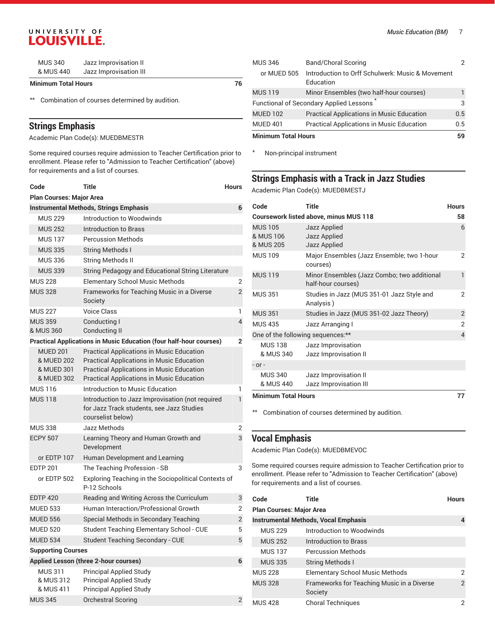| <b>MUS 340</b> | Jazz Improvisation II  |  |
|----------------|------------------------|--|
| & MUS 440      | Jazz Improvisation III |  |

#### **Minimum Total Hours 76**

\*\* Combination of courses determined by audition.

#### **Strings Emphasis**

Academic Plan Code(s): MUEDBMESTR

Some required courses require admission to Teacher Certification prior to enrollment. Please refer to "Admission to Teacher Certification" (above) for requirements and a list of courses.

| Code                                                      | Title                                                                                                                                                                                                 | Hours          |
|-----------------------------------------------------------|-------------------------------------------------------------------------------------------------------------------------------------------------------------------------------------------------------|----------------|
| <b>Plan Courses: Major Area</b>                           |                                                                                                                                                                                                       |                |
|                                                           | <b>Instrumental Methods, Strings Emphasis</b>                                                                                                                                                         | 6              |
| <b>MUS 229</b>                                            | Introduction to Woodwinds                                                                                                                                                                             |                |
| <b>MUS 252</b>                                            | Introduction to Brass                                                                                                                                                                                 |                |
| <b>MUS 137</b>                                            | <b>Percussion Methods</b>                                                                                                                                                                             |                |
| <b>MUS 335</b>                                            | <b>String Methods I</b>                                                                                                                                                                               |                |
| <b>MUS 336</b>                                            | String Methods II                                                                                                                                                                                     |                |
| <b>MUS 339</b>                                            | String Pedagogy and Educational String Literature                                                                                                                                                     |                |
| <b>MUS 228</b>                                            | <b>Elementary School Music Methods</b>                                                                                                                                                                | 2              |
| <b>MUS 328</b>                                            | Frameworks for Teaching Music in a Diverse<br>Society                                                                                                                                                 | $\overline{2}$ |
| <b>MUS 227</b>                                            | <b>Voice Class</b>                                                                                                                                                                                    | 1              |
| <b>MUS 359</b>                                            | Conducting I                                                                                                                                                                                          | 4              |
| & MUS 360                                                 | Conducting II                                                                                                                                                                                         |                |
|                                                           | <b>Practical Applications in Music Education (four half-hour courses)</b>                                                                                                                             | $\mathbf{2}$   |
| <b>MUED 201</b><br>& MUED 202<br>& MUED 301<br>& MUED 302 | <b>Practical Applications in Music Education</b><br><b>Practical Applications in Music Education</b><br>Practical Applications in Music Education<br><b>Practical Applications in Music Education</b> |                |
| <b>MUS 116</b>                                            | Introduction to Music Education                                                                                                                                                                       | 1              |
| <b>MUS 118</b>                                            | Introduction to Jazz Improvisation (not required<br>for Jazz Track students, see Jazz Studies<br>courselist below)                                                                                    | $\mathbf{1}$   |
| <b>MUS 338</b>                                            | Jazz Methods                                                                                                                                                                                          | 2              |
| <b>ECPY 507</b>                                           | Learning Theory and Human Growth and<br>Development                                                                                                                                                   | 3              |
| or EDTP 107                                               | Human Development and Learning                                                                                                                                                                        |                |
| <b>EDTP 201</b>                                           | The Teaching Profession - SB                                                                                                                                                                          | 3              |
| or EDTP 502                                               | Exploring Teaching in the Sociopolitical Contexts of<br>P-12 Schools                                                                                                                                  |                |
| <b>EDTP 420</b>                                           | Reading and Writing Across the Curriculum                                                                                                                                                             | 3              |
| <b>MUED 533</b>                                           | Human Interaction/Professional Growth                                                                                                                                                                 | 2              |
| <b>MUED 556</b>                                           | Special Methods in Secondary Teaching                                                                                                                                                                 | 2              |
| <b>MUED 520</b>                                           | Student Teaching Elementary School - CUE                                                                                                                                                              | 5              |
| <b>MUED 534</b>                                           | <b>Student Teaching Secondary - CUE</b>                                                                                                                                                               | 5              |
| <b>Supporting Courses</b>                                 |                                                                                                                                                                                                       |                |
|                                                           | <b>Applied Lesson (three 2-hour courses)</b>                                                                                                                                                          | 6              |
| <b>MUS 311</b><br>& MUS 312<br>& MUS 411                  | <b>Principal Applied Study</b><br><b>Principal Applied Study</b><br><b>Principal Applied Study</b>                                                                                                    |                |
| <b>MUS 345</b>                                            | <b>Orchestral Scoring</b>                                                                                                                                                                             | $\overline{2}$ |

| <b>MUS 346</b>             | Band/Choral Scoring                                           |     |
|----------------------------|---------------------------------------------------------------|-----|
| or MUED 505                | Introduction to Orff Schulwerk: Music & Movement<br>Education |     |
| <b>MUS 119</b>             | Minor Ensembles (two half-hour courses)                       |     |
|                            | Functional of Secondary Applied Lessons                       | 3   |
| <b>MUED 102</b>            | <b>Practical Applications in Music Education</b>              | 0.5 |
| <b>MUED 401</b>            | <b>Practical Applications in Music Education</b>              | 0.5 |
| <b>Minimum Total Hours</b> |                                                               | 59  |

\* Non-principal instrument

### **Strings Emphasis with a Track in Jazz Studies**

Academic Plan Code(s): MUEDBMESTJ

| Code                                     | Title                                                             | <b>Hours</b>   |
|------------------------------------------|-------------------------------------------------------------------|----------------|
|                                          | <b>Coursework listed above, minus MUS 118</b>                     | 58             |
| <b>MUS 105</b><br>& MUS 106<br>& MUS 205 | Jazz Applied<br>Jazz Applied<br>Jazz Applied                      | 6              |
| <b>MUS 109</b>                           | Major Ensembles (Jazz Ensemble; two 1-hour<br>courses)            | 2              |
| <b>MUS 119</b>                           | Minor Ensembles (Jazz Combo; two additional<br>half-hour courses) | 1              |
| <b>MUS 351</b>                           | Studies in Jazz (MUS 351-01 Jazz Style and<br>Analysis)           | $\mathcal{P}$  |
| <b>MUS 351</b>                           | Studies in Jazz (MUS 351-02 Jazz Theory)                          | $\overline{2}$ |
| <b>MUS 435</b>                           | Jazz Arranging I                                                  | $\overline{2}$ |
|                                          | One of the following sequences:**                                 | $\overline{4}$ |
| <b>MUS 138</b><br>& MUS 340              | Jazz Improvisation<br>Jazz Improvisation II                       |                |
| $-$ or $-$                               |                                                                   |                |
| <b>MUS 340</b><br>& MUS 440              | Jazz Improvisation II<br>Jazz Improvisation III                   |                |
| <b>Minimum Total Hours</b>               |                                                                   | 77             |

\*\* Combination of courses determined by audition.

#### **Vocal Emphasis**

Academic Plan Code(s): MUEDBMEVOC

Some required courses require admission to Teacher Certification prior to enrollment. Please refer to "Admission to Teacher Certification" (above) for requirements and a list of courses.

| Code                            | Title                                                 | <b>Hours</b> |
|---------------------------------|-------------------------------------------------------|--------------|
| <b>Plan Courses: Major Area</b> |                                                       |              |
|                                 | <b>Instrumental Methods, Vocal Emphasis</b>           | 4            |
| <b>MUS 229</b>                  | Introduction to Woodwinds                             |              |
| <b>MUS 252</b>                  | Introduction to Brass                                 |              |
| <b>MUS 137</b>                  | <b>Percussion Methods</b>                             |              |
| <b>MUS 335</b>                  | <b>String Methods I</b>                               |              |
| <b>MUS 228</b>                  | <b>Elementary School Music Methods</b>                | 2            |
| <b>MUS 328</b>                  | Frameworks for Teaching Music in a Diverse<br>Society | 2            |
| <b>MUS 428</b>                  | <b>Choral Techniques</b>                              | 2            |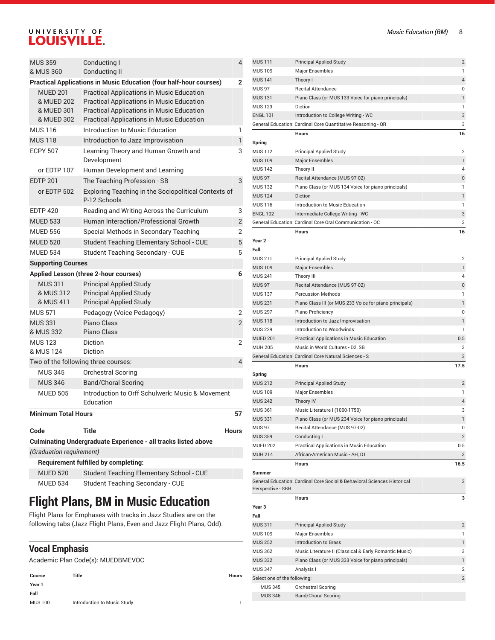| <b>MUS 359</b><br>& MUS 360                               | Conducting I<br><b>Conducting II</b>                                                                                                                                                                         | $\overline{4}$ |
|-----------------------------------------------------------|--------------------------------------------------------------------------------------------------------------------------------------------------------------------------------------------------------------|----------------|
|                                                           | <b>Practical Applications in Music Education (four half-hour courses)</b>                                                                                                                                    | $\mathbf{2}$   |
| <b>MUED 201</b><br>& MUED 202<br>& MUED 301<br>& MUED 302 | <b>Practical Applications in Music Education</b><br><b>Practical Applications in Music Education</b><br><b>Practical Applications in Music Education</b><br><b>Practical Applications in Music Education</b> |                |
| <b>MUS 116</b>                                            | Introduction to Music Education                                                                                                                                                                              | 1              |
| <b>MUS 118</b>                                            | Introduction to Jazz Improvisation                                                                                                                                                                           | $\mathbf{1}$   |
| <b>ECPY 507</b>                                           | Learning Theory and Human Growth and<br>Development                                                                                                                                                          | 3              |
| or EDTP 107                                               | Human Development and Learning                                                                                                                                                                               |                |
| <b>EDTP 201</b>                                           | The Teaching Profession - SB                                                                                                                                                                                 | 3              |
| or EDTP 502                                               | Exploring Teaching in the Sociopolitical Contexts of<br>P-12 Schools                                                                                                                                         |                |
| <b>EDTP 420</b>                                           | Reading and Writing Across the Curriculum                                                                                                                                                                    | 3              |
| <b>MUED 533</b>                                           | Human Interaction/Professional Growth                                                                                                                                                                        | $\overline{2}$ |
| <b>MUED 556</b>                                           | Special Methods in Secondary Teaching                                                                                                                                                                        | $\overline{2}$ |
| <b>MUED 520</b>                                           | <b>Student Teaching Elementary School - CUE</b>                                                                                                                                                              | 5              |
| <b>MUED 534</b>                                           | <b>Student Teaching Secondary - CUE</b>                                                                                                                                                                      | 5              |
| <b>Supporting Courses</b>                                 |                                                                                                                                                                                                              |                |
|                                                           | Applied Lesson (three 2-hour courses)                                                                                                                                                                        | 6              |
| <b>MUS 311</b><br>& MUS 312<br>& MUS 411                  | <b>Principal Applied Study</b><br><b>Principal Applied Study</b><br><b>Principal Applied Study</b>                                                                                                           |                |
| <b>MUS 571</b>                                            | Pedagogy (Voice Pedagogy)                                                                                                                                                                                    | 2              |
| <b>MUS 331</b><br>& MUS 332                               | Piano Class<br>Piano Class                                                                                                                                                                                   | $\overline{2}$ |
| <b>MUS 123</b><br>& MUS 124                               | <b>Diction</b><br>Diction                                                                                                                                                                                    | $\overline{2}$ |
|                                                           | Two of the following three courses:                                                                                                                                                                          | $\overline{4}$ |
| <b>MUS 345</b>                                            | <b>Orchestral Scoring</b>                                                                                                                                                                                    |                |
| <b>MUS 346</b>                                            | <b>Band/Choral Scoring</b>                                                                                                                                                                                   |                |
| <b>MUED 505</b>                                           | Introduction to Orff Schulwerk: Music & Movement<br>Education                                                                                                                                                |                |
| <b>Minimum Total Hours</b>                                |                                                                                                                                                                                                              | 57             |
| Code                                                      | <b>Title</b>                                                                                                                                                                                                 | <b>Hours</b>   |
|                                                           | Culminating Undergraduate Experience - all tracks listed above                                                                                                                                               |                |
| (Graduation requirement)                                  |                                                                                                                                                                                                              |                |
|                                                           | <b>Requirement fulfilled by completing:</b>                                                                                                                                                                  |                |

| <b>MUED 534</b> | Student Teaching Secondary - CUE    |
|-----------------|-------------------------------------|
|                 | Flight Dlane, DM in Music Education |

MUED 520 Student Teaching Elementary School - CUE

## **Flight Plans, BM in Music Education**

Flight Plans for Emphases with tracks in Jazz Studies are on the following tabs (Jazz Flight Plans, Even and Jazz Flight Plans, Odd).

#### **Vocal Emphasis**

Academic Plan Code(s): MUEDBMEVOC

| Course         | Title                       | Hours |
|----------------|-----------------------------|-------|
| Year 1         |                             |       |
| Fall           |                             |       |
| <b>MUS 100</b> | Introduction to Music Study |       |

| <b>MUS 111</b>    | <b>Principal Applied Study</b>                               | 2              |
|-------------------|--------------------------------------------------------------|----------------|
| <b>MUS109</b>     | <b>Major Ensembles</b>                                       | 1              |
| <b>MUS 141</b>    | Theory I                                                     | 4              |
| <b>MUS 97</b>     | <b>Recital Attendance</b>                                    | 0              |
| <b>MUS 131</b>    | Piano Class (or MUS 133 Voice for piano principals)          | $\mathbf{1}$   |
| <b>MUS 123</b>    | <b>Diction</b>                                               | 1              |
| <b>ENGL 101</b>   | Introduction to College Writing - WC                         | 3              |
|                   | General Education: Cardinal Core Quantitative Reasoning - QR | 3              |
|                   | <b>Hours</b>                                                 | 16             |
| Spring            |                                                              |                |
| <b>MUS 112</b>    | <b>Principal Applied Study</b>                               | $\overline{2}$ |
| <b>MUS109</b>     | <b>Major Ensembles</b>                                       | 1              |
| <b>MUS 142</b>    | Theory II                                                    | 4              |
| <b>MUS 97</b>     | Recital Attendance (MUS 97-02)                               | $\pmb{0}$      |
| <b>MUS 132</b>    | Piano Class (or MUS 134 Voice for piano principals)          | 1              |
| <b>MUS 124</b>    | <b>Diction</b>                                               | $\mathbf{1}$   |
| <b>MUS 116</b>    | Introduction to Music Education                              | 1              |
| <b>ENGL 102</b>   | Intermediate College Writing - WC                            | 3              |
|                   | General Education: Cardinal Core Oral Communication - OC     | 3              |
|                   | <b>Hours</b>                                                 | 16             |
| Year <sub>2</sub> |                                                              |                |
| Fall              |                                                              |                |
| <b>MUS 211</b>    | <b>Principal Applied Study</b>                               | $\overline{2}$ |
| <b>MUS109</b>     | <b>Major Ensembles</b>                                       | $\mathbf{1}$   |
| <b>MUS 241</b>    | Theory III                                                   | 4              |
| <b>MUS 97</b>     | Recital Attendance (MUS 97-02)                               | 0              |
| <b>MUS 137</b>    | <b>Percussion Methods</b>                                    | 1              |
| <b>MUS 231</b>    | Piano Class III (or MUS 233 Voice for piano principals)      | 1              |
| <b>MUS 297</b>    | Piano Proficiency                                            | 0              |
| <b>MUS118</b>     | Introduction to Jazz Improvisation                           | 1              |
| <b>MUS 229</b>    | Introduction to Woodwinds                                    | 1              |

MUED 201 Practical Applications in Music Education 0.5 MUH 205 Music in World Cultures - D2, SB 3 General Education: Cardinal Core Natural Sciences - S 3

MUS 212 **Principal Applied Study 2 Principal Applied Study** 2 MUS 109 Major Ensembles 1 MUS 242 Theory IV 4 MUS 361 Music Literature I (1000-1750) 3 MUS 331 Piano Class (or MUS 234 Voice for piano principals) 1 MUS 97 Recital Attendance (MUS 97-02) 0 MUS 359 Conducting I 2 MUED 202 Practical Applications in Music Education 0.5 MUH 214 African-American Music - AH, D1 3

General Education: Cardinal Core Social & Behavioral Sciences Historical

**Hours 17.5**

**Hours 16.5**

**Hours 3**

MUS 311 Principal Applied Study 2 MUS 109 Major Ensembles 1 MUS 252 Introduction to Brass 1 MUS 362 Music Literature II (Classical & Early Romantic Music) 3 MUS 332 Piano Class (or MUS 333 Voice for piano principals) 1 MUS 347 Analysis I 2 Select one of the following: 2

3

MUS 111 Principal Applie

**Spring**

**Summer**

**Year 3 Fall**

Perspective - SBH

MUS 345 Orchestral Scoring MUS 346 Band/Choral Scoring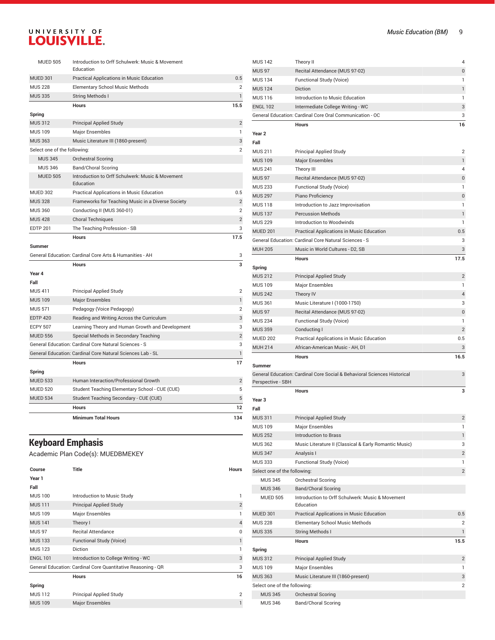|                              | <b>Minimum Total Hours</b>                                 | 134            |
|------------------------------|------------------------------------------------------------|----------------|
|                              | <b>Hours</b>                                               | 12             |
| <b>MUED 534</b>              | Student Teaching Secondary - CUE (CUE)                     | 5              |
| <b>MUED 520</b>              | Student Teaching Elementary School - CUE (CUE)             | 5              |
| <b>MUED 533</b>              | Human Interaction/Professional Growth                      | $\overline{2}$ |
| Spring                       |                                                            |                |
|                              | <b>Hours</b>                                               | 17             |
|                              | General Education: Cardinal Core Natural Sciences Lab - SL | 1              |
|                              | General Education: Cardinal Core Natural Sciences - S      | 3              |
| <b>MUED 556</b>              | Special Methods in Secondary Teaching                      | $\overline{2}$ |
| <b>ECPY 507</b>              | Learning Theory and Human Growth and Development           | 3              |
| <b>EDTP 420</b>              | Reading and Writing Across the Curriculum                  | 3              |
| <b>MUS 571</b>               | Pedagogy (Voice Pedagogy)                                  | $\overline{2}$ |
| <b>MUS 109</b>               | <b>Major Ensembles</b>                                     | $\mathbf{1}$   |
| <b>MUS411</b>                | <b>Principal Applied Study</b>                             | $\overline{2}$ |
| Fall                         |                                                            |                |
| Year 4                       |                                                            |                |
|                              | <b>Hours</b>                                               | 3              |
| <b>Summer</b>                | General Education: Cardinal Core Arts & Humanities - AH    | 3              |
|                              | <b>Hours</b>                                               | 17.5           |
| <b>EDTP 201</b>              | The Teaching Profession - SB                               | 3              |
| <b>MUS 428</b>               | <b>Choral Techniques</b>                                   | $\overline{2}$ |
| <b>MUS 360</b>               | Conducting II (MUS 360-01)                                 | $\overline{2}$ |
| <b>MUS 328</b>               | Frameworks for Teaching Music in a Diverse Society         | $\overline{2}$ |
| <b>MUED 302</b>              | Practical Applications in Music Education                  | 0.5            |
|                              | Education                                                  |                |
| <b>MUED 505</b>              | Introduction to Orff Schulwerk: Music & Movement           |                |
| <b>MUS 346</b>               | <b>Band/Choral Scoring</b>                                 |                |
| <b>MUS 345</b>               | Orchestral Scoring                                         |                |
| Select one of the following: |                                                            | $\overline{2}$ |
| <b>MUS 363</b>               | Music Literature III (1860-present)                        | 3              |
| <b>MUS 109</b>               | Major Ensembles                                            | $\mathbf{1}$   |
| Spring<br><b>MUS 312</b>     | <b>Principal Applied Study</b>                             | $\overline{2}$ |
|                              | <b>Hours</b>                                               | 15.5           |
| <b>MUS 335</b>               | <b>String Methods I</b>                                    | $\mathbf{1}$   |
| <b>MUS 228</b>               | <b>Elementary School Music Methods</b>                     | $\overline{2}$ |
| <b>MUED 301</b>              | Practical Applications in Music Education                  | 0.5            |
|                              | Education                                                  |                |
| <b>MUED 505</b>              | Introduction to Orff Schulwerk: Music & Movement           |                |

## **Keyboard Emphasis**

Academic Plan Code(s): MUEDBMEKEY

| Course          | Title                                                        | <b>Hours</b>   |
|-----------------|--------------------------------------------------------------|----------------|
| Year 1          |                                                              |                |
| Fall            |                                                              |                |
| <b>MUS 100</b>  | Introduction to Music Study                                  | 1              |
| <b>MUS 111</b>  | <b>Principal Applied Study</b>                               | $\overline{2}$ |
| <b>MUS 109</b>  | Major Ensembles                                              | 1              |
| <b>MUS 141</b>  | Theory I                                                     | $\overline{4}$ |
| <b>MUS 97</b>   | <b>Recital Attendance</b>                                    | 0              |
| <b>MUS 133</b>  | Functional Study (Voice)                                     | 1              |
| <b>MUS 123</b>  | <b>Diction</b>                                               | 1              |
| <b>ENGL 101</b> | Introduction to College Writing - WC                         | 3              |
|                 | General Education: Cardinal Core Quantitative Reasoning - QR | 3              |
|                 | <b>Hours</b>                                                 | 16             |
| Spring          |                                                              |                |
| <b>MUS 112</b>  | Principal Applied Study                                      | $\overline{2}$ |
| <b>MUS 109</b>  | <b>Major Ensembles</b>                                       |                |

| <b>MUS 142</b>                   | Theory II                                                                                                 | 4              |
|----------------------------------|-----------------------------------------------------------------------------------------------------------|----------------|
| <b>MUS 97</b>                    | Recital Attendance (MUS 97-02)                                                                            | $\mathbf{0}$   |
| <b>MUS 134</b>                   | Functional Study (Voice)                                                                                  | 1              |
| <b>MUS 124</b>                   | Diction                                                                                                   | 1              |
| <b>MUS 116</b>                   | Introduction to Music Education                                                                           | 1              |
| <b>ENGL 102</b>                  | Intermediate College Writing - WC                                                                         | 3              |
|                                  | General Education: Cardinal Core Oral Communication - OC                                                  | 3              |
|                                  | <b>Hours</b>                                                                                              | 16             |
| Year 2                           |                                                                                                           |                |
| Fall                             |                                                                                                           |                |
| <b>MUS 211</b>                   | <b>Principal Applied Study</b>                                                                            | $\overline{2}$ |
| <b>MUS109</b>                    | <b>Major Ensembles</b>                                                                                    | 1              |
| <b>MUS 241</b>                   | Theory III                                                                                                | 4              |
| <b>MUS 97</b>                    | Recital Attendance (MUS 97-02)                                                                            | 0              |
| <b>MUS 233</b>                   | Functional Study (Voice)                                                                                  | 1              |
| <b>MUS 297</b>                   | Piano Proficiency                                                                                         | $\mathbf 0$    |
| <b>MUS 118</b>                   | Introduction to Jazz Improvisation                                                                        | 1              |
| <b>MUS 137</b>                   | <b>Percussion Methods</b>                                                                                 | 1              |
| <b>MUS 229</b>                   | Introduction to Woodwinds                                                                                 | 1              |
|                                  |                                                                                                           | 0.5            |
| <b>MUED 201</b>                  | Practical Applications in Music Education<br><b>General Education: Cardinal Core Natural Sciences - S</b> |                |
|                                  |                                                                                                           | 3              |
| <b>MUH 205</b>                   | Music in World Cultures - D2, SB                                                                          | 3              |
|                                  | <b>Hours</b>                                                                                              | 17.5           |
| Spring                           |                                                                                                           |                |
| <b>MUS 212</b>                   | <b>Principal Applied Study</b>                                                                            | $\overline{2}$ |
| <b>MUS 109</b>                   | Major Ensembles                                                                                           | 1              |
| <b>MUS 242</b>                   | Theory IV                                                                                                 | 4              |
| <b>MUS 361</b>                   | Music Literature I (1000-1750)                                                                            | 3              |
| <b>MUS 97</b>                    | Recital Attendance (MUS 97-02)                                                                            | $\mathbf 0$    |
| <b>MUS 234</b>                   | Functional Study (Voice)                                                                                  | 1              |
| <b>MUS 359</b>                   | Conducting I                                                                                              | $\overline{2}$ |
| <b>MUED 202</b>                  | Practical Applications in Music Education                                                                 | 0.5            |
| <b>MUH 214</b>                   | African-American Music - AH, D1                                                                           | 3              |
|                                  | <b>Hours</b>                                                                                              | 16.5           |
| <b>Summer</b>                    |                                                                                                           |                |
|                                  | General Education: Cardinal Core Social & Behavioral Sciences Historical                                  | 3              |
| Perspective - SBH                |                                                                                                           |                |
|                                  | <b>Hours</b>                                                                                              | з              |
| Year 3                           |                                                                                                           |                |
| Fall                             |                                                                                                           |                |
| <b>MUS 311</b>                   | <b>Principal Applied Study</b>                                                                            | $\overline{2}$ |
| <b>MUS 109</b>                   | Major Ensembles                                                                                           | 1              |
| <b>MUS 252</b>                   | <b>Introduction to Brass</b>                                                                              | 1              |
| <b>MUS 362</b>                   | Music Literature II (Classical & Early Romantic Music)                                                    | 3              |
| <b>MUS 347</b>                   | Analysis I                                                                                                | $\overline{2}$ |
| <b>MUS 333</b>                   | Functional Study (Voice)                                                                                  | 1              |
| Select one of the following:     |                                                                                                           | $\overline{2}$ |
| <b>MUS 345</b>                   | Orchestral Scoring                                                                                        |                |
| <b>MUS 346</b>                   | <b>Band/Choral Scoring</b>                                                                                |                |
| <b>MUED 505</b>                  | Introduction to Orff Schulwerk: Music & Movement<br>Education                                             |                |
| <b>MUED 301</b>                  | Practical Applications in Music Education                                                                 | 0.5            |
| <b>MUS 228</b>                   | <b>Elementary School Music Methods</b>                                                                    | 2              |
| <b>MUS 335</b>                   | String Methods I                                                                                          | $\mathbf{1}$   |
|                                  | <b>Hours</b>                                                                                              | 15.5           |
|                                  |                                                                                                           |                |
| Spring                           |                                                                                                           | $\overline{2}$ |
| <b>MUS 312</b><br><b>MUS 109</b> | <b>Principal Applied Study</b><br>Major Ensembles                                                         | 1              |
| <b>MUS 363</b>                   |                                                                                                           | 3              |
|                                  | Music Literature III (1860-present)                                                                       |                |
| Select one of the following:     |                                                                                                           | $\overline{2}$ |
| <b>MUS 345</b><br><b>MUS 346</b> | Orchestral Scoring                                                                                        |                |
|                                  | Band/Choral Scoring                                                                                       |                |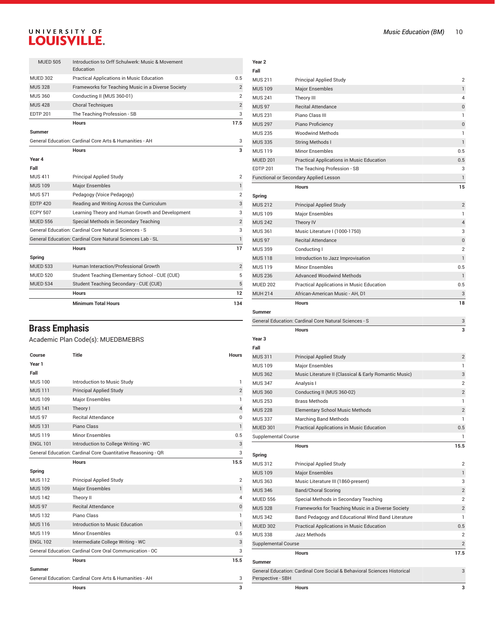|                 | <b>Minimum Total Hours</b>                                    | 134            |
|-----------------|---------------------------------------------------------------|----------------|
|                 | <b>Hours</b>                                                  | 12             |
| <b>MUED 534</b> | Student Teaching Secondary - CUE (CUE)                        | 5              |
| <b>MUED 520</b> | Student Teaching Elementary School - CUE (CUE)                | 5              |
| <b>MUED 533</b> | Human Interaction/Professional Growth                         | $\overline{2}$ |
| Spring          |                                                               |                |
|                 | <b>Hours</b>                                                  | 17             |
|                 | General Education: Cardinal Core Natural Sciences Lab - SL    | $\mathbf{1}$   |
|                 | General Education: Cardinal Core Natural Sciences - S         | 3              |
| <b>MUED 556</b> | Special Methods in Secondary Teaching                         | $\overline{2}$ |
| <b>ECPY 507</b> | Learning Theory and Human Growth and Development              | 3              |
| <b>EDTP 420</b> | Reading and Writing Across the Curriculum                     | 3              |
| <b>MUS 571</b>  | Pedagogy (Voice Pedagogy)                                     | $\overline{2}$ |
| <b>MUS 109</b>  | <b>Major Ensembles</b>                                        | $\mathbf{1}$   |
| <b>MUS 411</b>  | Principal Applied Study                                       | $\overline{2}$ |
| Fall            |                                                               |                |
| Year 4          |                                                               |                |
|                 | Hours                                                         | 3              |
|                 | General Education: Cardinal Core Arts & Humanities - AH       | 3              |
| <b>Summer</b>   |                                                               |                |
|                 | <b>Hours</b>                                                  | 17.5           |
| <b>EDTP 201</b> | The Teaching Profession - SB                                  | 3              |
| <b>MUS 428</b>  | <b>Choral Techniques</b>                                      | $\overline{2}$ |
| <b>MUS 360</b>  | Conducting II (MUS 360-01)                                    | $\overline{2}$ |
| <b>MUS 328</b>  | Frameworks for Teaching Music in a Diverse Society            | $\overline{2}$ |
| <b>MUED 302</b> | Practical Applications in Music Education                     | 0.5            |
| <b>MUED 505</b> | Introduction to Orff Schulwerk: Music & Movement<br>Education |                |

**Year 2 Fall**

MUS 211 Principal Applied Study MUS 109 Major Ensembles MUS 241 Theory III MUS 97 Recital Attendance

## **Brass Emphasis**

#### Academic Plan Code(s): MUEDBMEBRS

| Course          | <b>Title</b>                                                 | <b>Hours</b>   |
|-----------------|--------------------------------------------------------------|----------------|
| Year 1          |                                                              |                |
| Fall            |                                                              |                |
| <b>MUS 100</b>  | Introduction to Music Study                                  | $\mathbf{1}$   |
| <b>MUS111</b>   | <b>Principal Applied Study</b>                               | $\overline{2}$ |
| <b>MUS 109</b>  | Major Ensembles                                              | 1              |
| <b>MUS 141</b>  | Theory I                                                     | $\overline{4}$ |
| <b>MUS 97</b>   | <b>Recital Attendance</b>                                    | $\Omega$       |
| <b>MUS 131</b>  | Piano Class                                                  | $\mathbf{1}$   |
| <b>MUS119</b>   | Minor Ensembles                                              | 0.5            |
| <b>ENGL 101</b> | Introduction to College Writing - WC                         | 3              |
|                 | General Education: Cardinal Core Quantitative Reasoning - QR | 3              |
|                 | <b>Hours</b>                                                 | 15.5           |
| Spring          |                                                              |                |
| <b>MUS112</b>   | <b>Principal Applied Study</b>                               | $\overline{2}$ |
| <b>MUS 109</b>  | <b>Major Ensembles</b>                                       | $\mathbf{1}$   |
| <b>MUS 142</b>  | Theory II                                                    | $\overline{4}$ |
| <b>MUS 97</b>   | <b>Recital Attendance</b>                                    | $\bf 0$        |
| <b>MUS132</b>   | Piano Class                                                  | $\mathbf{1}$   |
| <b>MUS 116</b>  | Introduction to Music Education                              | $\mathbf{1}$   |
| <b>MUS119</b>   | Minor Ensembles                                              | 0.5            |
| <b>ENGL 102</b> | Intermediate College Writing - WC                            | 3              |
|                 | General Education: Cardinal Core Oral Communication - OC     | 3              |
|                 | <b>Hours</b>                                                 | 15.5           |
| <b>Summer</b>   |                                                              |                |
|                 | General Education: Cardinal Core Arts & Humanities - AH      | 3              |
|                 | <b>Hours</b>                                                 | 3              |

| <b>Music Education (BM)</b> | ΙU             |
|-----------------------------|----------------|
|                             |                |
|                             |                |
|                             |                |
|                             |                |
|                             |                |
|                             | $\overline{2}$ |
|                             | 1              |
|                             | 4              |
|                             | $\Omega$       |
|                             |                |
|                             | $\Omega$       |
|                             |                |
|                             |                |

| MUS 231                    | Piano Class III                                                          | 1              |
|----------------------------|--------------------------------------------------------------------------|----------------|
| <b>MUS 297</b>             | Piano Proficiency                                                        | 0              |
| <b>MUS 235</b>             | <b>Woodwind Methods</b>                                                  | 1              |
| <b>MUS 335</b>             | <b>String Methods I</b>                                                  | $\mathbf{1}$   |
| <b>MUS 119</b>             | <b>Minor Ensembles</b>                                                   | 0.5            |
| <b>MUED 201</b>            | Practical Applications in Music Education                                | 0.5            |
| <b>EDTP 201</b>            | The Teaching Profession - SB                                             | 3              |
|                            | Functional or Secondary Applied Lesson                                   | $\mathbf{1}$   |
|                            | <b>Hours</b>                                                             | 15             |
| Spring                     |                                                                          |                |
| <b>MUS 212</b>             | <b>Principal Applied Study</b>                                           | $\overline{2}$ |
| <b>MUS 109</b>             | <b>Major Ensembles</b>                                                   | 1              |
| <b>MUS 242</b>             | Theory IV                                                                | 4              |
| <b>MUS 361</b>             | Music Literature I (1000-1750)                                           | 3              |
| <b>MUS 97</b>              | <b>Recital Attendance</b>                                                | 0              |
| <b>MUS 359</b>             | Conducting I                                                             | 2              |
| <b>MUS 118</b>             | Introduction to Jazz Improvisation                                       | 1              |
| <b>MUS 119</b>             | <b>Minor Ensembles</b>                                                   | 0.5            |
| <b>MUS 236</b>             | <b>Advanced Woodwind Methods</b>                                         | 1              |
| <b>MUED 202</b>            | Practical Applications in Music Education                                | 0.5            |
| <b>MUH 214</b>             | African-American Music - AH. D1                                          | 3              |
|                            | <b>Hours</b>                                                             | 18             |
| <b>Summer</b>              |                                                                          |                |
|                            | General Education: Cardinal Core Natural Sciences - S                    | 3              |
|                            | <b>Hours</b>                                                             | 3              |
| Year <sub>3</sub>          |                                                                          |                |
| Fall                       |                                                                          |                |
| <b>MUS 311</b>             | <b>Principal Applied Study</b>                                           | $\overline{2}$ |
| <b>MUS 109</b>             | Major Ensembles                                                          | 1              |
| <b>MUS 362</b>             | Music Literature II (Classical & Early Romantic Music)                   | 3              |
| <b>MUS 347</b>             | Analysis I                                                               | $\overline{2}$ |
| <b>MUS 360</b>             | Conducting II (MUS 360-02)                                               | $\overline{2}$ |
| <b>MUS 253</b>             | <b>Brass Methods</b>                                                     | 1              |
| <b>MUS 228</b>             | <b>Elementary School Music Methods</b>                                   | $\overline{2}$ |
| <b>MUS 337</b>             | Marching Band Methods                                                    | 1              |
| <b>MUED 301</b>            | Practical Applications in Music Education                                | 0.5            |
| <b>Supplemental Course</b> |                                                                          | 1              |
|                            | Hours                                                                    | 15.5           |
| Spring                     |                                                                          |                |
| <b>MUS 312</b>             | <b>Principal Applied Study</b>                                           | 2              |
| <b>MUS 109</b>             | <b>Major Ensembles</b>                                                   | 1              |
| <b>MUS 363</b>             | Music Literature III (1860-present)                                      | 3              |
| <b>MUS 346</b>             | <b>Band/Choral Scoring</b>                                               | 2              |
| <b>MUED 556</b>            | Special Methods in Secondary Teaching                                    | $\overline{2}$ |
| <b>MUS 328</b>             | Frameworks for Teaching Music in a Diverse Society                       | $\overline{2}$ |
| <b>MUS 342</b>             | Band Pedagogy and Educational Wind Band Literature                       | 1              |
| <b>MUED 302</b>            | Practical Applications in Music Education                                | 0.5            |
| <b>MUS 338</b>             | Jazz Methods                                                             | 2              |
| <b>Supplemental Course</b> |                                                                          | 2              |
|                            | Hours                                                                    | 17.5           |
| <b>Summer</b>              |                                                                          |                |
| Perspective - SBH          | General Education: Cardinal Core Social & Behavioral Sciences Historical | 3              |
|                            | Hours                                                                    | 3              |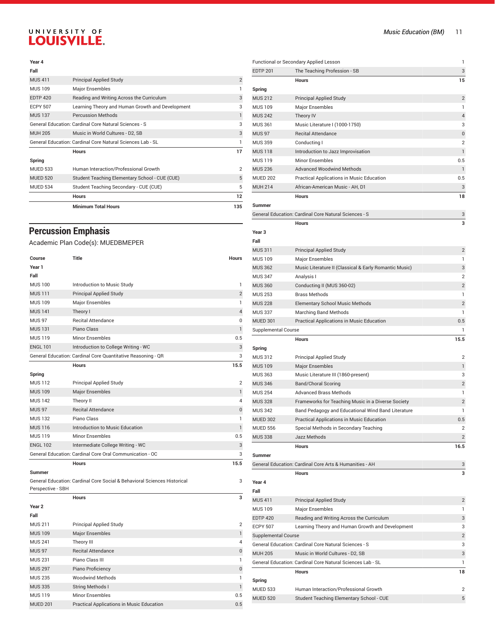#### **Year 4**

|                 | <b>Minimum Total Hours</b>                                 | 135            |
|-----------------|------------------------------------------------------------|----------------|
|                 | <b>Hours</b>                                               | 12             |
| <b>MUED 534</b> | Student Teaching Secondary - CUE (CUE)                     | 5              |
| <b>MUED 520</b> | Student Teaching Elementary School - CUE (CUE)             | 5              |
| <b>MUED 533</b> | Human Interaction/Professional Growth                      | $\overline{2}$ |
| Spring          |                                                            |                |
|                 | <b>Hours</b>                                               | 17             |
|                 | General Education: Cardinal Core Natural Sciences Lab - SL |                |
| <b>MUH 205</b>  | Music in World Cultures - D2, SB                           | 3              |
|                 | General Education: Cardinal Core Natural Sciences - S      | 3              |
| <b>MUS 137</b>  | <b>Percussion Methods</b>                                  | 1              |
| <b>ECPY 507</b> | Learning Theory and Human Growth and Development           | 3              |
| <b>EDTP 420</b> | Reading and Writing Across the Curriculum                  | 3              |
| <b>MUS 109</b>  | <b>Major Ensembles</b>                                     |                |
| <b>MUS411</b>   | <b>Principal Applied Study</b>                             | $\overline{2}$ |
| Fall            |                                                            |                |

## **Percussion Emphasis**

Academic Plan Code(s): MUEDBMEPER

| Course            | <b>Title</b>                                                             | <b>Hours</b>   |
|-------------------|--------------------------------------------------------------------------|----------------|
| Year 1            |                                                                          |                |
| Fall              |                                                                          |                |
| <b>MUS 100</b>    | Introduction to Music Study                                              | 1              |
| <b>MUS111</b>     | <b>Principal Applied Study</b>                                           | $\overline{2}$ |
| <b>MUS 109</b>    | <b>Major Ensembles</b>                                                   | $\mathbf{1}$   |
| <b>MUS 141</b>    | Theory I                                                                 | $\overline{4}$ |
| <b>MUS 97</b>     | <b>Recital Attendance</b>                                                | 0              |
| <b>MUS131</b>     | Piano Class                                                              | $\mathbf{1}$   |
| <b>MUS 119</b>    | <b>Minor Ensembles</b>                                                   | 0.5            |
| <b>ENGL 101</b>   | Introduction to College Writing - WC                                     | 3              |
|                   | General Education: Cardinal Core Quantitative Reasoning - QR             | 3              |
|                   | <b>Hours</b>                                                             | 15.5           |
| Spring            |                                                                          |                |
| <b>MUS 112</b>    | Principal Applied Study                                                  | $\overline{2}$ |
| <b>MUS 109</b>    | <b>Major Ensembles</b>                                                   | $\mathbf{1}$   |
| <b>MUS 142</b>    | Theory II                                                                | 4              |
| <b>MUS 97</b>     | <b>Recital Attendance</b>                                                | $\pmb{0}$      |
| <b>MUS 132</b>    | Piano Class                                                              | 1              |
| <b>MUS 116</b>    | Introduction to Music Education                                          | $\mathbf{1}$   |
| <b>MUS 119</b>    | <b>Minor Ensembles</b>                                                   | 0.5            |
| <b>ENGL 102</b>   | Intermediate College Writing - WC                                        | 3              |
|                   | General Education: Cardinal Core Oral Communication - OC                 | 3              |
|                   | <b>Hours</b>                                                             | 15.5           |
| <b>Summer</b>     |                                                                          |                |
| Perspective - SBH | General Education: Cardinal Core Social & Behavioral Sciences Historical | 3              |
|                   | <b>Hours</b>                                                             | 3              |
| Year <sub>2</sub> |                                                                          |                |
| Fall              |                                                                          |                |
| <b>MUS 211</b>    | Principal Applied Study                                                  | $\overline{2}$ |
| <b>MUS 109</b>    | <b>Major Ensembles</b>                                                   | $\mathbf{1}$   |
| <b>MUS 241</b>    | Theory III                                                               | 4              |
| <b>MUS 97</b>     | <b>Recital Attendance</b>                                                | $\pmb{0}$      |
| <b>MUS 231</b>    | Piano Class III                                                          | $\mathbf{1}$   |
| <b>MUS 297</b>    | Piano Proficiency                                                        | $\pmb{0}$      |
| <b>MUS 235</b>    | <b>Woodwind Methods</b>                                                  | $\mathbf{1}$   |
| <b>MUS 335</b>    | <b>String Methods I</b>                                                  | $\mathbf{1}$   |
| <b>MUS 119</b>    | Minor Ensembles                                                          | 0.5            |
| <b>MUED 201</b>   | Practical Applications in Music Education                                | 0.5            |

|                            | Functional or Secondary Applied Lesson                     | 1              |
|----------------------------|------------------------------------------------------------|----------------|
| <b>EDTP 201</b>            | The Teaching Profession - SB                               | 3              |
|                            | <b>Hours</b>                                               | 15             |
| Spring                     |                                                            |                |
| <b>MUS 212</b>             | <b>Principal Applied Study</b>                             | $\overline{2}$ |
| <b>MUS 109</b>             | Major Ensembles                                            | 1              |
| <b>MUS 242</b>             | Theory IV                                                  | 4              |
| <b>MUS 361</b>             | Music Literature I (1000-1750)                             | 3              |
| <b>MUS 97</b>              | <b>Recital Attendance</b>                                  | 0              |
| <b>MUS 359</b>             | Conducting I                                               | $\overline{2}$ |
| <b>MUS 118</b>             | Introduction to Jazz Improvisation                         | $\mathbf{1}$   |
| <b>MUS 119</b>             | <b>Minor Ensembles</b>                                     | 0.5            |
| <b>MUS 236</b>             | <b>Advanced Woodwind Methods</b>                           | 1              |
| <b>MUED 202</b>            | Practical Applications in Music Education                  | 0.5            |
| <b>MUH 214</b>             | African-American Music - AH, D1                            | 3              |
|                            | <b>Hours</b>                                               | 18             |
| Summer                     |                                                            |                |
|                            | General Education: Cardinal Core Natural Sciences - S      | 3              |
|                            | <b>Hours</b>                                               | 3              |
| Year <sub>3</sub>          |                                                            |                |
| Fall                       |                                                            |                |
| <b>MUS 311</b>             | <b>Principal Applied Study</b>                             | $\overline{c}$ |
| <b>MUS 109</b>             | Major Ensembles                                            | 1              |
| <b>MUS 362</b>             | Music Literature II (Classical & Early Romantic Music)     | 3              |
| <b>MUS 347</b>             | Analysis I                                                 | $\overline{2}$ |
| <b>MUS 360</b>             | Conducting II (MUS 360-02)                                 | $\overline{2}$ |
| <b>MUS 253</b>             | <b>Brass Methods</b>                                       | 1              |
| <b>MUS 228</b>             | <b>Elementary School Music Methods</b>                     | $\overline{2}$ |
| <b>MUS 337</b>             | <b>Marching Band Methods</b>                               | 1              |
| <b>MUED 301</b>            | Practical Applications in Music Education                  | 0.5            |
| <b>Supplemental Course</b> |                                                            | 1              |
|                            | <b>Hours</b>                                               | 15.5           |
| Spring                     |                                                            |                |
| <b>MUS 312</b>             | <b>Principal Applied Study</b>                             | $\overline{c}$ |
| <b>MUS 109</b>             | <b>Major Ensembles</b>                                     | $\mathbf{1}$   |
| <b>MUS 363</b>             | Music Literature III (1860-present)                        | 3              |
| <b>MUS 346</b>             | <b>Band/Choral Scoring</b>                                 | $\overline{2}$ |
| <b>MUS 254</b>             | <b>Advanced Brass Methods</b>                              | 1              |
| <b>MUS 328</b>             | Frameworks for Teaching Music in a Diverse Society         | $\overline{2}$ |
| <b>MUS 342</b>             | Band Pedagogy and Educational Wind Band Literature         | 1              |
| <b>MUED 302</b>            | <b>Practical Applications in Music Education</b>           | 0.5            |
| <b>MUED 556</b>            | Special Methods in Secondary Teaching                      | $\overline{2}$ |
| <b>MUS 338</b>             | Jazz Methods                                               | $\overline{2}$ |
|                            | <b>Hours</b>                                               | 16.5           |
| <b>Summer</b>              |                                                            |                |
|                            | General Education: Cardinal Core Arts & Humanities - AH    | 3              |
|                            | <b>Hours</b>                                               | 3              |
| Year 4                     |                                                            |                |
| Fall                       |                                                            |                |
| <b>MUS 411</b>             | <b>Principal Applied Study</b>                             | $\overline{2}$ |
| <b>MUS 109</b>             | <b>Major Ensembles</b>                                     | 1              |
| <b>EDTP 420</b>            | Reading and Writing Across the Curriculum                  | 3              |
| <b>ECPY 507</b>            | Learning Theory and Human Growth and Development           | 3              |
| <b>Supplemental Course</b> |                                                            | $\overline{2}$ |
|                            | General Education: Cardinal Core Natural Sciences - S      | 3              |
| <b>MUH 205</b>             | Music in World Cultures - D2, SB                           | 3              |
|                            | General Education: Cardinal Core Natural Sciences Lab - SL | 1              |
|                            | <b>Hours</b>                                               |                |
|                            |                                                            | 18             |
| Spring                     |                                                            |                |
| <b>MUED 533</b>            | Human Interaction/Professional Growth                      | 2              |
| <b>MUED 520</b>            | Student Teaching Elementary School - CUE                   | 5              |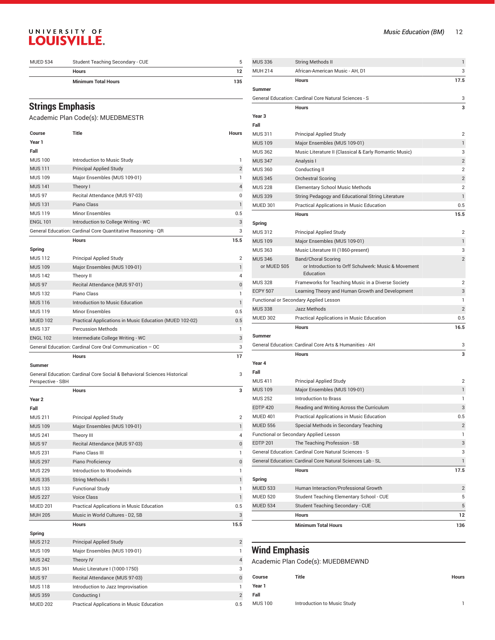| <b>MUED 534</b> | Student Teaching Secondary - CUE |     |
|-----------------|----------------------------------|-----|
|                 | <b>Hours</b>                     |     |
|                 | <b>Minimum Total Hours</b>       | 135 |

#### **Strings Emphasis**

#### Academic Plan Code(s): MUEDBMESTR

| Course            | Title                                                                    | Hours          |
|-------------------|--------------------------------------------------------------------------|----------------|
| Year 1            |                                                                          |                |
| Fall              |                                                                          |                |
| <b>MUS 100</b>    | Introduction to Music Study                                              | 1              |
| <b>MUS 111</b>    | <b>Principal Applied Study</b>                                           | $\overline{2}$ |
| <b>MUS 109</b>    | Major Ensembles (MUS 109-01)                                             | 1              |
| <b>MUS 141</b>    | Theory I                                                                 | 4              |
| <b>MUS 97</b>     | Recital Attendance (MUS 97-03)                                           | 0              |
| <b>MUS 131</b>    | Piano Class                                                              | $\mathbf{1}$   |
| <b>MUS 119</b>    | <b>Minor Ensembles</b>                                                   | 0.5            |
| <b>ENGL 101</b>   | Introduction to College Writing - WC                                     | 3              |
|                   | General Education: Cardinal Core Quantitative Reasoning - QR             | 3              |
|                   | Hours                                                                    | 15.5           |
| Spring            |                                                                          |                |
| MUS 112           | <b>Principal Applied Study</b>                                           | 2              |
| <b>MUS 109</b>    | Major Ensembles (MUS 109-01)                                             | $\mathbf{1}$   |
| <b>MUS 142</b>    | Theory II                                                                | 4              |
| <b>MUS 97</b>     | Recital Attendance (MUS 97-01)                                           | 0              |
| <b>MUS 132</b>    | Piano Class                                                              | 1              |
| <b>MUS 116</b>    | Introduction to Music Education                                          | 1              |
| <b>MUS 119</b>    | <b>Minor Ensembles</b>                                                   | 0.5            |
| <b>MUED 102</b>   | Practical Applications in Music Education (MUED 102-02)                  | 0.5            |
| <b>MUS 137</b>    | <b>Percussion Methods</b>                                                | 1              |
| <b>ENGL 102</b>   | Intermediate College Writing - WC                                        | 3              |
|                   | General Education: Cardinal Core Oral Communication - OC                 | 3              |
|                   | Hours                                                                    | 17             |
| Summer            |                                                                          |                |
|                   | General Education: Cardinal Core Social & Behavioral Sciences Historical | 3              |
| Perspective - SBH |                                                                          |                |
|                   | <b>Hours</b>                                                             |                |
| Year 2            |                                                                          | з              |
|                   |                                                                          |                |
| Fall              |                                                                          |                |
| MUS 211           | <b>Principal Applied Study</b>                                           | $\overline{2}$ |
| <b>MUS 109</b>    | Major Ensembles (MUS 109-01)                                             | 1              |
| <b>MUS 241</b>    | Theory III                                                               | 4              |
| <b>MUS 97</b>     | Recital Attendance (MUS 97-03)                                           | 0              |
| <b>MUS 231</b>    | Piano Class III                                                          | 1              |
| <b>MUS 297</b>    | Piano Proficiency                                                        | 0              |
| <b>MUS 229</b>    | Introduction to Woodwinds                                                | 1              |
| <b>MUS 335</b>    | <b>String Methods I</b>                                                  | 1              |
| <b>MUS 133</b>    | <b>Functional Study</b>                                                  | 1              |
| <b>MUS 227</b>    | Voice Class                                                              | $\mathbf{1}$   |
| <b>MUED 201</b>   | Practical Applications in Music Education                                | 0.5            |
| <b>MUH 205</b>    | Music in World Cultures - D2, SB                                         | 3              |
|                   | Hours                                                                    | 15.5           |
| Spring            |                                                                          |                |
| <b>MUS 212</b>    | <b>Principal Applied Study</b>                                           | $\overline{2}$ |
| <b>MUS 109</b>    | Major Ensembles (MUS 109-01)                                             | 1              |
| <b>MUS 242</b>    | Theory IV                                                                | 4              |
| <b>MUS 361</b>    | Music Literature I (1000-1750)                                           | 3              |

MUS 118 Introduction to Jazz Improvisation 1 MUS 359 Conducting I 2 MUED 202 Practical Applications in Music Education 0.5

| <b>MUS 336</b>    | String Methods II                                                | $\mathbf{1}$   |
|-------------------|------------------------------------------------------------------|----------------|
| <b>MUH 214</b>    | African-American Music - AH, D1                                  | 3              |
|                   | <b>Hours</b>                                                     | 17.5           |
| Summer            |                                                                  |                |
|                   | General Education: Cardinal Core Natural Sciences - S            | 3              |
|                   | <b>Hours</b>                                                     | 3              |
| Year <sub>3</sub> |                                                                  |                |
| Fall              |                                                                  |                |
| <b>MUS 311</b>    | <b>Principal Applied Study</b>                                   | $\overline{2}$ |
| <b>MUS 109</b>    | Major Ensembles (MUS 109-01)                                     | 1              |
| <b>MUS 362</b>    | Music Literature II (Classical & Early Romantic Music)           | 3              |
| <b>MUS 347</b>    | Analysis I                                                       | $\overline{2}$ |
| <b>MUS 360</b>    | Conducting II                                                    | $\overline{2}$ |
| <b>MUS 345</b>    | <b>Orchestral Scoring</b>                                        | $\overline{2}$ |
| <b>MUS 228</b>    | <b>Elementary School Music Methods</b>                           | $\overline{2}$ |
| <b>MUS 339</b>    | String Pedagogy and Educational String Literature                | $\mathbf{1}$   |
| <b>MUED 301</b>   | Practical Applications in Music Education                        | 0.5            |
|                   | <b>Hours</b>                                                     | 15.5           |
| Spring            |                                                                  |                |
| <b>MUS 312</b>    | <b>Principal Applied Study</b>                                   | $\overline{2}$ |
| <b>MUS 109</b>    | Major Ensembles (MUS 109-01)                                     | 1              |
| <b>MUS 363</b>    | Music Literature III (1860-present)                              | 3              |
| <b>MUS 346</b>    | <b>Band/Choral Scoring</b>                                       | $\overline{2}$ |
| or MUED 505       | or Introduction to Orff Schulwerk: Music & Movement<br>Education |                |
| <b>MUS 328</b>    | Frameworks for Teaching Music in a Diverse Society               | $\overline{2}$ |
| <b>ECPY 507</b>   | Learning Theory and Human Growth and Development                 | 3              |
|                   | Functional or Secondary Applied Lesson                           | 1              |
| <b>MUS 338</b>    | Jazz Methods                                                     | $\overline{2}$ |
| <b>MUED 302</b>   | Practical Applications in Music Education                        | 0.5            |
|                   | <b>Hours</b>                                                     | 16.5           |
| Summer            |                                                                  |                |
|                   | General Education: Cardinal Core Arts & Humanities - AH          | 3              |
|                   | <b>Hours</b>                                                     | 3              |
| Year 4            |                                                                  |                |
| Fall              |                                                                  |                |
| <b>MUS 411</b>    | <b>Principal Applied Study</b>                                   | 2              |
| <b>MUS 109</b>    | Major Ensembles (MUS 109-01)                                     | 1              |
| <b>MUS 252</b>    | Introduction to Brass                                            | 1              |
| <b>EDTP 420</b>   | Reading and Writing Across the Curriculum                        | 3              |
| MUED 401          | Practical Applications in Music Education                        | 0.5            |
| <b>MUED 556</b>   | Special Methods in Secondary Teaching                            | $\overline{2}$ |
|                   | Functional or Secondary Applied Lesson                           | 1              |
| <b>EDTP 201</b>   | The Teaching Profession - SB                                     | 3              |
|                   | General Education: Cardinal Core Natural Sciences - S            | 3              |
|                   | General Education: Cardinal Core Natural Sciences Lab - SL       | 1              |
|                   | <b>Hours</b>                                                     | 17.5           |
| Spring            |                                                                  |                |
| <b>MUED 533</b>   | Human Interaction/Professional Growth                            | 2              |
| <b>MUED 520</b>   | Student Teaching Elementary School - CUE                         | 5              |
| <b>MUED 534</b>   | <b>Student Teaching Secondary - CUE</b>                          | 5              |
|                   | <b>Hours</b>                                                     | 12             |
|                   | <b>Minimum Total Hours</b>                                       | 136            |

## **Wind Emphasis**

Academic Plan Code(s): MUEDBMEWND

| Course         | Title                       | Hours |
|----------------|-----------------------------|-------|
| Year 1         |                             |       |
| Fall           |                             |       |
| <b>MUS 100</b> | Introduction to Music Study |       |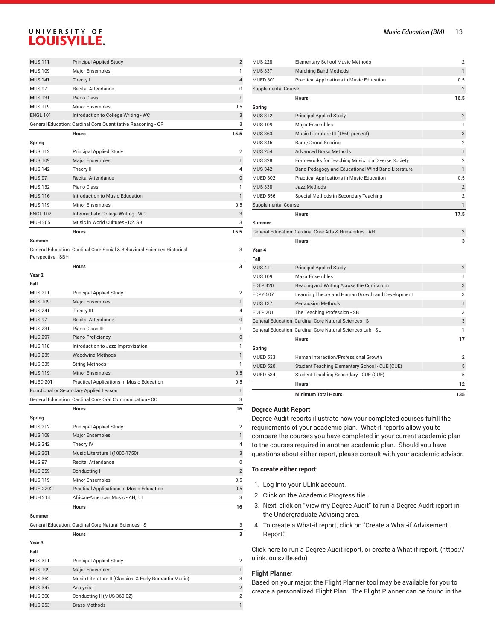| <b>MUS111</b><br><b>Principal Applied Study</b><br><b>MUS 109</b><br>Major Ensembles<br><b>MUS 141</b><br>Theory I<br><b>MUS 97</b><br><b>Recital Attendance</b><br>Piano Class<br><b>MUS 131</b><br><b>MUS 119</b><br><b>Minor Ensembles</b><br><b>ENGL 101</b><br>Introduction to College Writing - WC<br>General Education: Cardinal Core Quantitative Reasoning - QR<br><b>Hours</b><br>15.5<br>Spring<br><b>MUS 112</b><br>Principal Applied Study<br><b>MUS 109</b><br><b>Major Ensembles</b><br><b>MUS 142</b><br>Theory II<br><b>MUS 97</b><br><b>Recital Attendance</b><br>Piano Class<br><b>MUS 132</b><br>Introduction to Music Education<br><b>MUS 116</b><br><b>MUS 119</b><br><b>Minor Ensembles</b><br><b>ENGL 102</b><br>Intermediate College Writing - WC<br><b>MUH 205</b><br>Music in World Cultures - D2. SB<br><b>Hours</b><br>15.5<br><b>Summer</b><br>General Education: Cardinal Core Social & Behavioral Sciences Historical<br>Perspective - SBH<br><b>Hours</b><br>Year <sub>2</sub><br>Fall<br><b>MUS 211</b><br><b>Principal Applied Study</b><br><b>MUS 109</b><br><b>Major Ensembles</b><br><b>MUS 241</b><br>Theory III<br><b>MUS 97</b><br><b>Recital Attendance</b> |
|-------------------------------------------------------------------------------------------------------------------------------------------------------------------------------------------------------------------------------------------------------------------------------------------------------------------------------------------------------------------------------------------------------------------------------------------------------------------------------------------------------------------------------------------------------------------------------------------------------------------------------------------------------------------------------------------------------------------------------------------------------------------------------------------------------------------------------------------------------------------------------------------------------------------------------------------------------------------------------------------------------------------------------------------------------------------------------------------------------------------------------------------------------------------------------------------------------|
|                                                                                                                                                                                                                                                                                                                                                                                                                                                                                                                                                                                                                                                                                                                                                                                                                                                                                                                                                                                                                                                                                                                                                                                                       |
|                                                                                                                                                                                                                                                                                                                                                                                                                                                                                                                                                                                                                                                                                                                                                                                                                                                                                                                                                                                                                                                                                                                                                                                                       |
|                                                                                                                                                                                                                                                                                                                                                                                                                                                                                                                                                                                                                                                                                                                                                                                                                                                                                                                                                                                                                                                                                                                                                                                                       |
|                                                                                                                                                                                                                                                                                                                                                                                                                                                                                                                                                                                                                                                                                                                                                                                                                                                                                                                                                                                                                                                                                                                                                                                                       |
|                                                                                                                                                                                                                                                                                                                                                                                                                                                                                                                                                                                                                                                                                                                                                                                                                                                                                                                                                                                                                                                                                                                                                                                                       |
|                                                                                                                                                                                                                                                                                                                                                                                                                                                                                                                                                                                                                                                                                                                                                                                                                                                                                                                                                                                                                                                                                                                                                                                                       |
|                                                                                                                                                                                                                                                                                                                                                                                                                                                                                                                                                                                                                                                                                                                                                                                                                                                                                                                                                                                                                                                                                                                                                                                                       |
|                                                                                                                                                                                                                                                                                                                                                                                                                                                                                                                                                                                                                                                                                                                                                                                                                                                                                                                                                                                                                                                                                                                                                                                                       |
|                                                                                                                                                                                                                                                                                                                                                                                                                                                                                                                                                                                                                                                                                                                                                                                                                                                                                                                                                                                                                                                                                                                                                                                                       |
|                                                                                                                                                                                                                                                                                                                                                                                                                                                                                                                                                                                                                                                                                                                                                                                                                                                                                                                                                                                                                                                                                                                                                                                                       |
|                                                                                                                                                                                                                                                                                                                                                                                                                                                                                                                                                                                                                                                                                                                                                                                                                                                                                                                                                                                                                                                                                                                                                                                                       |
|                                                                                                                                                                                                                                                                                                                                                                                                                                                                                                                                                                                                                                                                                                                                                                                                                                                                                                                                                                                                                                                                                                                                                                                                       |
|                                                                                                                                                                                                                                                                                                                                                                                                                                                                                                                                                                                                                                                                                                                                                                                                                                                                                                                                                                                                                                                                                                                                                                                                       |
|                                                                                                                                                                                                                                                                                                                                                                                                                                                                                                                                                                                                                                                                                                                                                                                                                                                                                                                                                                                                                                                                                                                                                                                                       |
|                                                                                                                                                                                                                                                                                                                                                                                                                                                                                                                                                                                                                                                                                                                                                                                                                                                                                                                                                                                                                                                                                                                                                                                                       |
|                                                                                                                                                                                                                                                                                                                                                                                                                                                                                                                                                                                                                                                                                                                                                                                                                                                                                                                                                                                                                                                                                                                                                                                                       |
|                                                                                                                                                                                                                                                                                                                                                                                                                                                                                                                                                                                                                                                                                                                                                                                                                                                                                                                                                                                                                                                                                                                                                                                                       |
|                                                                                                                                                                                                                                                                                                                                                                                                                                                                                                                                                                                                                                                                                                                                                                                                                                                                                                                                                                                                                                                                                                                                                                                                       |
|                                                                                                                                                                                                                                                                                                                                                                                                                                                                                                                                                                                                                                                                                                                                                                                                                                                                                                                                                                                                                                                                                                                                                                                                       |
|                                                                                                                                                                                                                                                                                                                                                                                                                                                                                                                                                                                                                                                                                                                                                                                                                                                                                                                                                                                                                                                                                                                                                                                                       |
|                                                                                                                                                                                                                                                                                                                                                                                                                                                                                                                                                                                                                                                                                                                                                                                                                                                                                                                                                                                                                                                                                                                                                                                                       |
|                                                                                                                                                                                                                                                                                                                                                                                                                                                                                                                                                                                                                                                                                                                                                                                                                                                                                                                                                                                                                                                                                                                                                                                                       |
|                                                                                                                                                                                                                                                                                                                                                                                                                                                                                                                                                                                                                                                                                                                                                                                                                                                                                                                                                                                                                                                                                                                                                                                                       |
|                                                                                                                                                                                                                                                                                                                                                                                                                                                                                                                                                                                                                                                                                                                                                                                                                                                                                                                                                                                                                                                                                                                                                                                                       |
|                                                                                                                                                                                                                                                                                                                                                                                                                                                                                                                                                                                                                                                                                                                                                                                                                                                                                                                                                                                                                                                                                                                                                                                                       |
|                                                                                                                                                                                                                                                                                                                                                                                                                                                                                                                                                                                                                                                                                                                                                                                                                                                                                                                                                                                                                                                                                                                                                                                                       |
|                                                                                                                                                                                                                                                                                                                                                                                                                                                                                                                                                                                                                                                                                                                                                                                                                                                                                                                                                                                                                                                                                                                                                                                                       |
|                                                                                                                                                                                                                                                                                                                                                                                                                                                                                                                                                                                                                                                                                                                                                                                                                                                                                                                                                                                                                                                                                                                                                                                                       |
|                                                                                                                                                                                                                                                                                                                                                                                                                                                                                                                                                                                                                                                                                                                                                                                                                                                                                                                                                                                                                                                                                                                                                                                                       |
| <b>MUS 231</b><br>Piano Class III                                                                                                                                                                                                                                                                                                                                                                                                                                                                                                                                                                                                                                                                                                                                                                                                                                                                                                                                                                                                                                                                                                                                                                     |
| <b>MUS 297</b><br>Piano Proficiency                                                                                                                                                                                                                                                                                                                                                                                                                                                                                                                                                                                                                                                                                                                                                                                                                                                                                                                                                                                                                                                                                                                                                                   |
| <b>MUS 118</b><br>Introduction to Jazz Improvisation                                                                                                                                                                                                                                                                                                                                                                                                                                                                                                                                                                                                                                                                                                                                                                                                                                                                                                                                                                                                                                                                                                                                                  |
| <b>MUS 235</b><br><b>Woodwind Methods</b>                                                                                                                                                                                                                                                                                                                                                                                                                                                                                                                                                                                                                                                                                                                                                                                                                                                                                                                                                                                                                                                                                                                                                             |
| <b>MUS 335</b><br>String Methods I                                                                                                                                                                                                                                                                                                                                                                                                                                                                                                                                                                                                                                                                                                                                                                                                                                                                                                                                                                                                                                                                                                                                                                    |
| <b>Minor Ensembles</b><br><b>MUS 119</b>                                                                                                                                                                                                                                                                                                                                                                                                                                                                                                                                                                                                                                                                                                                                                                                                                                                                                                                                                                                                                                                                                                                                                              |
| <b>MUED 201</b><br>Practical Applications in Music Education                                                                                                                                                                                                                                                                                                                                                                                                                                                                                                                                                                                                                                                                                                                                                                                                                                                                                                                                                                                                                                                                                                                                          |
|                                                                                                                                                                                                                                                                                                                                                                                                                                                                                                                                                                                                                                                                                                                                                                                                                                                                                                                                                                                                                                                                                                                                                                                                       |
|                                                                                                                                                                                                                                                                                                                                                                                                                                                                                                                                                                                                                                                                                                                                                                                                                                                                                                                                                                                                                                                                                                                                                                                                       |
| Functional or Secondary Applied Lesson<br>General Education: Cardinal Core Oral Communication - OC                                                                                                                                                                                                                                                                                                                                                                                                                                                                                                                                                                                                                                                                                                                                                                                                                                                                                                                                                                                                                                                                                                    |
| <b>Hours</b>                                                                                                                                                                                                                                                                                                                                                                                                                                                                                                                                                                                                                                                                                                                                                                                                                                                                                                                                                                                                                                                                                                                                                                                          |
| Spring                                                                                                                                                                                                                                                                                                                                                                                                                                                                                                                                                                                                                                                                                                                                                                                                                                                                                                                                                                                                                                                                                                                                                                                                |
| <b>Principal Applied Study</b><br><b>MUS 212</b>                                                                                                                                                                                                                                                                                                                                                                                                                                                                                                                                                                                                                                                                                                                                                                                                                                                                                                                                                                                                                                                                                                                                                      |
| <b>Major Ensembles</b><br><b>MUS 109</b>                                                                                                                                                                                                                                                                                                                                                                                                                                                                                                                                                                                                                                                                                                                                                                                                                                                                                                                                                                                                                                                                                                                                                              |
| <b>MUS 242</b><br>Theory IV                                                                                                                                                                                                                                                                                                                                                                                                                                                                                                                                                                                                                                                                                                                                                                                                                                                                                                                                                                                                                                                                                                                                                                           |
| Music Literature I (1000-1750)<br><b>MUS 361</b>                                                                                                                                                                                                                                                                                                                                                                                                                                                                                                                                                                                                                                                                                                                                                                                                                                                                                                                                                                                                                                                                                                                                                      |
| <b>MUS 97</b><br><b>Recital Attendance</b>                                                                                                                                                                                                                                                                                                                                                                                                                                                                                                                                                                                                                                                                                                                                                                                                                                                                                                                                                                                                                                                                                                                                                            |
| Conducting I<br><b>MUS 359</b>                                                                                                                                                                                                                                                                                                                                                                                                                                                                                                                                                                                                                                                                                                                                                                                                                                                                                                                                                                                                                                                                                                                                                                        |
| Minor Ensembles<br><b>MUS 119</b>                                                                                                                                                                                                                                                                                                                                                                                                                                                                                                                                                                                                                                                                                                                                                                                                                                                                                                                                                                                                                                                                                                                                                                     |

**Summer**

General Education: Cardinal Core Natural Sciences - S 3

MUH 214 African-American Music - AH, D1 3

**Hours 16**

#### **Hours 3 Year 3 Fall** MUS 311 Principal Applied Study 2 MUS 109 Major Ensembles 1 Major Ensembles 1 Major 2014 1 Major 2014 1 Major 2014 1 Major 2014 1 Major 2014 1 Ma MUS 362 Music Literature II (Classical & Early Romantic Music) 3 MUS 347 Analysis I 2 MUS 360 Conducting II (MUS 360-02) 2 MUS 253 Brass Methods **1**

| <b>MUS 228</b>             | <b>Elementary School Music Methods</b>                     | 2              |
|----------------------------|------------------------------------------------------------|----------------|
| <b>MUS 337</b>             | <b>Marching Band Methods</b>                               | $\mathbf{1}$   |
| <b>MUED 301</b>            | Practical Applications in Music Education                  | 0.5            |
| <b>Supplemental Course</b> |                                                            | $\overline{2}$ |
|                            | <b>Hours</b>                                               | 16.5           |
| Spring                     |                                                            |                |
| <b>MUS 312</b>             | <b>Principal Applied Study</b>                             | 2              |
| <b>MUS 109</b>             | Major Ensembles                                            | 1              |
| <b>MUS 363</b>             | Music Literature III (1860-present)                        | 3              |
| <b>MUS 346</b>             | Band/Choral Scoring                                        | $\overline{2}$ |
| <b>MUS 254</b>             | <b>Advanced Brass Methods</b>                              | $\mathbf{1}$   |
| <b>MUS 328</b>             | Frameworks for Teaching Music in a Diverse Society         | $\overline{2}$ |
| <b>MUS 342</b>             | Band Pedagogy and Educational Wind Band Literature         | $\mathbf{1}$   |
| <b>MUED 302</b>            | Practical Applications in Music Education                  | 0.5            |
| <b>MUS 338</b>             | Jazz Methods                                               | $\overline{2}$ |
| <b>MUED 556</b>            | Special Methods in Secondary Teaching                      | $\overline{2}$ |
| <b>Supplemental Course</b> |                                                            | $\mathbf{1}$   |
|                            | <b>Hours</b>                                               | 17.5           |
| <b>Summer</b>              |                                                            |                |
|                            |                                                            |                |
|                            | General Education: Cardinal Core Arts & Humanities - AH    | 3              |
|                            | <b>Hours</b>                                               | 3              |
| Year 4                     |                                                            |                |
| Fall                       |                                                            |                |
| <b>MUS 411</b>             | <b>Principal Applied Study</b>                             | $\overline{2}$ |
| <b>MUS 109</b>             | Major Ensembles                                            | 1              |
| <b>EDTP 420</b>            | Reading and Writing Across the Curriculum                  | 3              |
| <b>ECPY 507</b>            | Learning Theory and Human Growth and Development           | 3              |
| <b>MUS 137</b>             | <b>Percussion Methods</b>                                  | $\mathbf{1}$   |
| <b>EDTP 201</b>            | The Teaching Profession - SB                               | 3              |
|                            | General Education: Cardinal Core Natural Sciences - S      | 3              |
|                            | General Education: Cardinal Core Natural Sciences Lab - SL | 1              |
|                            | <b>Hours</b>                                               | 17             |
| Spring                     |                                                            |                |
| <b>MUED 533</b>            | Human Interaction/Professional Growth                      | $\overline{2}$ |
| <b>MUED 520</b>            | Student Teaching Elementary School - CUE (CUE)             | 5              |
| <b>MUED 534</b>            | Student Teaching Secondary - CUE (CUE)                     | 5              |
|                            | <b>Hours</b>                                               | 12             |

#### **Degree Audit Report**

Degree Audit reports illustrate how your completed courses fulfill the requirements of your academic plan. What-if reports allow you to compare the courses you have completed in your current academic plan to the courses required in another academic plan. Should you have questions about either report, please consult with your academic advisor.

#### **To create either report:**

- 1. Log into your ULink account.
- 2. Click on the Academic Progress tile.
- 3. Next, click on "View my Degree Audit" to run a Degree Audit report in the Undergraduate Advising area.
- 4. To create a What-if report, click on "Create a What-if Advisement Report."

Click here to run a Degree Audit report, or create a [What-if](https://ulink.louisville.edu) report. [\(https://](https://ulink.louisville.edu) [ulink.louisville.edu\)](https://ulink.louisville.edu)

#### **Flight Planner**

Based on your major, the Flight Planner tool may be available for you to create a personalized Flight Plan. The Flight Planner can be found in the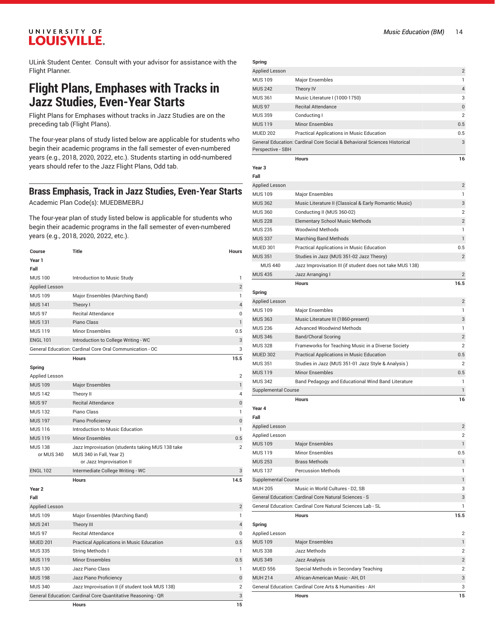ULink Student Center. Consult with your advisor for assistance with the Flight Planner.

## **Flight Plans, Emphases with Tracks in Jazz Studies, Even-Year Starts**

Flight Plans for Emphases without tracks in Jazz Studies are on the preceding tab (Flight Plans).

The four-year plans of study listed below are applicable for students who begin their academic programs in the fall semester of even-numbered years (e.g., 2018, 2020, 2022, etc.). Students starting in odd-numbered years should refer to the Jazz Flight Plans, Odd tab.

#### **Brass Emphasis, Track in Jazz Studies, Even-Year Starts**

Academic Plan Code(s): MUEDBMEBRJ

The four-year plan of study listed below is applicable for students who begin their academic programs in the fall semester of even-numbered years (e.g., 2018, 2020, 2022, etc.).

| Course                       | <b>Title</b>                                                                                             | <b>Hours</b>   |
|------------------------------|----------------------------------------------------------------------------------------------------------|----------------|
| Year 1                       |                                                                                                          |                |
| Fall                         |                                                                                                          |                |
| <b>MUS 100</b>               | Introduction to Music Study                                                                              | 1              |
| <b>Applied Lesson</b>        |                                                                                                          | $\overline{2}$ |
| <b>MUS 109</b>               | Major Ensembles (Marching Band)                                                                          | 1              |
| <b>MUS 141</b>               | Theory I                                                                                                 | 4              |
| <b>MUS 97</b>                | <b>Recital Attendance</b>                                                                                | 0              |
| <b>MUS 131</b>               | Piano Class                                                                                              | $\mathbf{1}$   |
| <b>MUS 119</b>               | <b>Minor Ensembles</b>                                                                                   | 0.5            |
| <b>ENGL 101</b>              | Introduction to College Writing - WC                                                                     | 3              |
|                              | General Education: Cardinal Core Oral Communication - OC                                                 | 3              |
|                              | <b>Hours</b>                                                                                             | 15.5           |
| Spring                       |                                                                                                          |                |
| Applied Lesson               |                                                                                                          | 2              |
| <b>MUS 109</b>               | <b>Major Ensembles</b>                                                                                   | 1              |
| <b>MUS 142</b>               | Theory II                                                                                                | 4              |
| <b>MUS 97</b>                | <b>Recital Attendance</b>                                                                                | $\mathbf{0}$   |
| <b>MUS 132</b>               | Piano Class                                                                                              | 1              |
| <b>MUS 197</b>               | Piano Proficiency                                                                                        | $\bf 0$        |
| <b>MUS 116</b>               | Introduction to Music Education                                                                          | $\mathbf{1}$   |
| <b>MUS 119</b>               | <b>Minor Ensembles</b>                                                                                   | 0.5            |
| <b>MUS 138</b><br>or MUS 340 | Jazz Improvisation (students taking MUS 138 take<br>MUS 340 in Fall, Year 2)<br>or Jazz Improvisation II | $\overline{2}$ |
| <b>ENGL 102</b>              | Intermediate College Writing - WC                                                                        | 3              |
|                              | <b>Hours</b>                                                                                             | 14.5           |
| Year <sub>2</sub>            |                                                                                                          |                |
| Fall                         |                                                                                                          |                |
| Applied Lesson               |                                                                                                          | $\overline{c}$ |
| <b>MUS 109</b>               | Major Ensembles (Marching Band)                                                                          | 1              |
| <b>MUS 241</b>               | Theory III                                                                                               | 4              |
| <b>MUS 97</b>                | <b>Recital Attendance</b>                                                                                | 0              |
| <b>MUED 201</b>              | Practical Applications in Music Education                                                                | 0.5            |
| <b>MUS 335</b>               | String Methods I                                                                                         | $\mathbf{1}$   |
| <b>MUS 119</b>               | <b>Minor Ensembles</b>                                                                                   | 0.5            |

MUS 130 Jazz Piano Class 1 MUS 198 Jazz Piano Proficiency **District Control Control Control Control Control Control Control Control Control Control Control Control Control Control Control Control Control Control Control Control Control Control Contr** MUS 340 Jazz Improvisation II (if student took MUS 138) 2 General Education: Cardinal Core Quantitative Reasoning - QR 3 3

| Spring                                  |                                                                          |                         |
|-----------------------------------------|--------------------------------------------------------------------------|-------------------------|
| <b>Applied Lesson</b>                   |                                                                          | 2                       |
| <b>MUS 109</b>                          | <b>Major Ensembles</b>                                                   | 1                       |
| <b>MUS 242</b>                          | Theory IV                                                                | 4                       |
| <b>MUS 361</b>                          | Music Literature I (1000-1750)                                           | 3                       |
| <b>MUS 97</b>                           | <b>Recital Attendance</b>                                                | 0                       |
| <b>MUS 359</b>                          | Conducting I                                                             | $\overline{2}$          |
| <b>MUS 119</b>                          | <b>Minor Ensembles</b>                                                   | 0.5                     |
| <b>MUED 202</b>                         | Practical Applications in Music Education                                | 0.5                     |
|                                         | General Education: Cardinal Core Social & Behavioral Sciences Historical | 3                       |
| Perspective - SBH                       |                                                                          |                         |
|                                         | <b>Hours</b>                                                             | 16                      |
| Year 3                                  |                                                                          |                         |
| Fall                                    |                                                                          | $\mathbf{2}$            |
| <b>Applied Lesson</b><br><b>MUS 109</b> | Major Ensembles                                                          | 1                       |
| <b>MUS 362</b>                          | Music Literature II (Classical & Early Romantic Music)                   | 3                       |
| <b>MUS 360</b>                          | Conducting II (MUS 360-02)                                               | 2                       |
| <b>MUS 228</b>                          | <b>Elementary School Music Methods</b>                                   | $\overline{2}$          |
| <b>MUS 235</b>                          | <b>Woodwind Methods</b>                                                  | 1                       |
| <b>MUS 337</b>                          | <b>Marching Band Methods</b>                                             | 1                       |
| <b>MUED 301</b>                         | Practical Applications in Music Education                                | 0.5                     |
| <b>MUS 351</b>                          | Studies in Jazz (MUS 351-02 Jazz Theory)                                 | $\overline{2}$          |
| <b>MUS 440</b>                          | Jazz Improvisation III (if student does not take MUS 138)                |                         |
| <b>MUS 435</b>                          | Jazz Arranging I                                                         | 2                       |
|                                         | <b>Hours</b>                                                             | 16.5                    |
| Spring                                  |                                                                          |                         |
| <b>Applied Lesson</b>                   |                                                                          | $\overline{2}$          |
| <b>MUS 109</b>                          | Major Ensembles                                                          | 1                       |
| <b>MUS 363</b>                          | Music Literature III (1860-present)                                      | 3                       |
| <b>MUS 236</b>                          | <b>Advanced Woodwind Methods</b>                                         | 1                       |
| <b>MUS 346</b>                          | <b>Band/Choral Scoring</b>                                               | $\overline{2}$          |
| <b>MUS 328</b>                          | Frameworks for Teaching Music in a Diverse Society                       | $\overline{2}$          |
| <b>MUED 302</b>                         | Practical Applications in Music Education                                | 0.5                     |
| <b>MUS 351</b>                          | Studies in Jazz (MUS 351-01 Jazz Style & Analysis)                       | $\overline{2}$          |
| <b>MUS 119</b>                          | <b>Minor Ensembles</b>                                                   | 0.5                     |
| <b>MUS 342</b>                          | Band Pedagogy and Educational Wind Band Literature                       | 1                       |
| <b>Supplemental Course</b>              |                                                                          | 1                       |
|                                         | <b>Hours</b>                                                             | 16                      |
| Year 4                                  |                                                                          |                         |
| Fall                                    |                                                                          |                         |
| Applied Lesson                          |                                                                          | $\overline{\mathbf{c}}$ |
| Applied Lesson                          |                                                                          | 2                       |
| <b>MUS 109</b>                          | <b>Major Ensembles</b>                                                   | $\mathbf{1}$            |
| <b>MUS 119</b>                          | Minor Ensembles                                                          | 0.5                     |
| <b>MUS 253</b>                          | <b>Brass Methods</b>                                                     | 1                       |
| <b>MUS 137</b>                          | <b>Percussion Methods</b>                                                | 1                       |
| Supplemental Course                     |                                                                          | 1                       |
| <b>MUH 205</b>                          | Music in World Cultures - D2, SB                                         | 3                       |
|                                         | General Education: Cardinal Core Natural Sciences - S                    | 3                       |
|                                         | General Education: Cardinal Core Natural Sciences Lab - SL               | 1                       |
|                                         | <b>Hours</b>                                                             | 15.5                    |
| Spring                                  |                                                                          |                         |
| Applied Lesson                          |                                                                          | 2                       |
| <b>MUS 109</b>                          | <b>Major Ensembles</b>                                                   | $\mathbf{1}$            |
| <b>MUS 338</b>                          | Jazz Methods                                                             | 2                       |
| <b>MUS 349</b>                          | Jazz Analysis                                                            | $\overline{\mathbf{c}}$ |
| <b>MUED 556</b>                         | Special Methods in Secondary Teaching                                    | 2                       |
| <b>MUH 214</b>                          | African-American Music - AH, D1                                          | 3                       |
|                                         | General Education: Cardinal Core Arts & Humanities - AH                  | 3                       |
|                                         | <b>Hours</b>                                                             | 15                      |

**Hours 15**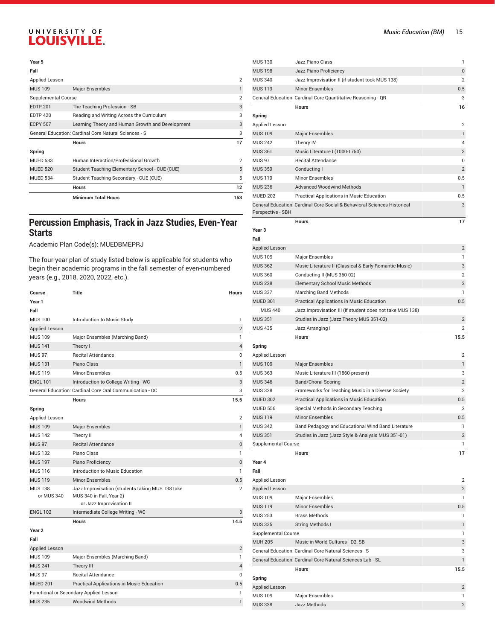#### **Year 5**

|                     | <b>Minimum Total Hours</b>                                   | 153            |
|---------------------|--------------------------------------------------------------|----------------|
|                     | <b>Hours</b>                                                 | 12             |
| <b>MUED 534</b>     | Student Teaching Secondary - CUE (CUE)                       | 5              |
| <b>MUED 520</b>     | Student Teaching Elementary School - CUE (CUE)               | 5              |
| <b>MUED 533</b>     | Human Interaction/Professional Growth                        | $\overline{2}$ |
| Spring              |                                                              |                |
|                     | <b>Hours</b>                                                 | 17             |
|                     | <b>General Education: Cardinal Core Natural Sciences - S</b> | 3              |
| <b>ECPY 507</b>     | Learning Theory and Human Growth and Development             | 3              |
| <b>EDTP 420</b>     | Reading and Writing Across the Curriculum                    | 3              |
| <b>EDTP 201</b>     | The Teaching Profession - SB                                 | 3              |
| Supplemental Course |                                                              | $\overline{2}$ |
| <b>MUS 109</b>      | <b>Major Ensembles</b>                                       |                |
| Applied Lesson      |                                                              | $\overline{2}$ |
| Fall                |                                                              |                |

### **Percussion Emphasis, Track in Jazz Studies, Even-Year Starts**

#### Academic Plan Code(s): MUEDBMEPRJ

| Course                       | <b>Title</b>                                                                                             | <b>Hours</b>   |
|------------------------------|----------------------------------------------------------------------------------------------------------|----------------|
| Year 1                       |                                                                                                          |                |
| Fall                         |                                                                                                          |                |
| <b>MUS 100</b>               | Introduction to Music Study                                                                              | 1              |
| <b>Applied Lesson</b>        |                                                                                                          | $\overline{2}$ |
| <b>MUS 109</b>               | Major Ensembles (Marching Band)                                                                          | 1              |
| <b>MUS 141</b>               | Theory I                                                                                                 | $\overline{4}$ |
| <b>MUS 97</b>                | <b>Recital Attendance</b>                                                                                | 0              |
| <b>MUS 131</b>               | Piano Class                                                                                              | $\mathbf{1}$   |
| <b>MUS 119</b>               | Minor Ensembles                                                                                          | 0.5            |
| <b>ENGL 101</b>              | Introduction to College Writing - WC                                                                     | 3              |
|                              | General Education: Cardinal Core Oral Communication - OC                                                 | 3              |
|                              | <b>Hours</b>                                                                                             | 15.5           |
| Spring                       |                                                                                                          |                |
| Applied Lesson               |                                                                                                          | $\overline{2}$ |
| <b>MUS 109</b>               | <b>Major Ensembles</b>                                                                                   | $\mathbf{1}$   |
| <b>MUS 142</b>               | Theory II                                                                                                | 4              |
| <b>MUS 97</b>                | <b>Recital Attendance</b>                                                                                | 0              |
| <b>MUS 132</b>               | Piano Class                                                                                              | 1              |
| <b>MUS 197</b>               | Piano Proficiency                                                                                        | $\bf 0$        |
| <b>MUS 116</b>               | Introduction to Music Education                                                                          | 1              |
| <b>MUS 119</b>               | <b>Minor Ensembles</b>                                                                                   | 0.5            |
| <b>MUS 138</b><br>or MUS 340 | Jazz Improvisation (students taking MUS 138 take<br>MUS 340 in Fall, Year 2)<br>or Jazz Improvisation II | $\overline{2}$ |
| <b>ENGL 102</b>              | Intermediate College Writing - WC                                                                        | 3              |
|                              | <b>Hours</b>                                                                                             | 14.5           |
| Year <sub>2</sub>            |                                                                                                          |                |
| Fall                         |                                                                                                          |                |
| <b>Applied Lesson</b>        |                                                                                                          | $\overline{2}$ |

| <b>Applied Lesson</b>                  |                                                  | $\overline{2}$ |
|----------------------------------------|--------------------------------------------------|----------------|
| <b>MUS 109</b>                         | Major Ensembles (Marching Band)                  |                |
| <b>MUS 241</b>                         | Theory III                                       | $\Delta$       |
| <b>MUS 97</b>                          | <b>Recital Attendance</b>                        | $\Omega$       |
| <b>MUED 201</b>                        | <b>Practical Applications in Music Education</b> | 0.5            |
| Functional or Secondary Applied Lesson |                                                  |                |
| <b>MUS 235</b>                         | <b>Woodwind Methods</b>                          |                |
|                                        |                                                  |                |

| <b>MUS 130</b>                   | Jazz Piano Class                                                         | 1                 |
|----------------------------------|--------------------------------------------------------------------------|-------------------|
| <b>MUS 198</b>                   | Jazz Piano Proficiency                                                   | 0                 |
| <b>MUS 340</b>                   | Jazz Improvisation II (if student took MUS 138)                          | $\overline{2}$    |
| <b>MUS 119</b>                   | <b>Minor Ensembles</b>                                                   | 0.5               |
|                                  | General Education: Cardinal Core Quantitative Reasoning - QR             | 3                 |
|                                  | <b>Hours</b>                                                             | 16                |
| Spring                           |                                                                          |                   |
| <b>Applied Lesson</b>            |                                                                          | 2                 |
| <b>MUS 109</b>                   | <b>Major Ensembles</b>                                                   | 1                 |
| <b>MUS 242</b>                   | Theory IV                                                                | 4                 |
| <b>MUS 361</b>                   | Music Literature I (1000-1750)                                           | 3                 |
| <b>MUS 97</b>                    | <b>Recital Attendance</b>                                                | 0                 |
| <b>MUS 359</b>                   | Conducting I                                                             | 2                 |
| <b>MUS 119</b>                   | <b>Minor Ensembles</b>                                                   | 0.5               |
| <b>MUS 236</b>                   | <b>Advanced Woodwind Methods</b>                                         | 1                 |
| <b>MUED 202</b>                  | Practical Applications in Music Education                                | 0.5               |
| Perspective - SBH                | General Education: Cardinal Core Social & Behavioral Sciences Historical | 3                 |
|                                  | <b>Hours</b>                                                             | 17                |
| Year <sub>3</sub>                |                                                                          |                   |
| Fall                             |                                                                          |                   |
| Applied Lesson                   |                                                                          | 2                 |
| <b>MUS 109</b>                   | Major Ensembles                                                          | 1                 |
| <b>MUS 362</b>                   | Music Literature II (Classical & Early Romantic Music)                   | 3                 |
| <b>MUS 360</b>                   | Conducting II (MUS 360-02)                                               | 2                 |
| <b>MUS 228</b>                   | <b>Elementary School Music Methods</b>                                   | $\overline{2}$    |
| <b>MUS 337</b>                   | <b>Marching Band Methods</b>                                             | 1                 |
| <b>MUED 301</b>                  | Practical Applications in Music Education                                | 0.5               |
| <b>MUS 440</b>                   | Jazz Improvisation III (If student does not take MUS 138)                |                   |
| <b>MUS 351</b>                   | Studies in Jazz (Jazz Theory MUS 351-02)                                 | 2                 |
| <b>MUS 435</b>                   | Jazz Arranging I                                                         | 2                 |
|                                  |                                                                          |                   |
|                                  | <b>Hours</b>                                                             | 15.5              |
| Spring                           |                                                                          |                   |
| Applied Lesson                   |                                                                          | 2                 |
| <b>MUS 109</b>                   | <b>Major Ensembles</b>                                                   | 1                 |
| <b>MUS 363</b>                   | Music Literature III (1860-present)                                      | 3                 |
| <b>MUS 346</b>                   | <b>Band/Choral Scoring</b>                                               | $\overline{2}$    |
| <b>MUS 328</b>                   | Frameworks for Teaching Music in a Diverse Society                       | $\overline{2}$    |
| <b>MUED 302</b>                  | Practical Applications in Music Education                                | 0.5               |
| <b>MUED 556</b>                  | Special Methods in Secondary Teaching                                    | 2                 |
| <b>MUS 119</b>                   | Minor Ensembles                                                          | 0.5               |
| <b>MUS 342</b>                   | Band Pedagogy and Educational Wind Band Literature                       | 1                 |
| <b>MUS 351</b>                   | Studies in Jazz (Jazz Style & Analysis MUS 351-01)                       | $\mathbf{2}$      |
| <b>Supplemental Course</b>       |                                                                          | 1                 |
|                                  | <b>Hours</b>                                                             | 17                |
| Year 4<br>Fall                   |                                                                          |                   |
|                                  |                                                                          |                   |
| Applied Lesson                   |                                                                          | 2                 |
| <b>Applied Lesson</b>            |                                                                          | $\mathbf{2}$<br>1 |
| <b>MUS 109</b>                   | <b>Major Ensembles</b><br><b>Minor Ensembles</b>                         | $0.5\,$           |
| <b>MUS 119</b><br><b>MUS 253</b> | <b>Brass Methods</b>                                                     | 1                 |
| <b>MUS 335</b>                   | <b>String Methods I</b>                                                  | 1                 |
| <b>Supplemental Course</b>       |                                                                          | 1                 |
| <b>MUH 205</b>                   | Music in World Cultures - D2, SB                                         | 3                 |
|                                  | General Education: Cardinal Core Natural Sciences - S                    | 3                 |
|                                  | General Education: Cardinal Core Natural Sciences Lab - SL               | 1                 |
|                                  | <b>Hours</b>                                                             | 15.5              |
| Spring                           |                                                                          |                   |
| <b>Applied Lesson</b>            |                                                                          | 2                 |
| <b>MUS 109</b>                   | <b>Major Ensembles</b>                                                   | 1                 |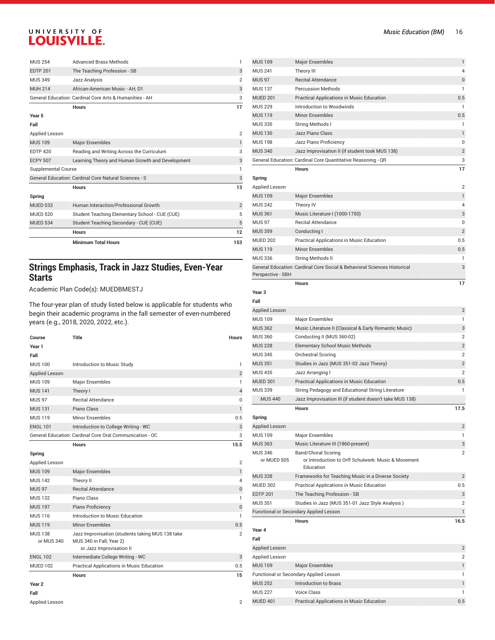|                     | <b>Minimum Total Hours</b>                              | 153            |
|---------------------|---------------------------------------------------------|----------------|
|                     | <b>Hours</b>                                            | 12             |
| <b>MUED 534</b>     | Student Teaching Secondary - CUE (CUE)                  | 5              |
| <b>MUED 520</b>     | Student Teaching Elementary School - CUE (CUE)          | 5              |
| <b>MUED 533</b>     | Human Interaction/Professional Growth                   | $\overline{2}$ |
| Spring              | <b>Hours</b>                                            | 13             |
|                     | General Education: Cardinal Core Natural Sciences - S   | 3              |
| Supplemental Course |                                                         | 1              |
| <b>ECPY 507</b>     | Learning Theory and Human Growth and Development        | 3              |
| <b>EDTP 420</b>     | Reading and Writing Across the Curriculum               | 3              |
| <b>MUS 109</b>      | <b>Major Ensembles</b>                                  | $\mathbf{1}$   |
| Applied Lesson      |                                                         | $\overline{2}$ |
| Fall                |                                                         |                |
| Year 5              |                                                         |                |
|                     | <b>Hours</b>                                            | 17             |
|                     | General Education: Cardinal Core Arts & Humanities - AH | 3              |
| <b>MUH 214</b>      | African-American Music - AH, D1                         | 3              |
| <b>MUS 349</b>      | Jazz Analysis                                           | $\overline{2}$ |
| <b>EDTP 201</b>     | The Teaching Profession - SB                            | 3              |
| <b>MUS 254</b>      | <b>Advanced Brass Methods</b>                           | 1              |

## **Strings Emphasis, Track in Jazz Studies, Even-Year Starts**

Academic Plan Code(s): MUEDBMESTJ

| Course                       | <b>Title</b>                                                                                             | <b>Hours</b>   |
|------------------------------|----------------------------------------------------------------------------------------------------------|----------------|
| Year 1                       |                                                                                                          |                |
| Fall                         |                                                                                                          |                |
| <b>MUS 100</b>               | Introduction to Music Study                                                                              | 1              |
| <b>Applied Lesson</b>        |                                                                                                          | $\overline{2}$ |
| <b>MUS 109</b>               | Major Ensembles                                                                                          | 1              |
| <b>MUS 141</b>               | Theory I                                                                                                 | $\overline{4}$ |
| <b>MUS 97</b>                | <b>Recital Attendance</b>                                                                                | $\Omega$       |
| <b>MUS 131</b>               | Piano Class                                                                                              | $\mathbf{1}$   |
| <b>MUS 119</b>               | <b>Minor Ensembles</b>                                                                                   | 0.5            |
| <b>ENGL 101</b>              | Introduction to College Writing - WC                                                                     | 3              |
|                              | General Education: Cardinal Core Oral Communication - OC                                                 | 3              |
|                              | <b>Hours</b>                                                                                             | 15.5           |
| Spring                       |                                                                                                          |                |
| Applied Lesson               |                                                                                                          | 2              |
| <b>MUS 109</b>               | <b>Major Ensembles</b>                                                                                   | $\mathbf{1}$   |
| <b>MUS 142</b>               | Theory II                                                                                                | 4              |
| <b>MUS 97</b>                | <b>Recital Attendance</b>                                                                                | $\Omega$       |
| <b>MUS 132</b>               | Piano Class                                                                                              | 1              |
| <b>MUS 197</b>               | Piano Proficiency                                                                                        | $\mathbf{0}$   |
| <b>MUS116</b>                | Introduction to Music Education                                                                          | 1              |
| <b>MUS 119</b>               | <b>Minor Ensembles</b>                                                                                   | 0.5            |
| <b>MUS 138</b><br>or MUS 340 | Jazz Improvisation (students taking MUS 138 take<br>MUS 340 in Fall, Year 2)<br>or Jazz Improvisation II | $\overline{2}$ |
| <b>ENGL 102</b>              | Intermediate College Writing - WC                                                                        | 3              |
| <b>MUED 102</b>              | Practical Applications in Music Education                                                                | 0.5            |
|                              | <b>Hours</b>                                                                                             | 15             |
| Year <sub>2</sub><br>Fall    |                                                                                                          |                |

| Applied Lesson |  |
|----------------|--|

| <b>MUS109</b>                    | <b>Major Ensembles</b>                                                                  | 1                   |
|----------------------------------|-----------------------------------------------------------------------------------------|---------------------|
| <b>MUS 241</b>                   | Theory III                                                                              | 4                   |
| <b>MUS 97</b>                    | <b>Recital Attendance</b>                                                               | 0                   |
| <b>MUS 137</b>                   | <b>Percussion Methods</b>                                                               | 1                   |
| <b>MUED 201</b>                  | Practical Applications in Music Education                                               | 0.5                 |
| <b>MUS 229</b>                   | Introduction to Woodwinds                                                               | 1                   |
| <b>MUS 119</b>                   | <b>Minor Ensembles</b>                                                                  | 0.5                 |
| <b>MUS 335</b>                   | <b>String Methods I</b>                                                                 | 1                   |
| <b>MUS 130</b><br><b>MUS 198</b> | Jazz Piano Class<br>Jazz Piano Proficiency                                              | $\mathbf{1}$<br>0   |
| <b>MUS 340</b>                   | Jazz Improvisation II (if student took MUS 138)                                         | $\overline{2}$      |
|                                  | General Education: Cardinal Core Quantitative Reasoning - QR                            | 3                   |
|                                  | <b>Hours</b>                                                                            | 17                  |
| Spring                           |                                                                                         |                     |
| Applied Lesson                   |                                                                                         | 2                   |
| <b>MUS 109</b>                   | <b>Major Ensembles</b>                                                                  | 1                   |
| <b>MUS 242</b>                   | Theory IV                                                                               | 4                   |
| <b>MUS 361</b>                   | Music Literature I (1000-1750)                                                          | 3                   |
| <b>MUS 97</b>                    | <b>Recital Attendance</b>                                                               | 0                   |
| <b>MUS 359</b>                   | Conducting I                                                                            | $\overline{2}$      |
| <b>MUED 202</b>                  | Practical Applications in Music Education                                               | 0.5                 |
| <b>MUS 119</b>                   | <b>Minor Ensembles</b>                                                                  | 0.5                 |
| <b>MUS 336</b>                   | <b>String Methods II</b>                                                                | 1                   |
| Perspective - SBH                | General Education: Cardinal Core Social & Behavioral Sciences Historical                | 3                   |
|                                  | <b>Hours</b>                                                                            | 17                  |
| Year <sub>3</sub>                |                                                                                         |                     |
| Fall                             |                                                                                         |                     |
| <b>Applied Lesson</b>            |                                                                                         | $\overline{2}$      |
| <b>MUS 109</b>                   | <b>Major Ensembles</b>                                                                  | 1                   |
| <b>MUS 362</b>                   | Music Literature II (Classical & Early Romantic Music)                                  | 3                   |
| <b>MUS 360</b>                   | Conducting II (MUS 360-02)                                                              | $\overline{2}$      |
| <b>MUS 228</b>                   | <b>Elementary School Music Methods</b>                                                  | $\overline{2}$      |
| <b>MUS 345</b>                   | Orchestral Scoring                                                                      | $\overline{2}$      |
| <b>MUS 351</b>                   | Studies in Jazz (MUS 351-02 Jazz Theory)                                                | $\overline{2}$      |
| <b>MUS 435</b>                   | Jazz Arranging I                                                                        | $\overline{2}$      |
| <b>MUED 301</b>                  | Practical Applications in Music Education                                               | 0.5                 |
| <b>MUS 339</b>                   | String Pedagogy and Educational String Literature                                       | 1                   |
| <b>MUS 440</b>                   | Jazz Improvisation III (if student doesn't take MUS 138)                                |                     |
|                                  | <b>Hours</b>                                                                            | 17.5                |
| Spring                           |                                                                                         |                     |
| <b>Applied Lesson</b>            |                                                                                         | $\mathbf{2}$        |
| <b>MUS 109</b>                   | <b>Major Ensembles</b>                                                                  | 1                   |
| <b>MUS 363</b>                   | Music Literature III (1860-present)                                                     | 3                   |
| <b>MUS 346</b><br>or MUED 505    | Band/Choral Scoring<br>or Introduction to Orff Schulwerk: Music & Movement<br>Education | 2                   |
| <b>MUS 328</b>                   | Frameworks for Teaching Music in a Diverse Society                                      |                     |
| <b>MUED 302</b>                  |                                                                                         | $\mathbf{2}$<br>0.5 |
| <b>EDTP 201</b>                  | Practical Applications in Music Education<br>The Teaching Profession - SB               | 3                   |
| <b>MUS 351</b>                   | Studies in Jazz (MUS 351-01 Jazz Style Analysis)                                        | $\overline{2}$      |
|                                  | Functional or Secondary Applied Lesson                                                  | 1                   |
|                                  | <b>Hours</b>                                                                            | 16.5                |
| Year 4                           |                                                                                         |                     |
| Fall                             |                                                                                         |                     |
| <b>Applied Lesson</b>            |                                                                                         | $\overline{2}$      |
| Applied Lesson                   |                                                                                         | $\overline{2}$      |
| <b>MUS 109</b>                   | <b>Major Ensembles</b>                                                                  | 1                   |
|                                  | Functional or Secondary Applied Lesson                                                  | 1                   |
| <b>MUS 252</b>                   | <b>Introduction to Brass</b>                                                            | 1                   |
| <b>MUS 227</b>                   | <b>Voice Class</b>                                                                      | 1                   |
| <b>MUED 401</b>                  | Practical Applications in Music Education                                               | 0.5                 |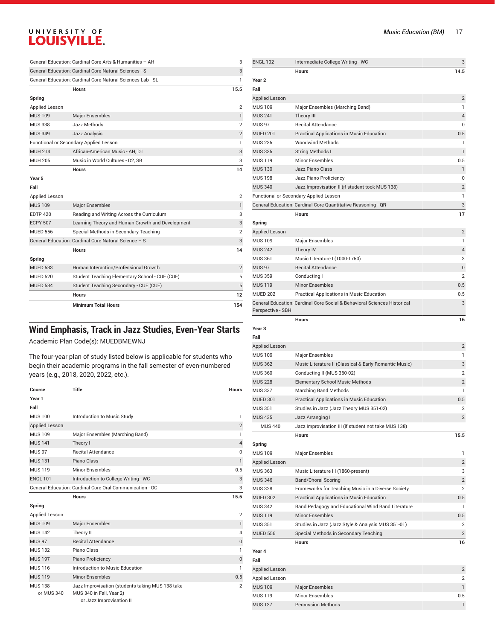|                 | <b>Hours</b>                                               | 12             |
|-----------------|------------------------------------------------------------|----------------|
| <b>MUED 534</b> | Student Teaching Secondary - CUE (CUE)                     | 5              |
| <b>MUED 520</b> | Student Teaching Elementary School - CUE (CUE)             | 5              |
| <b>MUED 533</b> | Human Interaction/Professional Growth                      | $\overline{2}$ |
| Spring          |                                                            |                |
|                 | <b>Hours</b>                                               | 14             |
|                 | General Education: Cardinal Core Natural Science - S       | 3              |
| <b>MUED 556</b> | Special Methods in Secondary Teaching                      | $\overline{2}$ |
| <b>ECPY 507</b> | Learning Theory and Human Growth and Development           | 3              |
| <b>EDTP 420</b> | Reading and Writing Across the Curriculum                  | 3              |
| <b>MUS 109</b>  | <b>Major Ensembles</b>                                     | $\mathbf{1}$   |
| Applied Lesson  |                                                            | 2              |
| Fall            |                                                            |                |
| Year 5          |                                                            |                |
|                 | <b>Hours</b>                                               | 14             |
| MUH 205         | Music in World Cultures - D2, SB                           | 3              |
| <b>MUH 214</b>  | African-American Music - AH. D1                            | 3              |
|                 | Functional or Secondary Applied Lesson                     | 1              |
| <b>MUS 349</b>  | <b>Jazz Analysis</b>                                       | $\overline{2}$ |
| <b>MUS 338</b>  | Jazz Methods                                               | $\overline{2}$ |
| <b>MUS 109</b>  | <b>Major Ensembles</b>                                     | $\mathbf{1}$   |
| Applied Lesson  |                                                            | 2              |
| Spring          |                                                            |                |
|                 | <b>Hours</b>                                               | 15.5           |
|                 | General Education: Cardinal Core Natural Sciences Lab - SL | 1              |
|                 | General Education: Cardinal Core Natural Sciences - S      | 3              |

## **Wind Emphasis, Track in Jazz Studies, Even-Year Starts**

Academic Plan Code(s): MUEDBMEWNJ

| Course                       | <b>Title</b>                                                                                             | <b>Hours</b>   |
|------------------------------|----------------------------------------------------------------------------------------------------------|----------------|
| Year 1                       |                                                                                                          |                |
| Fall                         |                                                                                                          |                |
| <b>MUS 100</b>               | Introduction to Music Study                                                                              | 1              |
| <b>Applied Lesson</b>        |                                                                                                          | $\overline{2}$ |
| <b>MUS 109</b>               | Major Ensembles (Marching Band)                                                                          | 1              |
| <b>MUS 141</b>               | Theory I                                                                                                 | $\overline{4}$ |
| <b>MUS 97</b>                | <b>Recital Attendance</b>                                                                                | $\Omega$       |
| <b>MUS 131</b>               | Piano Class                                                                                              | $\mathbf{1}$   |
| <b>MUS119</b>                | Minor Ensembles                                                                                          | 0.5            |
| <b>ENGL 101</b>              | Introduction to College Writing - WC                                                                     | 3              |
|                              | General Education: Cardinal Core Oral Communication - OC                                                 | 3              |
|                              | <b>Hours</b>                                                                                             | 15.5           |
| Spring                       |                                                                                                          |                |
| Applied Lesson               |                                                                                                          | $\overline{2}$ |
| <b>MUS 109</b>               | <b>Major Ensembles</b>                                                                                   | 1              |
| <b>MUS 142</b>               | Theory II                                                                                                | $\Delta$       |
| <b>MUS 97</b>                | <b>Recital Attendance</b>                                                                                | $\Omega$       |
| <b>MUS132</b>                | Piano Class                                                                                              | 1              |
| <b>MUS 197</b>               | Piano Proficiency                                                                                        | $\mathbf{0}$   |
| <b>MUS116</b>                | Introduction to Music Education                                                                          | 1              |
| <b>MUS 119</b>               | <b>Minor Ensembles</b>                                                                                   | 0.5            |
| <b>MUS 138</b><br>or MUS 340 | Jazz Improvisation (students taking MUS 138 take<br>MUS 340 in Fall, Year 2)<br>or Jazz Improvisation II | $\overline{2}$ |

| <b>ENGL 102</b>       | Intermediate College Writing - WC                                        | 3                       |
|-----------------------|--------------------------------------------------------------------------|-------------------------|
|                       | <b>Hours</b>                                                             | 14.5                    |
| Year 2                |                                                                          |                         |
| Fall                  |                                                                          |                         |
| Applied Lesson        |                                                                          | $\overline{\mathbf{c}}$ |
| <b>MUS 109</b>        | Major Ensembles (Marching Band)                                          | 1                       |
| <b>MUS 241</b>        | Theory III                                                               | 4                       |
| <b>MUS 97</b>         | <b>Recital Attendance</b>                                                | 0                       |
| <b>MUED 201</b>       | Practical Applications in Music Education                                | 0.5                     |
| <b>MUS 235</b>        | <b>Woodwind Methods</b>                                                  | 1                       |
| <b>MUS 335</b>        | <b>String Methods I</b>                                                  | 1                       |
| <b>MUS 119</b>        | <b>Minor Ensembles</b>                                                   | 0.5                     |
| <b>MUS 130</b>        | Jazz Piano Class                                                         | 1                       |
| <b>MUS 198</b>        | Jazz Piano Proficiency                                                   | 0                       |
| <b>MUS 340</b>        | Jazz Improvisation II (if student took MUS 138)                          | $\overline{2}$          |
|                       | Functional or Secondary Applied Lesson                                   | 1                       |
|                       | General Education: Cardinal Core Quantitative Reasoning - QR             | 3                       |
|                       | <b>Hours</b>                                                             | 17                      |
| Spring                |                                                                          |                         |
| Applied Lesson        |                                                                          | 2                       |
| <b>MUS 109</b>        | Major Ensembles                                                          | 1                       |
| <b>MUS 242</b>        | Theory IV                                                                | 4                       |
| <b>MUS 361</b>        | Music Literature I (1000-1750)                                           | 3                       |
| <b>MUS 97</b>         | <b>Recital Attendance</b>                                                | 0                       |
| <b>MUS 359</b>        | Conducting I                                                             | $\overline{2}$          |
| <b>MUS 119</b>        | <b>Minor Ensembles</b>                                                   | 0.5                     |
| <b>MUED 202</b>       | Practical Applications in Music Education                                | 0.5                     |
|                       | General Education: Cardinal Core Social & Behavioral Sciences Historical | 3                       |
| Perspective - SBH     |                                                                          |                         |
|                       | <b>Hours</b>                                                             | 16                      |
| Year <sub>3</sub>     |                                                                          |                         |
| Fall                  |                                                                          |                         |
| <b>Applied Lesson</b> |                                                                          | 2                       |
| <b>MUS 109</b>        | Major Ensembles                                                          | 1                       |
| <b>MUS 362</b>        | Music Literature II (Classical & Early Romantic Music)                   | 3                       |
| <b>MUS 360</b>        | Conducting II (MUS 360-02)                                               | 2                       |
| <b>MUS 228</b>        | <b>Elementary School Music Methods</b>                                   | $\overline{2}$          |
| <b>MUS 337</b>        | <b>Marching Band Methods</b>                                             | 1                       |
| <b>MUED 301</b>       | Practical Applications in Music Education                                | 0.5                     |
| <b>MUS 351</b>        | Studies in Jazz (Jazz Theory MUS 351-02)                                 | 2                       |
| <b>MUS 435</b>        | Jazz Arranging I                                                         | $\overline{2}$          |
| <b>MUS 440</b>        | Jazz Improvisation III (if student not take MUS 138)                     |                         |
|                       | <b>Hours</b>                                                             | 15.5                    |
| Spring                |                                                                          |                         |
| <b>MUS 109</b>        | Major Ensembles                                                          | 1                       |
| <b>Applied Lesson</b> |                                                                          | $\overline{2}$          |
| <b>MUS 363</b>        | Music Literature III (1860-present)                                      | 3                       |
| <b>MUS 346</b>        | <b>Band/Choral Scoring</b>                                               | $\overline{\mathbf{c}}$ |
| <b>MUS 328</b>        | Frameworks for Teaching Music in a Diverse Society                       | 2                       |
| <b>MUED 302</b>       | Practical Applications in Music Education                                | 0.5                     |
| <b>MUS 342</b>        | Band Pedagogy and Educational Wind Band Literature                       | 1                       |
| <b>MUS 119</b>        | <b>Minor Ensembles</b>                                                   | 0.5                     |
| <b>MUS 351</b>        | Studies in Jazz (Jazz Style & Analysis MUS 351-01)                       | 2                       |
| <b>MUED 556</b>       | Special Methods in Secondary Teaching                                    | 2                       |
|                       | <b>Hours</b>                                                             | 16                      |
|                       |                                                                          |                         |
| Year 4                |                                                                          |                         |
| Fall                  |                                                                          |                         |
| Applied Lesson        |                                                                          | 2                       |
| Applied Lesson        |                                                                          | 2                       |
| <b>MUS 109</b>        | <b>Major Ensembles</b>                                                   | $\mathbf{1}$            |
| <b>MUS 119</b>        | <b>Minor Ensembles</b>                                                   | 0.5                     |
| <b>MUS 137</b>        | <b>Percussion Methods</b>                                                | 1                       |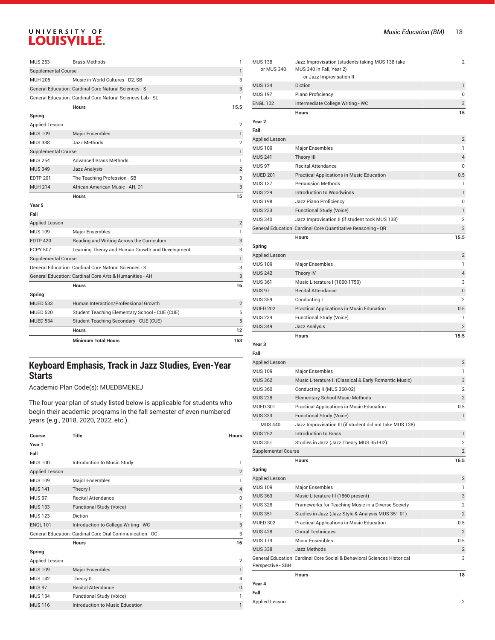| <b>MUS 253</b>             | <b>Brass Methods</b>                                       | 1              |
|----------------------------|------------------------------------------------------------|----------------|
| <b>Supplemental Course</b> |                                                            | 1              |
| <b>MUH 205</b>             | Music in World Cultures - D2, SB                           | 3              |
|                            | General Education: Cardinal Core Natural Sciences - S      | 3              |
|                            | General Education: Cardinal Core Natural Sciences Lab - SL | 1              |
|                            | <b>Hours</b>                                               | 15.5           |
| Spring                     |                                                            |                |
| Applied Lesson             |                                                            | $\overline{2}$ |
| <b>MUS 109</b>             | <b>Major Ensembles</b>                                     | 1              |
| <b>MUS 338</b>             | Jazz Methods                                               | $\overline{2}$ |
| <b>Supplemental Course</b> |                                                            | 1              |
| <b>MUS 254</b>             | <b>Advanced Brass Methods</b>                              | 1              |
| <b>MUS 349</b>             | Jazz Analysis                                              | $\overline{2}$ |
| <b>EDTP 201</b>            | The Teaching Profession - SB                               | 3              |
| <b>MUH 214</b>             | African-American Music - AH, D1                            | 3              |
|                            | <b>Hours</b>                                               | 15             |
| Year 5                     |                                                            |                |
| Fall                       |                                                            |                |

|                            | <b>Minimum Total Hours</b>                              | 153            |
|----------------------------|---------------------------------------------------------|----------------|
|                            | <b>Hours</b>                                            | 12             |
| <b>MUED 534</b>            | Student Teaching Secondary - CUE (CUE)                  | 5              |
| <b>MUED 520</b>            | Student Teaching Elementary School - CUE (CUE)          | 5              |
| <b>MUED 533</b>            | Human Interaction/Professional Growth                   | $\overline{2}$ |
| Spring                     |                                                         |                |
|                            | <b>Hours</b>                                            | 16             |
|                            | General Education: Cardinal Core Arts & Humanities - AH | 3              |
|                            | General Education: Cardinal Core Natural Sciences - S   | 3              |
| <b>Supplemental Course</b> |                                                         | 1              |
| <b>ECPY 507</b>            | Learning Theory and Human Growth and Development        | 3              |
| <b>EDTP 420</b>            | Reading and Writing Across the Curriculum               | 3              |
| <b>MUS 109</b>             | <b>Major Ensembles</b>                                  | 1              |
| <b>Applied Lesson</b>      |                                                         | $\overline{2}$ |
| rau                        |                                                         |                |

## **Keyboard Emphasis, Track in Jazz Studies, Even-Year Starts**

Academic Plan Code(s): MUEDBMEKEJ

| Course          | <b>Title</b>                                             | <b>Hours</b>   |
|-----------------|----------------------------------------------------------|----------------|
| Year 1          |                                                          |                |
| Fall            |                                                          |                |
| <b>MUS 100</b>  | Introduction to Music Study                              | 1              |
| Applied Lesson  |                                                          | $\overline{2}$ |
| <b>MUS 109</b>  | Major Ensembles                                          | 1              |
| <b>MUS 141</b>  | Theory I                                                 | $\overline{4}$ |
| <b>MUS 97</b>   | <b>Recital Attendance</b>                                | $\Omega$       |
| <b>MUS 133</b>  | Functional Study (Voice)                                 | 1              |
| <b>MUS 123</b>  | Diction                                                  | 1              |
| <b>ENGL 101</b> | Introduction to College Writing - WC                     | 3              |
|                 | General Education: Cardinal Core Oral Communication - OC | 3              |
|                 | <b>Hours</b>                                             | 16             |
| Spring          |                                                          |                |
| Applied Lesson  |                                                          | $\overline{2}$ |
| <b>MUS 109</b>  | <b>Major Ensembles</b>                                   | $\mathbf{1}$   |
| <b>MUS 142</b>  | Theory II                                                | 4              |
| <b>MUS 97</b>   | <b>Recital Attendance</b>                                | $\mathbf{0}$   |
| <b>MUS 134</b>  | Functional Study (Voice)                                 | 1              |
| <b>MUS 116</b>  | Introduction to Music Education                          | 1              |

| <b>MUS 138</b><br>or MUS 340 | Jazz Improvisation (students taking MUS 138 take<br>MUS 340 in Fall, Year 2)<br>or Jazz Improvisation II | 2                       |
|------------------------------|----------------------------------------------------------------------------------------------------------|-------------------------|
| <b>MUS 124</b>               | Diction                                                                                                  | 1                       |
| <b>MUS 197</b>               | Piano Proficiency                                                                                        | 0                       |
| <b>ENGL 102</b>              | Intermediate College Writing - WC                                                                        | 3                       |
|                              | <b>Hours</b>                                                                                             | 15                      |
| Year <sub>2</sub><br>Fall    |                                                                                                          |                         |
| <b>Applied Lesson</b>        |                                                                                                          | 2                       |
| <b>MUS 109</b>               | <b>Major Ensembles</b>                                                                                   | 1                       |
| <b>MUS 241</b>               | Theory III                                                                                               | 4                       |
| <b>MUS 97</b>                | <b>Recital Attendance</b>                                                                                | 0                       |
| <b>MUED 201</b>              | Practical Applications in Music Education                                                                | 0.5                     |
| <b>MUS 137</b>               | <b>Percussion Methods</b>                                                                                | 1                       |
| <b>MUS 229</b>               | Introduction to Woodwinds                                                                                | 1                       |
| <b>MUS 198</b>               | Jazz Piano Proficiency                                                                                   | 0                       |
| <b>MUS 233</b>               | Functional Study (Voice)                                                                                 | 1                       |
| <b>MUS 340</b>               | Jazz Improvisation II (if student took MUS 138)                                                          | 2                       |
|                              | General Education: Cardinal Core Quantitative Reasoning - QR                                             | 3                       |
|                              | <b>Hours</b>                                                                                             | 15.5                    |
| Spring                       |                                                                                                          |                         |
| Applied Lesson               |                                                                                                          | 2                       |
| <b>MUS 109</b>               | Major Ensembles                                                                                          | 1                       |
| <b>MUS 242</b>               | Theory IV                                                                                                | 4                       |
| <b>MUS 361</b>               | Music Literature I (1000-1750)                                                                           | 3                       |
| <b>MUS 97</b>                | <b>Recital Attendance</b>                                                                                | 0                       |
| <b>MUS 359</b>               | Conducting I                                                                                             | 2                       |
| <b>MUED 202</b>              | Practical Applications in Music Education                                                                | 0.5                     |
| <b>MUS 234</b>               | Functional Study (Voice)                                                                                 | 1                       |
| <b>MUS 349</b>               | Jazz Analysis                                                                                            | 2                       |
|                              | <b>Hours</b>                                                                                             | 15.5                    |
| Year <sub>3</sub>            |                                                                                                          |                         |
| Fall                         |                                                                                                          |                         |
| <b>Applied Lesson</b>        |                                                                                                          | 2                       |
| <b>MUS 109</b>               | <b>Major Ensembles</b>                                                                                   | 1                       |
| <b>MUS 362</b>               | Music Literature II (Classical & Early Romantic Music)                                                   | 3                       |
| <b>MUS 360</b>               | Conducting II (MUS 360-02)                                                                               | 2                       |
| <b>MUS 228</b>               | <b>Elementary School Music Methods</b>                                                                   | $\overline{2}$          |
| MUED 301                     | Practical Applications in Music Education                                                                | 0.5                     |
| <b>MUS 333</b>               | Functional Study (Voice)                                                                                 | $\mathbf{1}$            |
| <b>MUS 440</b>               | Jazz Improvisation III (if student did not take MUS 138)                                                 |                         |
| <b>MUS 252</b>               | Introduction to Brass                                                                                    | 1                       |
| <b>MUS 351</b>               | Studies in Jazz (Jazz Theory MUS 351-02)                                                                 | 2                       |
| <b>Supplemental Course</b>   |                                                                                                          | $\overline{2}$          |
|                              | <b>Hours</b>                                                                                             | 16.5                    |
| Spring                       |                                                                                                          |                         |
| <b>Applied Lesson</b>        |                                                                                                          | 2                       |
| <b>MUS109</b>                | <b>Major Ensembles</b>                                                                                   | 1                       |
| <b>MUS 363</b>               | Music Literature III (1860-present)                                                                      | 3                       |
| <b>MUS 328</b>               | Frameworks for Teaching Music in a Diverse Society                                                       | 2                       |
| <b>MUS 351</b>               | Studies in Jazz (Jazz Style & Analysis MUS 351-01)                                                       | $\overline{2}$          |
| <b>MUED 302</b>              | Practical Applications in Music Education                                                                | 0.5                     |
| <b>MUS 428</b>               | <b>Choral Techniques</b>                                                                                 | $\mathbf{2}$            |
| <b>MUS 119</b>               | <b>Minor Ensembles</b>                                                                                   | 0.5                     |
| <b>MUS 338</b>               | Jazz Methods                                                                                             | $\overline{\mathbf{c}}$ |
|                              | General Education: Cardinal Core Social & Behavioral Sciences Historical                                 | 3                       |
| Perspective - SBH            |                                                                                                          |                         |
|                              | <b>Hours</b>                                                                                             | 18                      |
| Year 4                       |                                                                                                          |                         |
| Fall                         |                                                                                                          |                         |
|                              |                                                                                                          |                         |
| Applied Lesson               |                                                                                                          | 2                       |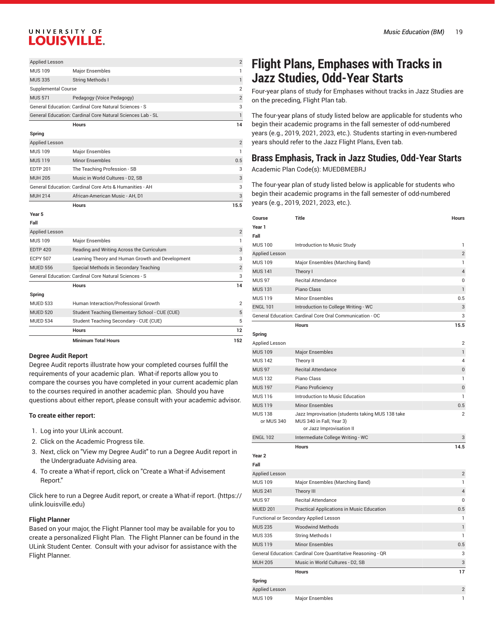|                     | <b>Hours</b>                                                      | 14             |
|---------------------|-------------------------------------------------------------------|----------------|
|                     | <b>General Education: Cardinal Core Natural Sciences Lab - SL</b> |                |
|                     | General Education: Cardinal Core Natural Sciences - S             | 3              |
| <b>MUS 571</b>      | Pedagogy (Voice Pedagogy)                                         | $\mathcal{P}$  |
| Supplemental Course |                                                                   | $\overline{2}$ |
| <b>MUS 335</b>      | <b>String Methods I</b>                                           |                |
| <b>MUS 109</b>      | <b>Major Ensembles</b>                                            |                |
| Applied Lesson      |                                                                   | $\mathcal{P}$  |

#### **Spring**

| African-American Music - AH, D1<br><b>MUH 214</b>       | 3              |
|---------------------------------------------------------|----------------|
| General Education: Cardinal Core Arts & Humanities - AH | 3              |
| Music in World Cultures - D2, SB<br><b>MUH 205</b>      | 3              |
| The Teaching Profession - SB<br><b>EDTP 201</b>         | 3              |
| Minor Ensembles<br><b>MUS 119</b>                       | 0.5            |
| <b>MUS 109</b><br><b>Major Ensembles</b>                |                |
| <b>Applied Lesson</b>                                   | $\overline{2}$ |

#### **Year 5**

|                       | <b>Minimum Total Hours</b>                            | 152            |
|-----------------------|-------------------------------------------------------|----------------|
|                       | <b>Hours</b>                                          | 12             |
| <b>MUED 534</b>       | Student Teaching Secondary - CUE (CUE)                | 5              |
| <b>MUED 520</b>       | Student Teaching Elementary School - CUE (CUE)        | 5              |
| <b>MUED 533</b>       | Human Interaction/Professional Growth                 | $\overline{2}$ |
| Spring                |                                                       |                |
|                       | <b>Hours</b>                                          | 14             |
|                       | General Education: Cardinal Core Natural Sciences - S | 3              |
| <b>MUED 556</b>       | Special Methods in Secondary Teaching                 | $\overline{2}$ |
| <b>ECPY 507</b>       | Learning Theory and Human Growth and Development      | 3              |
| <b>EDTP 420</b>       | Reading and Writing Across the Curriculum             | 3              |
| <b>MUS 109</b>        | <b>Major Ensembles</b>                                |                |
| <b>Applied Lesson</b> |                                                       | 2              |
| Fall                  |                                                       |                |
|                       |                                                       |                |

#### **Degree Audit Report**

Degree Audit reports illustrate how your completed courses fulfill the requirements of your academic plan. What-if reports allow you to compare the courses you have completed in your current academic plan to the courses required in another academic plan. Should you have questions about either report, please consult with your academic advisor.

#### **To create either report:**

- 1. Log into your ULink account.
- 2. Click on the Academic Progress tile.
- 3. Next, click on "View my Degree Audit" to run a Degree Audit report in the Undergraduate Advising area.
- 4. To create a What-if report, click on "Create a What-if Advisement Report."

Click here to run a Degree Audit report, or create a [What-if](https://ulink.louisville.edu) report. ([https://](https://ulink.louisville.edu) [ulink.louisville.edu](https://ulink.louisville.edu))

#### **Flight Planner**

Based on your major, the Flight Planner tool may be available for you to create a personalized Flight Plan. The Flight Planner can be found in the ULink Student Center. Consult with your advisor for assistance with the Flight Planner.

## **Flight Plans, Emphases with Tracks in Jazz Studies, Odd-Year Starts**

Four-year plans of study for Emphases without tracks in Jazz Studies are on the preceding, Flight Plan tab.

The four-year plans of study listed below are applicable for students who begin their academic programs in the fall semester of odd-numbered years (e.g., 2019, 2021, 2023, etc.). Students starting in even-numbered years should refer to the Jazz Flight Plans, Even tab.

## **Brass Emphasis, Track in Jazz Studies, Odd-Year Starts**

Academic Plan Code(s): MUEDBMEBRJ

| Course                       | Title                                                                                                    | Hours                   |
|------------------------------|----------------------------------------------------------------------------------------------------------|-------------------------|
| Year 1                       |                                                                                                          |                         |
| Fall                         |                                                                                                          |                         |
| <b>MUS 100</b>               | Introduction to Music Study                                                                              | 1                       |
| <b>Applied Lesson</b>        |                                                                                                          | $\overline{2}$          |
| <b>MUS 109</b>               | Major Ensembles (Marching Band)                                                                          | 1                       |
| <b>MUS 141</b>               | Theory I                                                                                                 | $\overline{4}$          |
| <b>MUS 97</b>                | <b>Recital Attendance</b>                                                                                | 0                       |
| <b>MUS 131</b>               | Piano Class                                                                                              | 1                       |
| <b>MUS 119</b>               | <b>Minor Ensembles</b>                                                                                   | 0.5                     |
| <b>ENGL 101</b>              | Introduction to College Writing - WC                                                                     | 3                       |
|                              | General Education: Cardinal Core Oral Communication - OC                                                 | 3                       |
|                              | <b>Hours</b>                                                                                             | 15.5                    |
| Spring                       |                                                                                                          |                         |
| <b>Applied Lesson</b>        |                                                                                                          | $\overline{2}$          |
| <b>MUS 109</b>               | <b>Major Ensembles</b>                                                                                   | 1                       |
| <b>MUS 142</b>               | Theory II                                                                                                | 4                       |
| <b>MUS 97</b>                | <b>Recital Attendance</b>                                                                                | $\pmb{0}$               |
| <b>MUS 132</b>               | Piano Class                                                                                              | 1                       |
| <b>MUS 197</b>               | Piano Proficiency                                                                                        | 0                       |
| <b>MUS 116</b>               | Introduction to Music Education                                                                          | 1                       |
| <b>MUS 119</b>               | <b>Minor Ensembles</b>                                                                                   | 0.5                     |
| <b>MUS 138</b><br>or MUS 340 | Jazz Improvisation (students taking MUS 138 take<br>MUS 340 in Fall, Year 3)<br>or Jazz Improvisation II | $\overline{2}$          |
| <b>ENGL 102</b>              | Intermediate College Writing - WC                                                                        | 3                       |
|                              | <b>Hours</b>                                                                                             | 14.5                    |
| Year <sub>2</sub>            |                                                                                                          |                         |
| Fall                         |                                                                                                          |                         |
| <b>Applied Lesson</b>        |                                                                                                          | $\overline{\mathbf{c}}$ |
| <b>MUS 109</b>               | Major Ensembles (Marching Band)                                                                          | 1                       |
| <b>MUS 241</b>               | Theory III                                                                                               | $\overline{4}$          |
| <b>MUS 97</b>                | <b>Recital Attendance</b>                                                                                | 0                       |
| <b>MUED 201</b>              | Practical Applications in Music Education                                                                | 0.5                     |
|                              | <b>Functional or Secondary Applied Lesson</b>                                                            | 1                       |
| <b>MUS 235</b>               | <b>Woodwind Methods</b>                                                                                  | 1                       |
| <b>MUS 335</b>               | String Methods I                                                                                         | 1                       |
| <b>MUS 119</b>               | <b>Minor Ensembles</b>                                                                                   | 0.5                     |
|                              | General Education: Cardinal Core Quantitative Reasoning - QR                                             | 3                       |
| <b>MUH 205</b>               | Music in World Cultures - D2, SB                                                                         | 3                       |
|                              | <b>Hours</b>                                                                                             | 17                      |
| Spring                       |                                                                                                          |                         |
| <b>Applied Lesson</b>        |                                                                                                          | $\overline{2}$          |
| <b>MUS 109</b>               | Major Ensembles                                                                                          | 1                       |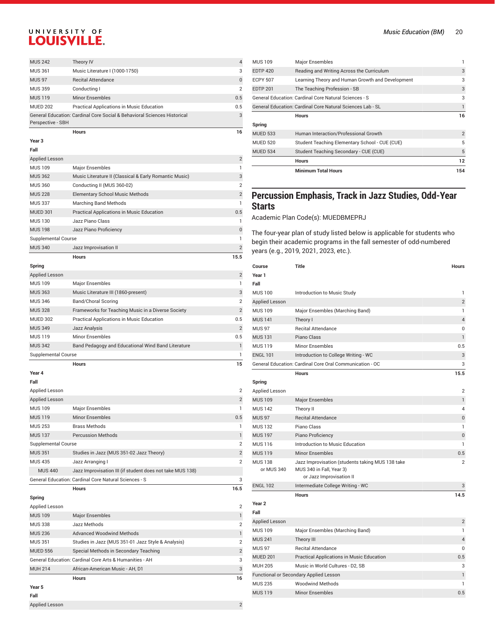| <b>MUS 242</b>             | Theory IV                                                                | 4              |
|----------------------------|--------------------------------------------------------------------------|----------------|
| <b>MUS 361</b>             | Music Literature I (1000-1750)                                           | 3              |
| <b>MUS 97</b>              | <b>Recital Attendance</b>                                                | 0              |
| <b>MUS 359</b>             | Conducting I                                                             | $\overline{2}$ |
| <b>MUS 119</b>             | <b>Minor Ensembles</b>                                                   | 0.5            |
| <b>MUED 202</b>            | Practical Applications in Music Education                                | 0.5            |
| Perspective - SBH          | General Education: Cardinal Core Social & Behavioral Sciences Historical | 3              |
|                            | <b>Hours</b>                                                             | 16             |
| Year <sub>3</sub>          |                                                                          |                |
| Fall                       |                                                                          |                |
| Applied Lesson             |                                                                          | $\overline{2}$ |
| <b>MUS 109</b>             | Major Ensembles                                                          | 1              |
| <b>MUS 362</b>             | Music Literature II (Classical & Early Romantic Music)                   | 3              |
| <b>MUS 360</b>             | Conducting II (MUS 360-02)                                               | $\overline{2}$ |
| <b>MUS 228</b>             | <b>Elementary School Music Methods</b>                                   | $\overline{2}$ |
| <b>MUS 337</b>             | <b>Marching Band Methods</b>                                             | 1              |
| <b>MUED 301</b>            | Practical Applications in Music Education                                | 0.5            |
| <b>MUS 130</b>             | Jazz Piano Class                                                         | 1              |
| <b>MUS 198</b>             | Jazz Piano Proficiency                                                   | 0              |
| <b>Supplemental Course</b> |                                                                          | 1              |
|                            |                                                                          |                |
| <b>MUS 340</b>             | Jazz Improvisation II                                                    | $\overline{2}$ |
|                            | <b>Hours</b>                                                             | 15.5           |
| Spring                     |                                                                          |                |
| <b>Applied Lesson</b>      |                                                                          | $\overline{c}$ |
| <b>MUS 109</b>             | <b>Major Ensembles</b>                                                   | 1              |
| <b>MUS 363</b>             | Music Literature III (1860-present)                                      | 3              |
| <b>MUS 346</b>             | <b>Band/Choral Scoring</b>                                               | $\overline{2}$ |
| <b>MUS 328</b>             | Frameworks for Teaching Music in a Diverse Society                       | $\overline{2}$ |
| <b>MUED 302</b>            | Practical Applications in Music Education                                | 0.5            |
| <b>MUS 349</b>             | Jazz Analysis                                                            | $\overline{2}$ |
| <b>MUS 119</b>             | <b>Minor Ensembles</b>                                                   | 0.5            |
| <b>MUS 342</b>             | Band Pedagogy and Educational Wind Band Literature                       | 1              |
| <b>Supplemental Course</b> |                                                                          | 1              |
|                            | <b>Hours</b>                                                             | 15             |
| Year 4                     |                                                                          |                |
| Fall                       |                                                                          |                |
| Applied Lesson             |                                                                          | 2              |
| <b>Applied Lesson</b>      |                                                                          | $\mathbf{2}$   |
| <b>MUS 109</b>             | <b>Major Ensembles</b>                                                   | $\mathbf{1}$   |
| <b>MUS 119</b>             | <b>Minor Ensembles</b>                                                   | 0.5            |
| <b>MUS 253</b>             | <b>Brass Methods</b>                                                     | 1              |

| <b>MUS 109</b>  | <b>Major Ensembles</b>                                     |                |
|-----------------|------------------------------------------------------------|----------------|
| <b>EDTP 420</b> | Reading and Writing Across the Curriculum                  | 3              |
| <b>ECPY 507</b> | Learning Theory and Human Growth and Development           | 3              |
| <b>EDTP 201</b> | The Teaching Profession - SB                               | 3              |
|                 | General Education: Cardinal Core Natural Sciences - S      | 3              |
|                 | General Education: Cardinal Core Natural Sciences Lab - SL |                |
|                 | <b>Hours</b>                                               | 16             |
| Spring          |                                                            |                |
| <b>MUED 533</b> | Human Interaction/Professional Growth                      | $\overline{2}$ |
| <b>MUED 520</b> | Student Teaching Elementary School - CUE (CUE)             | 5              |
| <b>MUED 534</b> | Student Teaching Secondary - CUE (CUE)                     | 5              |
|                 | <b>Hours</b>                                               | 12             |
|                 | <b>Minimum Total Hours</b>                                 | 154            |

### **Percussion Emphasis, Track in Jazz Studies, Odd-Year Starts**

Academic Plan Code(s): MUEDBMEPRJ

The four-year plan of study listed below is applicable for students who begin their academic programs in the fall semester of odd-numbered years (e.g., 2019, 2021, 2023, etc.).

| Course                       | <b>Title</b>                                                                                             | <b>Hours</b>   |
|------------------------------|----------------------------------------------------------------------------------------------------------|----------------|
| Year 1                       |                                                                                                          |                |
| Fall                         |                                                                                                          |                |
| <b>MUS 100</b>               | Introduction to Music Study                                                                              | 1              |
| Applied Lesson               |                                                                                                          | $\overline{2}$ |
| <b>MUS 109</b>               | Major Ensembles (Marching Band)                                                                          | 1              |
| <b>MUS 141</b>               | Theory I                                                                                                 | $\overline{4}$ |
| <b>MUS 97</b>                | <b>Recital Attendance</b>                                                                                | 0              |
| <b>MUS 131</b>               | Piano Class                                                                                              | $\mathbf{1}$   |
| <b>MUS 119</b>               | <b>Minor Ensembles</b>                                                                                   | 0.5            |
| <b>ENGL 101</b>              | Introduction to College Writing - WC                                                                     | 3              |
|                              | General Education: Cardinal Core Oral Communication - OC                                                 | 3              |
|                              | <b>Hours</b>                                                                                             | 15.5           |
| Spring                       |                                                                                                          |                |
| Applied Lesson               |                                                                                                          | $\overline{2}$ |
| <b>MUS 109</b>               | <b>Major Ensembles</b>                                                                                   | 1              |
| <b>MUS 142</b>               | Theory II                                                                                                | 4              |
| <b>MUS 97</b>                | <b>Recital Attendance</b>                                                                                | $\overline{0}$ |
| <b>MUS132</b>                | Piano Class                                                                                              | 1              |
| <b>MUS 197</b>               | Piano Proficiency                                                                                        | $\mathbf{0}$   |
| <b>MUS 116</b>               | Introduction to Music Education                                                                          | 1              |
| <b>MUS 119</b>               | <b>Minor Ensembles</b>                                                                                   | 0.5            |
| <b>MUS 138</b><br>or MUS 340 | Jazz Improvisation (students taking MUS 138 take<br>MUS 340 in Fall, Year 3)<br>or Jazz Improvisation II | $\overline{2}$ |
| <b>ENGL 102</b>              | Intermediate College Writing - WC                                                                        | 3              |
|                              | <b>Hours</b>                                                                                             | 14.5           |
| Year <sub>2</sub>            |                                                                                                          |                |
| Fall                         |                                                                                                          |                |
| Applied Lesson               |                                                                                                          | $\overline{2}$ |
| <b>MUS 109</b>               | Major Ensembles (Marching Band)                                                                          | 1              |
| <b>MUS 241</b>               | Theory III                                                                                               | $\overline{4}$ |
| <b>MUS 97</b>                | <b>Recital Attendance</b>                                                                                | $\Omega$       |
| <b>MUED 201</b>              | Practical Applications in Music Education                                                                | 0.5            |
| <b>MUH 205</b>               | Music in World Cultures - D2, SB                                                                         | 3              |
|                              | Functional or Secondary Applied Lesson                                                                   | 1              |
| <b>MUS 235</b>               | <b>Woodwind Methods</b>                                                                                  | 1              |
| <b>MUS 119</b>               | <b>Minor Ensembles</b>                                                                                   | 0.5            |

| Year 5          |                                                         |                |
|-----------------|---------------------------------------------------------|----------------|
|                 | <b>Hours</b>                                            | 16             |
| <b>MUH 214</b>  | African-American Music - AH, D1                         | 3              |
|                 | General Education: Cardinal Core Arts & Humanities - AH | 3              |
| <b>MUED 556</b> | Special Methods in Secondary Teaching                   | $\overline{2}$ |
| <b>MUS 351</b>  | Studies in Jazz (MUS 351-01 Jazz Style & Analysis)      | $\overline{2}$ |
| <b>MUS 236</b>  | <b>Advanced Woodwind Methods</b>                        | 1              |
| <b>MUS 338</b>  | Jazz Methods                                            | $\overline{2}$ |
| <b>MUS 109</b>  | <b>Major Ensembles</b>                                  | 1              |
| Applied Lesson  |                                                         | $\overline{2}$ |
| -----           |                                                         |                |

Supplemental Course 2 MUS 351 Studies in Jazz (MUS 351-02 Jazz Theory) 2 MUS 435 Jazz Arranging I 2

General Education: Cardinal Core Natural Sciences - S 3

**Hours 16.5**

MUS 440 Jazz Improvisation III (if student does not take MUS 138)

#### **Fall**

Applied Lesson 2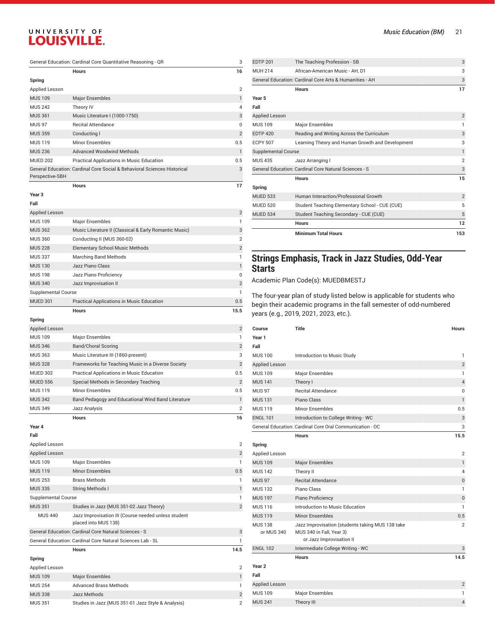| General Education: Cardinal Core Quantitative Reasoning - QR |                                                                          | 3              |
|--------------------------------------------------------------|--------------------------------------------------------------------------|----------------|
|                                                              | <b>Hours</b>                                                             | 16             |
| Spring                                                       |                                                                          |                |
| <b>Applied Lesson</b>                                        |                                                                          | $\overline{2}$ |
| <b>MUS 109</b>                                               | <b>Major Ensembles</b>                                                   | $\mathbf{1}$   |
| <b>MUS 242</b>                                               | Theory IV                                                                | 4              |
| <b>MUS 361</b>                                               | Music Literature I (1000-1750)                                           | 3              |
| <b>MUS 97</b>                                                | <b>Recital Attendance</b>                                                | 0              |
| <b>MUS 359</b>                                               | Conducting I                                                             | $\overline{2}$ |
| <b>MUS 119</b>                                               | <b>Minor Ensembles</b>                                                   | 0.5            |
| <b>MUS 236</b>                                               | <b>Advanced Woodwind Methods</b>                                         | $\mathbf{1}$   |
| <b>MUED 202</b>                                              | Practical Applications in Music Education                                | 0.5            |
| Perspective-SBH                                              | General Education: Cardinal Core Social & Behavioral Sciences Historical | 3              |
|                                                              | <b>Hours</b>                                                             | 17             |
| Year 3                                                       |                                                                          |                |
| Fall                                                         |                                                                          |                |
| <b>Applied Lesson</b>                                        |                                                                          | $\overline{2}$ |
| <b>MUS 109</b>                                               | Major Ensembles                                                          | 1              |
| <b>MUS 362</b>                                               | Music Literature II (Classical & Early Romantic Music)                   | 3              |
| <b>MUS 360</b>                                               | Conducting II (MUS 360-02)                                               | $\overline{2}$ |
| <b>MUS 228</b>                                               | <b>Elementary School Music Methods</b>                                   | $\overline{2}$ |
| <b>MUS 337</b>                                               | <b>Marching Band Methods</b>                                             | 1              |
| <b>MUS 130</b>                                               | Jazz Piano Class                                                         | 1              |
| <b>MUS 198</b>                                               | Jazz Piano Proficiency                                                   | 0              |
| <b>MUS 340</b>                                               | Jazz Improvisation II                                                    | $\overline{2}$ |
| <b>Supplemental Course</b>                                   |                                                                          | $\mathbf{1}$   |
| <b>MUED 301</b>                                              | Practical Applications in Music Education                                | 0.5            |
| Spring                                                       | <b>Hours</b>                                                             | 15.5           |
| <b>Applied Lesson</b>                                        |                                                                          | $\overline{2}$ |
| <b>MUS 109</b>                                               | Major Ensembles                                                          | $\mathbf{1}$   |
| <b>MUS 346</b>                                               | <b>Band/Choral Scoring</b>                                               | $\overline{2}$ |
| <b>MUS 363</b>                                               | Music Literature III (1860-present)                                      | 3              |
| <b>MUS 328</b>                                               | Frameworks for Teaching Music in a Diverse Society                       | $\overline{2}$ |
| <b>MUED 302</b>                                              | Practical Applications in Music Education                                | 0.5            |
| <b>MUED 556</b>                                              | Special Methods in Secondary Teaching                                    | $\overline{2}$ |
| <b>MUS 119</b>                                               | <b>Minor Ensembles</b>                                                   | 0.5            |
| <b>MUS 342</b>                                               | Band Pedagogy and Educational Wind Band Literature                       | $\mathbf{1}$   |
| <b>MUS 349</b>                                               | Jazz Analysis                                                            | $\overline{2}$ |
|                                                              | <b>Hours</b>                                                             | 16             |
| Year 4                                                       |                                                                          |                |

**Fall**

| Applied Lesson             |                                                                              | $\overline{2}$ |
|----------------------------|------------------------------------------------------------------------------|----------------|
| <b>Applied Lesson</b>      |                                                                              | $\overline{2}$ |
| <b>MUS109</b>              | Major Ensembles                                                              | 1              |
| <b>MUS 119</b>             | <b>Minor Ensembles</b>                                                       | 0.5            |
| <b>MUS 253</b>             | <b>Brass Methods</b>                                                         | 1              |
| <b>MUS 335</b>             | <b>String Methods I</b>                                                      | 1              |
| <b>Supplemental Course</b> |                                                                              | 1              |
| <b>MUS 351</b>             | Studies in Jazz (MUS 351-02 Jazz Theory)                                     | $\overline{2}$ |
| <b>MUS 440</b>             | Jazz Improvisation III (Course needed unless student<br>placed into MUS 138) |                |
|                            | General Education: Cardinal Core Natural Sciences - S                        | 3              |
|                            | General Education: Cardinal Core Natural Sciences Lab - SL                   | 1              |
|                            | <b>Hours</b>                                                                 | 14.5           |
| Spring                     |                                                                              |                |
| Applied Lesson             |                                                                              | $\overline{2}$ |
| <b>MUS 109</b>             | <b>Major Ensembles</b>                                                       | 1              |
| <b>MUS 254</b>             | <b>Advanced Brass Methods</b>                                                | $\mathbf{1}$   |
| <b>MUS 338</b>             | Jazz Methods                                                                 | $\overline{2}$ |
| <b>MUS 351</b>             | Studies in Jazz (MUS 351-01 Jazz Style & Analysis)                           | $\overline{2}$ |

|                            | <b>Minimum Total Hours</b>                              | 153            |
|----------------------------|---------------------------------------------------------|----------------|
|                            | <b>Hours</b>                                            | 12             |
| <b>MUED 534</b>            | Student Teaching Secondary - CUE (CUE)                  | 5              |
| <b>MUED 520</b>            | Student Teaching Elementary School - CUE (CUE)          | 5              |
| <b>MUED 533</b>            | Human Interaction/Professional Growth                   | $\overline{2}$ |
| Spring                     |                                                         |                |
|                            | <b>Hours</b>                                            | 15             |
|                            | General Education: Cardinal Core Natural Sciences - S   | 3              |
| <b>MUS 435</b>             | Jazz Arranging I                                        | $\overline{2}$ |
| <b>Supplemental Course</b> |                                                         | $\mathbf{1}$   |
| <b>ECPY 507</b>            | Learning Theory and Human Growth and Development        | 3              |
| <b>EDTP 420</b>            | Reading and Writing Across the Curriculum               | 3              |
| <b>MUS 109</b>             | Major Ensembles                                         | 1              |
| <b>Applied Lesson</b>      |                                                         | $\overline{2}$ |
| Fall                       |                                                         |                |
| Year 5                     |                                                         |                |
|                            | <b>Hours</b>                                            | 17             |
|                            | General Education: Cardinal Core Arts & Humanities - AH | 3              |
| <b>MUH 214</b>             | African-American Music - AH. D1                         | 3              |
| <b>EDTP 201</b>            | The Teaching Profession - SB                            | 3              |

#### **Strings Emphasis, Track in Jazz Studies, Odd-Year Starts**

Academic Plan Code(s): MUEDBMESTJ

| Course            | Title                                                    | <b>Hours</b>   |
|-------------------|----------------------------------------------------------|----------------|
| Year 1            |                                                          |                |
| Fall              |                                                          |                |
| <b>MUS 100</b>    | Introduction to Music Study                              | 1              |
| Applied Lesson    |                                                          | $\overline{2}$ |
| <b>MUS 109</b>    | <b>Major Ensembles</b>                                   | 1              |
| <b>MUS 141</b>    | Theory I                                                 | 4              |
| <b>MUS 97</b>     | <b>Recital Attendance</b>                                | 0              |
| <b>MUS 131</b>    | Piano Class                                              | $\mathbf{1}$   |
| <b>MUS 119</b>    | <b>Minor Ensembles</b>                                   | 0.5            |
| <b>ENGL 101</b>   | Introduction to College Writing - WC                     | 3              |
|                   | General Education: Cardinal Core Oral Communication - OC | 3              |
|                   | <b>Hours</b>                                             | 15.5           |
| Spring            |                                                          |                |
| Applied Lesson    |                                                          | $\overline{2}$ |
| <b>MUS 109</b>    | <b>Major Ensembles</b>                                   | $\mathbf{1}$   |
| <b>MUS 142</b>    | Theory II                                                | 4              |
| <b>MUS 97</b>     | <b>Recital Attendance</b>                                | 0              |
| <b>MUS132</b>     | Piano Class                                              | 1              |
| <b>MUS 197</b>    | Piano Proficiency                                        | $\pmb{0}$      |
| <b>MUS 116</b>    | Introduction to Music Education                          | 1              |
| <b>MUS 119</b>    | <b>Minor Ensembles</b>                                   | 0.5            |
| <b>MUS138</b>     | Jazz Improvisation (students taking MUS 138 take         | 2              |
| or MUS 340        | MUS 340 in Fall, Year 3)<br>or Jazz Improvisation II     |                |
| <b>ENGL 102</b>   | Intermediate College Writing - WC                        | 3              |
|                   | <b>Hours</b>                                             | 14.5           |
| Year <sub>2</sub> |                                                          |                |
| Fall              |                                                          |                |
| Applied Lesson    |                                                          | $\overline{2}$ |
| <b>MUS 109</b>    | <b>Major Ensembles</b>                                   | 1              |
| <b>MUS 241</b>    | Theory III                                               | $\overline{4}$ |
|                   |                                                          |                |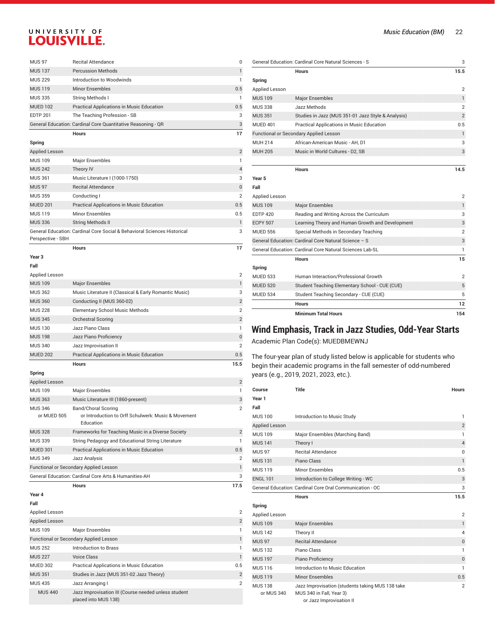| <b>MUS 97</b>   | <b>Recital Attendance</b>                                    | $\Omega$ |
|-----------------|--------------------------------------------------------------|----------|
| <b>MUS 137</b>  | <b>Percussion Methods</b>                                    |          |
| <b>MUS 229</b>  | Introduction to Woodwinds                                    | 1.       |
| <b>MUS 119</b>  | <b>Minor Ensembles</b>                                       | 0.5      |
| <b>MUS 335</b>  | String Methods I                                             |          |
| <b>MUED 102</b> | <b>Practical Applications in Music Education</b>             | 0.5      |
| <b>EDTP 201</b> | The Teaching Profession - SB                                 | 3        |
|                 | General Education: Cardinal Core Quantitative Reasoning - QR | 3        |

**Hours 17**

**Hours 17**

#### **Spring**

| ------                |                                                                          |                |
|-----------------------|--------------------------------------------------------------------------|----------------|
| <b>Applied Lesson</b> |                                                                          | $\overline{2}$ |
| <b>MUS 109</b>        | Major Ensembles                                                          |                |
| <b>MUS 242</b>        | Theory IV                                                                | $\overline{4}$ |
| <b>MUS 361</b>        | Music Literature I (1000-1750)                                           | 3              |
| <b>MUS 97</b>         | <b>Recital Attendance</b>                                                | $\mathbf{0}$   |
| <b>MUS 359</b>        | Conducting I                                                             | $\overline{2}$ |
| <b>MUED 201</b>       | Practical Applications in Music Education                                | 0.5            |
| <b>MUS 119</b>        | Minor Ensembles                                                          | 0.5            |
| <b>MUS 336</b>        | <b>String Methods II</b>                                                 |                |
| Perspective - SBH     | General Education: Cardinal Core Social & Behavioral Sciences Historical | 3              |
|                       |                                                                          |                |

**Year 3**

#### **Fall**

**Spring**

| Applied Lesson  |                                                        | $\overline{2}$ |
|-----------------|--------------------------------------------------------|----------------|
| <b>MUS 109</b>  | <b>Major Ensembles</b>                                 |                |
| <b>MUS 362</b>  | Music Literature II (Classical & Early Romantic Music) | 3              |
| <b>MUS 360</b>  | Conducting II (MUS 360-02)                             | $\overline{2}$ |
| <b>MUS 228</b>  | <b>Elementary School Music Methods</b>                 | $\overline{2}$ |
| <b>MUS 345</b>  | Orchestral Scoring                                     | $\overline{2}$ |
| <b>MUS 130</b>  | Jazz Piano Class                                       |                |
| <b>MUS 198</b>  | Jazz Piano Proficiency                                 | $\mathbf{0}$   |
| <b>MUS 340</b>  | Jazz Improvisation II                                  | $\overline{2}$ |
| <b>MUED 202</b> | Practical Applications in Music Education              | 0.5            |
|                 | <b>Hours</b>                                           | 15.5           |

| ັບບະກາດ                                       |                                                                                         |                |
|-----------------------------------------------|-----------------------------------------------------------------------------------------|----------------|
| <b>Applied Lesson</b>                         |                                                                                         | 2              |
| <b>MUS 109</b>                                | <b>Major Ensembles</b>                                                                  |                |
| <b>MUS 363</b>                                | Music Literature III (1860-present)                                                     | 3              |
| <b>MUS 346</b><br>or MUED 505                 | Band/Choral Scoring<br>or Introduction to Orff Schulwerk: Music & Movement<br>Education | $\overline{2}$ |
| <b>MUS 328</b>                                | Frameworks for Teaching Music in a Diverse Society                                      | $\overline{2}$ |
| <b>MUS 339</b>                                | String Pedagogy and Educational String Literature                                       |                |
| MUED 301                                      | <b>Practical Applications in Music Education</b>                                        | 0.5            |
| <b>MUS 349</b>                                | Jazz Analysis                                                                           | $\overline{2}$ |
| <b>Functional or Secondary Applied Lesson</b> |                                                                                         |                |
|                                               | General Education: Cardinal Core Arts & Humanities-AH                                   | 3              |

**Hours 17.5**

#### **Year 4**

| Fall            |                                                                              |                |
|-----------------|------------------------------------------------------------------------------|----------------|
| Applied Lesson  |                                                                              | $\overline{2}$ |
| Applied Lesson  |                                                                              | $\overline{2}$ |
| <b>MUS 109</b>  | <b>Major Ensembles</b>                                                       |                |
|                 | <b>Functional or Secondary Applied Lesson</b>                                |                |
| <b>MUS 252</b>  | Introduction to Brass                                                        |                |
| <b>MUS 227</b>  | Voice Class                                                                  |                |
| <b>MUED 302</b> | Practical Applications in Music Education                                    | 0.5            |
| <b>MUS 351</b>  | Studies in Jazz (MUS 351-02 Jazz Theory)                                     | $\overline{2}$ |
| <b>MUS 435</b>  | Jazz Arranging I                                                             | $\overline{2}$ |
| <b>MUS 440</b>  | Jazz Improvisation III (Course needed unless student<br>placed into MUS 138) |                |

|  |  | <b>Music Education (BM)</b> |  | 22 |  |
|--|--|-----------------------------|--|----|--|
|--|--|-----------------------------|--|----|--|

|                 | General Education: Cardinal Core Natural Sciences - S    | 3              |
|-----------------|----------------------------------------------------------|----------------|
|                 | <b>Hours</b>                                             | 15.5           |
| Spring          |                                                          |                |
| Applied Lesson  |                                                          | $\overline{2}$ |
| <b>MUS 109</b>  | <b>Major Ensembles</b>                                   | $\mathbf{1}$   |
| <b>MUS 338</b>  | Jazz Methods                                             | 2              |
| <b>MUS 351</b>  | Studies in Jazz (MUS 351-01 Jazz Style & Analysis)       | $\overline{2}$ |
| MUED 401        | <b>Practical Applications in Music Education</b>         | 0.5            |
|                 | Functional or Secondary Applied Lesson                   | 1              |
| MUH 214         | African-American Music - AH, D1                          | 3              |
| <b>MUH 205</b>  | Music in World Cultures - D2, SB                         | 3              |
|                 |                                                          |                |
|                 | <b>Hours</b>                                             | 14.5           |
| Year 5          |                                                          |                |
| Fall            |                                                          |                |
| Applied Lesson  |                                                          | $\overline{2}$ |
| <b>MUS 109</b>  | <b>Major Ensembles</b>                                   | $\mathbf{1}$   |
| <b>EDTP 420</b> | Reading and Writing Across the Curriculum                | 3              |
| <b>ECPY 507</b> | Learning Theory and Human Growth and Development         | 3              |
| <b>MUED 556</b> | Special Methods in Secondary Teaching                    | 2              |
|                 | General Education: Cardinal Core Natural Science - S     | 3              |
|                 | General Education: Cardinal Core Natural Sciences Lab-SL | 1              |
|                 | <b>Hours</b>                                             | 15             |
| Spring          |                                                          |                |
| <b>MUED 533</b> | Human Interaction/Professional Growth                    | $\overline{2}$ |
| <b>MUED 520</b> | Student Teaching Elementary School - CUE (CUE)           | 5              |
| <b>MUED 534</b> | Student Teaching Secondary - CUE (CUE)                   | 5              |
|                 | <b>Hours</b>                                             | 12             |
|                 | <b>Minimum Total Hours</b>                               | 154            |

## **Wind Emphasis, Track in Jazz Studies, Odd-Year Starts**

Academic Plan Code(s): MUEDBMEWNJ

| Course                       | <b>Title</b>                                                                                             | <b>Hours</b>   |
|------------------------------|----------------------------------------------------------------------------------------------------------|----------------|
| Year 1                       |                                                                                                          |                |
| Fall                         |                                                                                                          |                |
| <b>MUS 100</b>               | Introduction to Music Study                                                                              | 1              |
| Applied Lesson               |                                                                                                          | $\overline{2}$ |
| <b>MUS 109</b>               | Major Ensembles (Marching Band)                                                                          | 1              |
| <b>MUS 141</b>               | Theory I                                                                                                 | $\overline{4}$ |
| <b>MUS 97</b>                | <b>Recital Attendance</b>                                                                                | 0              |
| <b>MUS 131</b>               | Piano Class                                                                                              | 1              |
| <b>MUS 119</b>               | <b>Minor Ensembles</b>                                                                                   | 0.5            |
| <b>ENGL 101</b>              | Introduction to College Writing - WC                                                                     | 3              |
|                              | General Education: Cardinal Core Oral Communication - OC                                                 | 3              |
|                              | <b>Hours</b>                                                                                             | 15.5           |
| Spring                       |                                                                                                          |                |
| Applied Lesson               |                                                                                                          | $\overline{2}$ |
| <b>MUS 109</b>               | <b>Major Ensembles</b>                                                                                   | 1              |
| <b>MUS 142</b>               | Theory II                                                                                                | $\overline{4}$ |
| <b>MUS 97</b>                | <b>Recital Attendance</b>                                                                                | $\mathbf{0}$   |
| <b>MUS132</b>                | Piano Class                                                                                              | 1              |
| <b>MUS 197</b>               | Piano Proficiency                                                                                        | $\mathbf{0}$   |
| <b>MUS 116</b>               | Introduction to Music Education                                                                          | 1              |
| <b>MUS 119</b>               | <b>Minor Ensembles</b>                                                                                   | 0.5            |
| <b>MUS 138</b><br>or MUS 340 | Jazz Improvisation (students taking MUS 138 take<br>MUS 340 in Fall, Year 3)<br>or Jazz Improvisation II | $\overline{2}$ |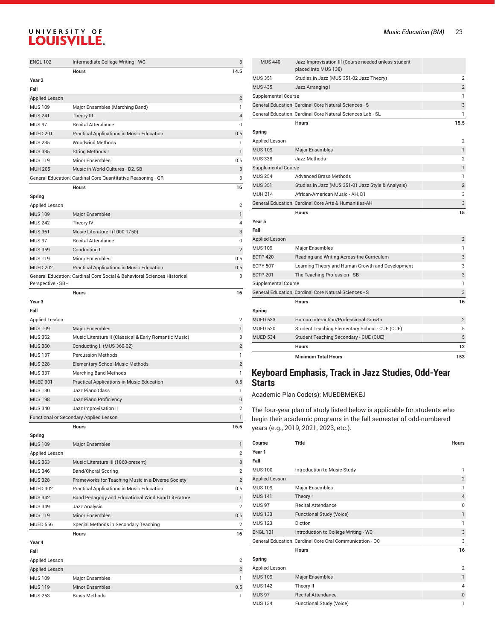| <b>ENGL 102</b>       | Intermediate College Writing - WC                                        | 3              |
|-----------------------|--------------------------------------------------------------------------|----------------|
|                       | <b>Hours</b>                                                             | 14.5           |
| Year <sub>2</sub>     |                                                                          |                |
| Fall                  |                                                                          |                |
| <b>Applied Lesson</b> |                                                                          | $\overline{2}$ |
| <b>MUS 109</b>        | Major Ensembles (Marching Band)                                          | $\mathbf{1}$   |
| <b>MUS 241</b>        | Theory III                                                               | $\overline{4}$ |
| <b>MUS 97</b>         | <b>Recital Attendance</b>                                                | 0              |
| <b>MUED 201</b>       | Practical Applications in Music Education                                | 0.5            |
| <b>MUS 235</b>        | <b>Woodwind Methods</b>                                                  | 1              |
| <b>MUS 335</b>        | <b>String Methods I</b>                                                  | $\mathbf{1}$   |
| <b>MUS 119</b>        | <b>Minor Ensembles</b>                                                   | 0.5            |
| <b>MUH 205</b>        | Music in World Cultures - D2, SB                                         | 3              |
|                       | General Education: Cardinal Core Quantitative Reasoning - QR             | 3              |
|                       | <b>Hours</b>                                                             | 16             |
| Spring                |                                                                          |                |
| Applied Lesson        |                                                                          | $\overline{2}$ |
| <b>MUS 109</b>        | <b>Major Ensembles</b>                                                   | $\mathbf{1}$   |
| <b>MUS 242</b>        | Theory IV                                                                | 4              |
| <b>MUS 361</b>        | Music Literature I (1000-1750)                                           | 3              |
| <b>MUS 97</b>         | <b>Recital Attendance</b>                                                | 0              |
| <b>MUS 359</b>        | Conducting I                                                             | $\overline{2}$ |
| <b>MUS 119</b>        | <b>Minor Ensembles</b>                                                   | 0.5            |
| <b>MUED 202</b>       | Practical Applications in Music Education                                | 0.5            |
| Perspective - SBH     | General Education: Cardinal Core Social & Behavioral Sciences Historical | 3              |
|                       | Hours                                                                    | 16             |
| Year <sub>3</sub>     |                                                                          |                |
| Fall                  |                                                                          |                |
| Applied Lesson        |                                                                          | $\overline{2}$ |
| <b>MUS 109</b>        | <b>Major Ensembles</b>                                                   | $\mathbf{1}$   |
| <b>MUS 362</b>        | Music Literature II (Classical & Early Romantic Music)                   | 3              |
| <b>MUS 360</b>        | Conducting II (MUS 360-02)                                               | $\overline{2}$ |
| <b>MUS 137</b>        | <b>Percussion Methods</b>                                                | 1              |
| <b>MUS 228</b>        | <b>Elementary School Music Methods</b>                                   | $\overline{2}$ |
| <b>MUS 337</b>        | Marching Band Methods                                                    | 1              |
| <b>MUED 301</b>       | Practical Applications in Music Education                                | 0.5            |
| <b>MUS 130</b>        | Jazz Piano Class                                                         | $\mathbf{1}$   |
| <b>MUS 198</b>        | Jazz Piano Proficiency                                                   | $\overline{0}$ |
| <b>MUS 340</b>        | Jazz Improvisation II                                                    | $\overline{2}$ |
|                       | <b>Functional or Secondary Applied Lesson</b>                            | $\mathbf{1}$   |
|                       | Hours                                                                    | 16.5           |

| Spring          |                                                    |                |
|-----------------|----------------------------------------------------|----------------|
| <b>MUS 109</b>  | <b>Major Ensembles</b>                             |                |
| Applied Lesson  |                                                    | $\overline{2}$ |
| <b>MUS 363</b>  | Music Literature III (1860-present)                | 3              |
| <b>MUS 346</b>  | <b>Band/Choral Scoring</b>                         | $\overline{2}$ |
| <b>MUS 328</b>  | Frameworks for Teaching Music in a Diverse Society | $\overline{2}$ |
| <b>MUED 302</b> | Practical Applications in Music Education          | 0.5            |
| <b>MUS 342</b>  | Band Pedagogy and Educational Wind Band Literature |                |
| <b>MUS 349</b>  | Jazz Analysis                                      | $\overline{2}$ |
| <b>MUS 119</b>  | Minor Ensembles                                    | 0.5            |
| <b>MUED 556</b> | Special Methods in Secondary Teaching              | $\overline{2}$ |
|                 | <b>Hours</b>                                       | 16             |
| Year 4          |                                                    |                |

| Fall           |                        |                |
|----------------|------------------------|----------------|
| Applied Lesson |                        | $\overline{2}$ |
| Applied Lesson |                        | $\overline{2}$ |
| <b>MUS 109</b> | Major Ensembles        | 1.             |
| <b>MUS 119</b> | <b>Minor Ensembles</b> | 0.5            |
| <b>MUS 253</b> | <b>Brass Methods</b>   |                |

|                       | <b>Minimum Total Hours</b>                                                   | 153            |
|-----------------------|------------------------------------------------------------------------------|----------------|
|                       | <b>Hours</b>                                                                 | 12             |
| <b>MUED 534</b>       | Student Teaching Secondary - CUE (CUE)                                       | 5              |
| <b>MUED 520</b>       | Student Teaching Elementary School - CUE (CUE)                               | 5              |
| <b>MUED 533</b>       | Human Interaction/Professional Growth                                        | $\overline{2}$ |
| Spring                | <b>Hours</b>                                                                 | 16             |
|                       | General Education: Cardinal Core Natural Sciences - S                        | 3              |
| Supplemental Course   |                                                                              | 1              |
| <b>EDTP 201</b>       | The Teaching Profession - SB                                                 | 3              |
| <b>ECPY 507</b>       | Learning Theory and Human Growth and Development                             | 3              |
| <b>EDTP 420</b>       | Reading and Writing Across the Curriculum                                    | 3              |
| MUS 109               | <b>Major Ensembles</b>                                                       | 1              |
| <b>Applied Lesson</b> |                                                                              | $\overline{2}$ |
| Fall                  |                                                                              |                |
| Year 5                |                                                                              |                |
|                       | <b>Hours</b>                                                                 | 15             |
|                       | General Education: Cardinal Core Arts & Humanities-AH                        | 3              |
| <b>MUH 214</b>        | African-American Music - AH. D1                                              | 3              |
| <b>MUS 351</b>        | Studies in Jazz (MUS 351-01 Jazz Style & Analysis)                           | $\overline{2}$ |
| <b>MUS 254</b>        | <b>Advanced Brass Methods</b>                                                | $\mathbf{1}$   |
| Supplemental Course   |                                                                              | 1              |
| <b>MUS 338</b>        | Jazz Methods                                                                 | $\overline{2}$ |
| <b>MUS 109</b>        | <b>Major Ensembles</b>                                                       | $\mathbf{1}$   |
| Applied Lesson        |                                                                              | $\overline{2}$ |
| Spring                |                                                                              |                |
|                       | <b>Hours</b>                                                                 | 15.5           |
|                       | General Education: Cardinal Core Natural Sciences Lab - SL                   | 1              |
|                       | General Education: Cardinal Core Natural Sciences - S                        | 3              |
| Supplemental Course   |                                                                              | 1              |
| <b>MUS 435</b>        | Jazz Arranging I                                                             | 2              |
| <b>MUS 351</b>        | Studies in Jazz (MUS 351-02 Jazz Theory)                                     | $\overline{2}$ |
| <b>MUS 440</b>        | Jazz Improvisation III (Course needed unless student<br>placed into MUS 138) |                |

#### **Keyboard Emphasis, Track in Jazz Studies, Odd-Year Starts**

ademic Plan Code(s): MUEDBMEKEJ

| Course          | <b>Title</b>                                             | <b>Hours</b>   |
|-----------------|----------------------------------------------------------|----------------|
| Year 1          |                                                          |                |
| Fall            |                                                          |                |
| <b>MUS 100</b>  | Introduction to Music Study                              | 1              |
| Applied Lesson  |                                                          | $\overline{2}$ |
| <b>MUS109</b>   | <b>Major Ensembles</b>                                   | 1              |
| <b>MUS 141</b>  | Theory I                                                 | $\overline{4}$ |
| <b>MUS 97</b>   | <b>Recital Attendance</b>                                | $\Omega$       |
| <b>MUS 133</b>  | Functional Study (Voice)                                 | $\mathbf{1}$   |
| <b>MUS123</b>   | Diction                                                  | 1              |
| <b>ENGL 101</b> | Introduction to College Writing - WC                     | 3              |
|                 | General Education: Cardinal Core Oral Communication - OC | 3              |
|                 | <b>Hours</b>                                             | 16             |
| Spring          |                                                          |                |
| Applied Lesson  |                                                          | $\overline{2}$ |
| <b>MUS 109</b>  | <b>Major Ensembles</b>                                   | $\mathbf{1}$   |
| <b>MUS 142</b>  | Theory II                                                | $\overline{4}$ |
| <b>MUS 97</b>   | <b>Recital Attendance</b>                                | 0              |
| <b>MUS 134</b>  | Functional Study (Voice)                                 | 1              |